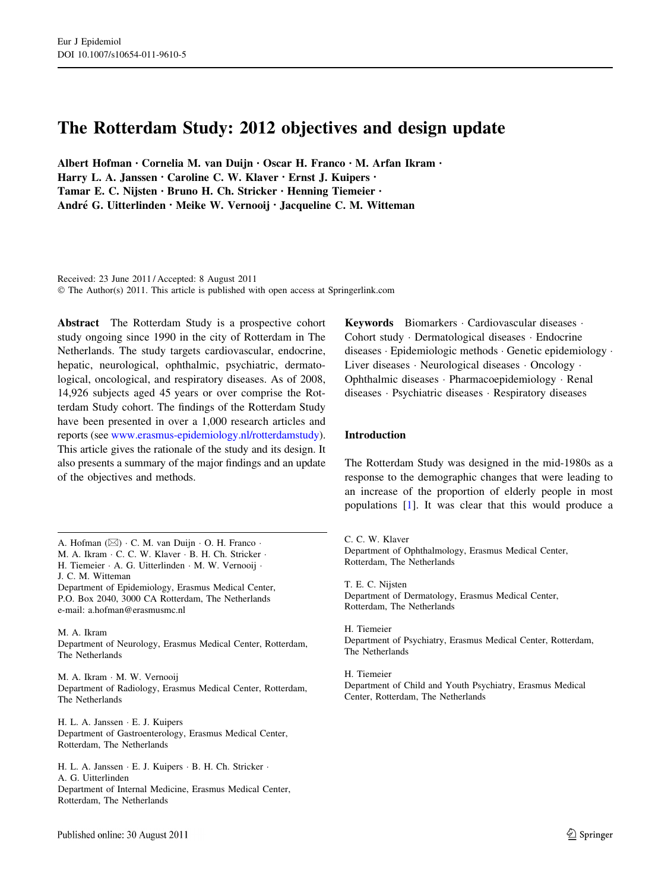# The Rotterdam Study: 2012 objectives and design update

Albert Hofman • Cornelia M. van Duijn • Oscar H. Franco • M. Arfan Ikram • Harry L. A. Janssen • Caroline C. W. Klaver • Ernst J. Kuipers • Tamar E. C. Nijsten • Bruno H. Ch. Stricker • Henning Tiemeier • André G. Uitterlinden · Meike W. Vernooij · Jacqueline C. M. Witteman

Received: 23 June 2011 / Accepted: 8 August 2011 © The Author(s) 2011. This article is published with open access at Springerlink.com

Abstract The Rotterdam Study is a prospective cohort study ongoing since 1990 in the city of Rotterdam in The Netherlands. The study targets cardiovascular, endocrine, hepatic, neurological, ophthalmic, psychiatric, dermatological, oncological, and respiratory diseases. As of 2008, 14,926 subjects aged 45 years or over comprise the Rotterdam Study cohort. The findings of the Rotterdam Study have been presented in over a 1,000 research articles and reports (see [www.erasmus-epidemiology.nl/rotterdamstudy](http://www.erasmus-epidemiology.nl/rotterdamstudy)). This article gives the rationale of the study and its design. It also presents a summary of the major findings and an update of the objectives and methods.

A. Hofman (&) - C. M. van Duijn - O. H. Franco - M. A. Ikram · C. C. W. Klaver · B. H. Ch. Stricker ·

H. Tiemeier - A. G. Uitterlinden - M. W. Vernooij -

J. C. M. Witteman

Department of Epidemiology, Erasmus Medical Center, P.O. Box 2040, 3000 CA Rotterdam, The Netherlands e-mail: a.hofman@erasmusmc.nl

M. A. Ikram Department of Neurology, Erasmus Medical Center, Rotterdam, The Netherlands

M. A. Ikram - M. W. Vernooij Department of Radiology, Erasmus Medical Center, Rotterdam, The Netherlands

H. L. A. Janssen - E. J. Kuipers Department of Gastroenterology, Erasmus Medical Center, Rotterdam, The Netherlands

H. L. A. Janssen · E. J. Kuipers · B. H. Ch. Stricker · A. G. Uitterlinden Department of Internal Medicine, Erasmus Medical Center, Rotterdam, The Netherlands

Keywords Biomarkers · Cardiovascular diseases · Cohort study - Dermatological diseases - Endocrine diseases - Epidemiologic methods - Genetic epidemiology - Liver diseases - Neurological diseases - Oncology - Ophthalmic diseases - Pharmacoepidemiology - Renal diseases - Psychiatric diseases - Respiratory diseases

# Introduction

The Rotterdam Study was designed in the mid-1980s as a response to the demographic changes that were leading to an increase of the proportion of elderly people in most populations [\[1](#page-18-0)]. It was clear that this would produce a

C. C. W. Klaver Department of Ophthalmology, Erasmus Medical Center, Rotterdam, The Netherlands

T. E. C. Nijsten Department of Dermatology, Erasmus Medical Center, Rotterdam, The Netherlands

H. Tiemeier Department of Psychiatry, Erasmus Medical Center, Rotterdam, The Netherlands

H. Tiemeier Department of Child and Youth Psychiatry, Erasmus Medical Center, Rotterdam, The Netherlands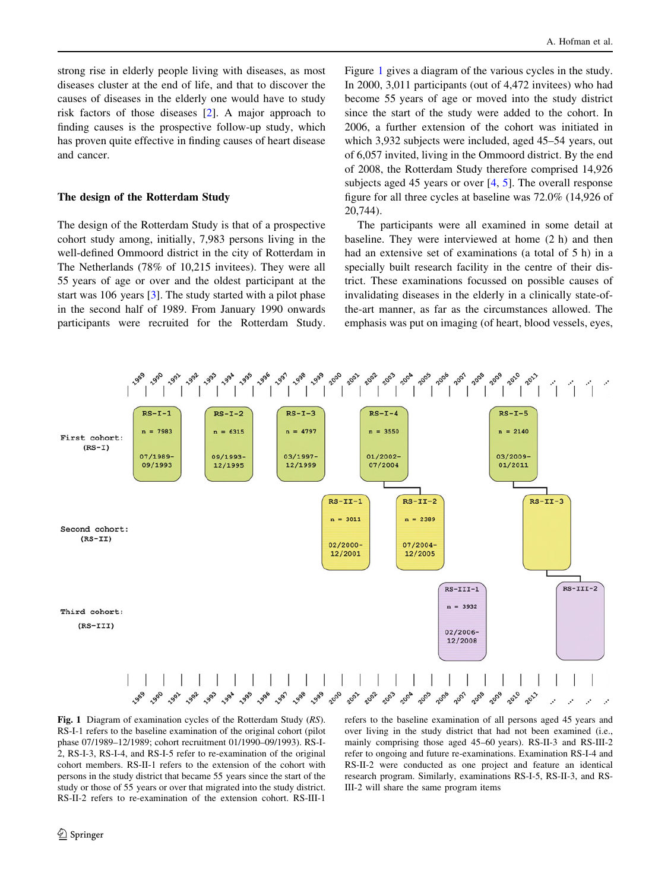<span id="page-1-0"></span>strong rise in elderly people living with diseases, as most diseases cluster at the end of life, and that to discover the causes of diseases in the elderly one would have to study risk factors of those diseases [\[2](#page-18-0)]. A major approach to finding causes is the prospective follow-up study, which has proven quite effective in finding causes of heart disease and cancer.

## The design of the Rotterdam Study

The design of the Rotterdam Study is that of a prospective cohort study among, initially, 7,983 persons living in the well-defined Ommoord district in the city of Rotterdam in The Netherlands (78% of 10,215 invitees). They were all 55 years of age or over and the oldest participant at the start was 106 years [[3\]](#page-18-0). The study started with a pilot phase in the second half of 1989. From January 1990 onwards participants were recruited for the Rotterdam Study.

Figure 1 gives a diagram of the various cycles in the study. In 2000, 3,011 participants (out of 4,472 invitees) who had become 55 years of age or moved into the study district since the start of the study were added to the cohort. In 2006, a further extension of the cohort was initiated in which 3,932 subjects were included, aged 45–54 years, out of 6,057 invited, living in the Ommoord district. By the end of 2008, the Rotterdam Study therefore comprised 14,926 subjects aged 45 years or over [[4,](#page-18-0) [5](#page-18-0)]. The overall response figure for all three cycles at baseline was 72.0% (14,926 of 20,744).

The participants were all examined in some detail at baseline. They were interviewed at home (2 h) and then had an extensive set of examinations (a total of 5 h) in a specially built research facility in the centre of their district. These examinations focussed on possible causes of invalidating diseases in the elderly in a clinically state-ofthe-art manner, as far as the circumstances allowed. The emphasis was put on imaging (of heart, blood vessels, eyes,



Fig. 1 Diagram of examination cycles of the Rotterdam Study (RS). RS-I-1 refers to the baseline examination of the original cohort (pilot phase 07/1989–12/1989; cohort recruitment 01/1990–09/1993). RS-I-2, RS-I-3, RS-I-4, and RS-I-5 refer to re-examination of the original cohort members. RS-II-1 refers to the extension of the cohort with persons in the study district that became 55 years since the start of the study or those of 55 years or over that migrated into the study district. RS-II-2 refers to re-examination of the extension cohort. RS-III-1

refers to the baseline examination of all persons aged 45 years and over living in the study district that had not been examined (i.e., mainly comprising those aged 45–60 years). RS-II-3 and RS-III-2 refer to ongoing and future re-examinations. Examination RS-I-4 and RS-II-2 were conducted as one project and feature an identical research program. Similarly, examinations RS-I-5, RS-II-3, and RS-III-2 will share the same program items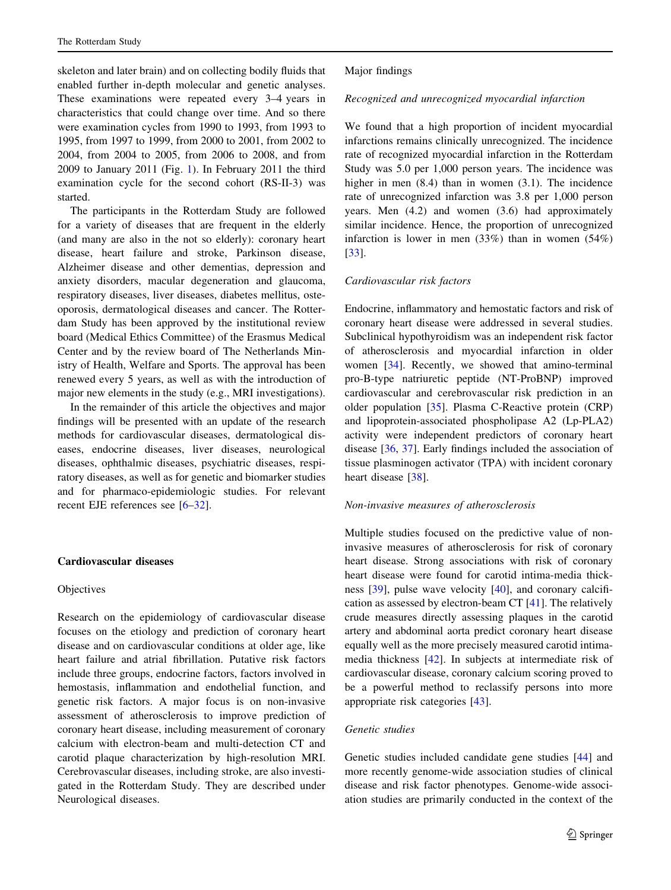skeleton and later brain) and on collecting bodily fluids that enabled further in-depth molecular and genetic analyses. These examinations were repeated every 3–4 years in characteristics that could change over time. And so there were examination cycles from 1990 to 1993, from 1993 to 1995, from 1997 to 1999, from 2000 to 2001, from 2002 to 2004, from 2004 to 2005, from 2006 to 2008, and from 2009 to January 2011 (Fig. [1\)](#page-1-0). In February 2011 the third examination cycle for the second cohort (RS-II-3) was started.

The participants in the Rotterdam Study are followed for a variety of diseases that are frequent in the elderly (and many are also in the not so elderly): coronary heart disease, heart failure and stroke, Parkinson disease, Alzheimer disease and other dementias, depression and anxiety disorders, macular degeneration and glaucoma, respiratory diseases, liver diseases, diabetes mellitus, osteoporosis, dermatological diseases and cancer. The Rotterdam Study has been approved by the institutional review board (Medical Ethics Committee) of the Erasmus Medical Center and by the review board of The Netherlands Ministry of Health, Welfare and Sports. The approval has been renewed every 5 years, as well as with the introduction of major new elements in the study (e.g., MRI investigations).

In the remainder of this article the objectives and major findings will be presented with an update of the research methods for cardiovascular diseases, dermatological diseases, endocrine diseases, liver diseases, neurological diseases, ophthalmic diseases, psychiatric diseases, respiratory diseases, as well as for genetic and biomarker studies and for pharmaco-epidemiologic studies. For relevant recent EJE references see [\[6](#page-18-0)[–32](#page-19-0)].

# Cardiovascular diseases

#### Objectives

Research on the epidemiology of cardiovascular disease focuses on the etiology and prediction of coronary heart disease and on cardiovascular conditions at older age, like heart failure and atrial fibrillation. Putative risk factors include three groups, endocrine factors, factors involved in hemostasis, inflammation and endothelial function, and genetic risk factors. A major focus is on non-invasive assessment of atherosclerosis to improve prediction of coronary heart disease, including measurement of coronary calcium with electron-beam and multi-detection CT and carotid plaque characterization by high-resolution MRI. Cerebrovascular diseases, including stroke, are also investigated in the Rotterdam Study. They are described under Neurological diseases.

#### Major findings

#### Recognized and unrecognized myocardial infarction

We found that a high proportion of incident myocardial infarctions remains clinically unrecognized. The incidence rate of recognized myocardial infarction in the Rotterdam Study was 5.0 per 1,000 person years. The incidence was higher in men  $(8.4)$  than in women  $(3.1)$ . The incidence rate of unrecognized infarction was 3.8 per 1,000 person years. Men (4.2) and women (3.6) had approximately similar incidence. Hence, the proportion of unrecognized infarction is lower in men (33%) than in women (54%) [\[33](#page-19-0)].

#### Cardiovascular risk factors

Endocrine, inflammatory and hemostatic factors and risk of coronary heart disease were addressed in several studies. Subclinical hypothyroidism was an independent risk factor of atherosclerosis and myocardial infarction in older women [\[34](#page-19-0)]. Recently, we showed that amino-terminal pro-B-type natriuretic peptide (NT-ProBNP) improved cardiovascular and cerebrovascular risk prediction in an older population [\[35](#page-19-0)]. Plasma C-Reactive protein (CRP) and lipoprotein-associated phospholipase A2 (Lp-PLA2) activity were independent predictors of coronary heart disease [\[36](#page-19-0), [37\]](#page-19-0). Early findings included the association of tissue plasminogen activator (TPA) with incident coronary heart disease [\[38](#page-19-0)].

#### Non-invasive measures of atherosclerosis

Multiple studies focused on the predictive value of noninvasive measures of atherosclerosis for risk of coronary heart disease. Strong associations with risk of coronary heart disease were found for carotid intima-media thickness [\[39](#page-19-0)], pulse wave velocity [\[40](#page-19-0)], and coronary calcification as assessed by electron-beam CT [\[41](#page-19-0)]. The relatively crude measures directly assessing plaques in the carotid artery and abdominal aorta predict coronary heart disease equally well as the more precisely measured carotid intimamedia thickness [\[42](#page-19-0)]. In subjects at intermediate risk of cardiovascular disease, coronary calcium scoring proved to be a powerful method to reclassify persons into more appropriate risk categories [[43\]](#page-19-0).

### Genetic studies

Genetic studies included candidate gene studies [\[44](#page-19-0)] and more recently genome-wide association studies of clinical disease and risk factor phenotypes. Genome-wide association studies are primarily conducted in the context of the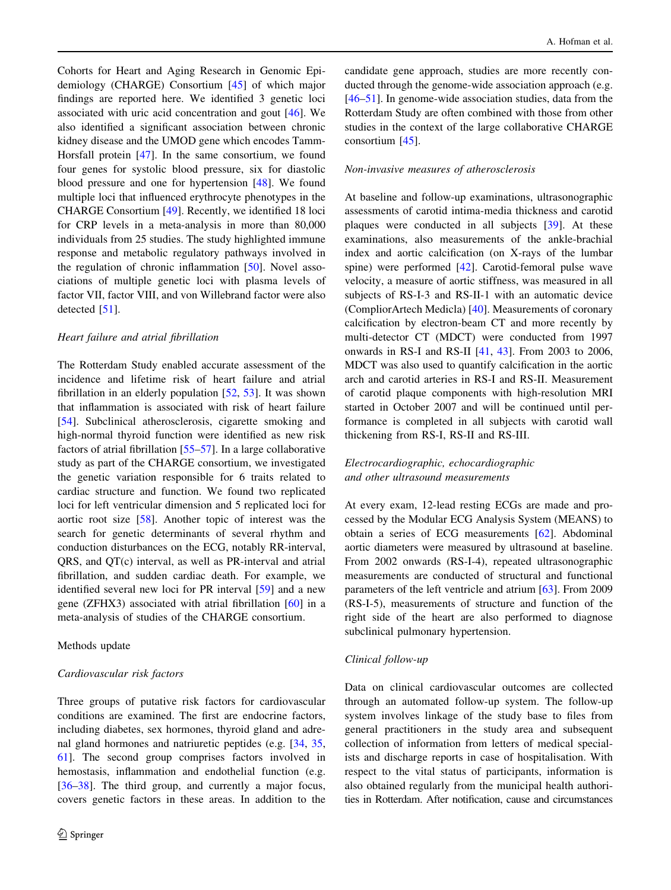Cohorts for Heart and Aging Research in Genomic Epidemiology (CHARGE) Consortium [[45\]](#page-19-0) of which major findings are reported here. We identified 3 genetic loci associated with uric acid concentration and gout [[46](#page-19-0)]. We also identified a significant association between chronic kidney disease and the UMOD gene which encodes Tamm-Horsfall protein [\[47](#page-19-0)]. In the same consortium, we found four genes for systolic blood pressure, six for diastolic blood pressure and one for hypertension [[48\]](#page-19-0). We found multiple loci that influenced erythrocyte phenotypes in the CHARGE Consortium [[49\]](#page-19-0). Recently, we identified 18 loci for CRP levels in a meta-analysis in more than 80,000 individuals from 25 studies. The study highlighted immune response and metabolic regulatory pathways involved in the regulation of chronic inflammation [[50\]](#page-19-0). Novel associations of multiple genetic loci with plasma levels of factor VII, factor VIII, and von Willebrand factor were also detected [\[51](#page-19-0)].

## Heart failure and atrial fibrillation

The Rotterdam Study enabled accurate assessment of the incidence and lifetime risk of heart failure and atrial fibrillation in an elderly population [[52,](#page-19-0) [53](#page-19-0)]. It was shown that inflammation is associated with risk of heart failure [\[54](#page-19-0)]. Subclinical atherosclerosis, cigarette smoking and high-normal thyroid function were identified as new risk factors of atrial fibrillation [\[55–](#page-19-0)[57\]](#page-20-0). In a large collaborative study as part of the CHARGE consortium, we investigated the genetic variation responsible for 6 traits related to cardiac structure and function. We found two replicated loci for left ventricular dimension and 5 replicated loci for aortic root size [\[58](#page-20-0)]. Another topic of interest was the search for genetic determinants of several rhythm and conduction disturbances on the ECG, notably RR-interval, QRS, and QT(c) interval, as well as PR-interval and atrial fibrillation, and sudden cardiac death. For example, we identified several new loci for PR interval [\[59](#page-20-0)] and a new gene (ZFHX3) associated with atrial fibrillation [[60\]](#page-20-0) in a meta-analysis of studies of the CHARGE consortium.

## Methods update

## Cardiovascular risk factors

Three groups of putative risk factors for cardiovascular conditions are examined. The first are endocrine factors, including diabetes, sex hormones, thyroid gland and adrenal gland hormones and natriuretic peptides (e.g. [[34,](#page-19-0) [35,](#page-19-0) [61\]](#page-20-0). The second group comprises factors involved in hemostasis, inflammation and endothelial function (e.g. [\[36–38](#page-19-0)]. The third group, and currently a major focus, covers genetic factors in these areas. In addition to the candidate gene approach, studies are more recently conducted through the genome-wide association approach (e.g. [\[46–51](#page-19-0)]. In genome-wide association studies, data from the Rotterdam Study are often combined with those from other studies in the context of the large collaborative CHARGE consortium [[45\]](#page-19-0).

#### Non-invasive measures of atherosclerosis

At baseline and follow-up examinations, ultrasonographic assessments of carotid intima-media thickness and carotid plaques were conducted in all subjects [\[39](#page-19-0)]. At these examinations, also measurements of the ankle-brachial index and aortic calcification (on X-rays of the lumbar spine) were performed [\[42](#page-19-0)]. Carotid-femoral pulse wave velocity, a measure of aortic stiffness, was measured in all subjects of RS-I-3 and RS-II-1 with an automatic device (CompliorArtech Medicla) [\[40](#page-19-0)]. Measurements of coronary calcification by electron-beam CT and more recently by multi-detector CT (MDCT) were conducted from 1997 onwards in RS-I and RS-II [\[41](#page-19-0), [43\]](#page-19-0). From 2003 to 2006, MDCT was also used to quantify calcification in the aortic arch and carotid arteries in RS-I and RS-II. Measurement of carotid plaque components with high-resolution MRI started in October 2007 and will be continued until performance is completed in all subjects with carotid wall thickening from RS-I, RS-II and RS-III.

# Electrocardiographic, echocardiographic and other ultrasound measurements

At every exam, 12-lead resting ECGs are made and processed by the Modular ECG Analysis System (MEANS) to obtain a series of ECG measurements [\[62](#page-20-0)]. Abdominal aortic diameters were measured by ultrasound at baseline. From 2002 onwards (RS-I-4), repeated ultrasonographic measurements are conducted of structural and functional parameters of the left ventricle and atrium [[63\]](#page-20-0). From 2009 (RS-I-5), measurements of structure and function of the right side of the heart are also performed to diagnose subclinical pulmonary hypertension.

# Clinical follow-up

Data on clinical cardiovascular outcomes are collected through an automated follow-up system. The follow-up system involves linkage of the study base to files from general practitioners in the study area and subsequent collection of information from letters of medical specialists and discharge reports in case of hospitalisation. With respect to the vital status of participants, information is also obtained regularly from the municipal health authorities in Rotterdam. After notification, cause and circumstances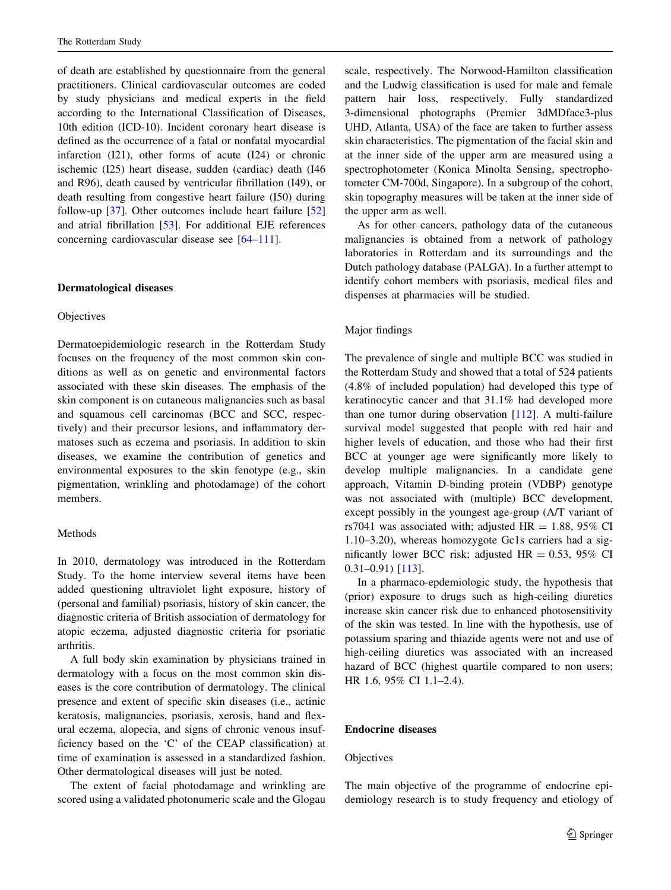of death are established by questionnaire from the general practitioners. Clinical cardiovascular outcomes are coded by study physicians and medical experts in the field according to the International Classification of Diseases, 10th edition (ICD-10). Incident coronary heart disease is defined as the occurrence of a fatal or nonfatal myocardial infarction (I21), other forms of acute (I24) or chronic ischemic (I25) heart disease, sudden (cardiac) death (I46 and R96), death caused by ventricular fibrillation (I49), or death resulting from congestive heart failure (I50) during follow-up [\[37](#page-19-0)]. Other outcomes include heart failure [[52\]](#page-19-0) and atrial fibrillation [[53\]](#page-19-0). For additional EJE references concerning cardiovascular disease see [\[64](#page-20-0)[–111](#page-21-0)].

## Dermatological diseases

#### **Objectives**

Dermatoepidemiologic research in the Rotterdam Study focuses on the frequency of the most common skin conditions as well as on genetic and environmental factors associated with these skin diseases. The emphasis of the skin component is on cutaneous malignancies such as basal and squamous cell carcinomas (BCC and SCC, respectively) and their precursor lesions, and inflammatory dermatoses such as eczema and psoriasis. In addition to skin diseases, we examine the contribution of genetics and environmental exposures to the skin fenotype (e.g., skin pigmentation, wrinkling and photodamage) of the cohort members.

#### Methods

In 2010, dermatology was introduced in the Rotterdam Study. To the home interview several items have been added questioning ultraviolet light exposure, history of (personal and familial) psoriasis, history of skin cancer, the diagnostic criteria of British association of dermatology for atopic eczema, adjusted diagnostic criteria for psoriatic arthritis.

A full body skin examination by physicians trained in dermatology with a focus on the most common skin diseases is the core contribution of dermatology. The clinical presence and extent of specific skin diseases (i.e., actinic keratosis, malignancies, psoriasis, xerosis, hand and flexural eczema, alopecia, and signs of chronic venous insufficiency based on the 'C' of the CEAP classification) at time of examination is assessed in a standardized fashion. Other dermatological diseases will just be noted.

The extent of facial photodamage and wrinkling are scored using a validated photonumeric scale and the Glogau scale, respectively. The Norwood-Hamilton classification and the Ludwig classification is used for male and female pattern hair loss, respectively. Fully standardized 3-dimensional photographs (Premier 3dMDface3-plus UHD, Atlanta, USA) of the face are taken to further assess skin characteristics. The pigmentation of the facial skin and at the inner side of the upper arm are measured using a spectrophotometer (Konica Minolta Sensing, spectrophotometer CM-700d, Singapore). In a subgroup of the cohort, skin topography measures will be taken at the inner side of the upper arm as well.

As for other cancers, pathology data of the cutaneous malignancies is obtained from a network of pathology laboratories in Rotterdam and its surroundings and the Dutch pathology database (PALGA). In a further attempt to identify cohort members with psoriasis, medical files and dispenses at pharmacies will be studied.

#### Major findings

The prevalence of single and multiple BCC was studied in the Rotterdam Study and showed that a total of 524 patients (4.8% of included population) had developed this type of keratinocytic cancer and that 31.1% had developed more than one tumor during observation [[112\]](#page-21-0). A multi-failure survival model suggested that people with red hair and higher levels of education, and those who had their first BCC at younger age were significantly more likely to develop multiple malignancies. In a candidate gene approach, Vitamin D-binding protein (VDBP) genotype was not associated with (multiple) BCC development, except possibly in the youngest age-group (A/T variant of rs7041 was associated with; adjusted HR = 1.88, 95% CI 1.10–3.20), whereas homozygote Gc1s carriers had a significantly lower BCC risk; adjusted  $HR = 0.53$ , 95% CI 0.31–0.91) [\[113\]](#page-21-0).

In a pharmaco-epdemiologic study, the hypothesis that (prior) exposure to drugs such as high-ceiling diuretics increase skin cancer risk due to enhanced photosensitivity of the skin was tested. In line with the hypothesis, use of potassium sparing and thiazide agents were not and use of high-ceiling diuretics was associated with an increased hazard of BCC (highest quartile compared to non users; HR 1.6, 95% CI 1.1–2.4).

### Endocrine diseases

# **Objectives**

The main objective of the programme of endocrine epidemiology research is to study frequency and etiology of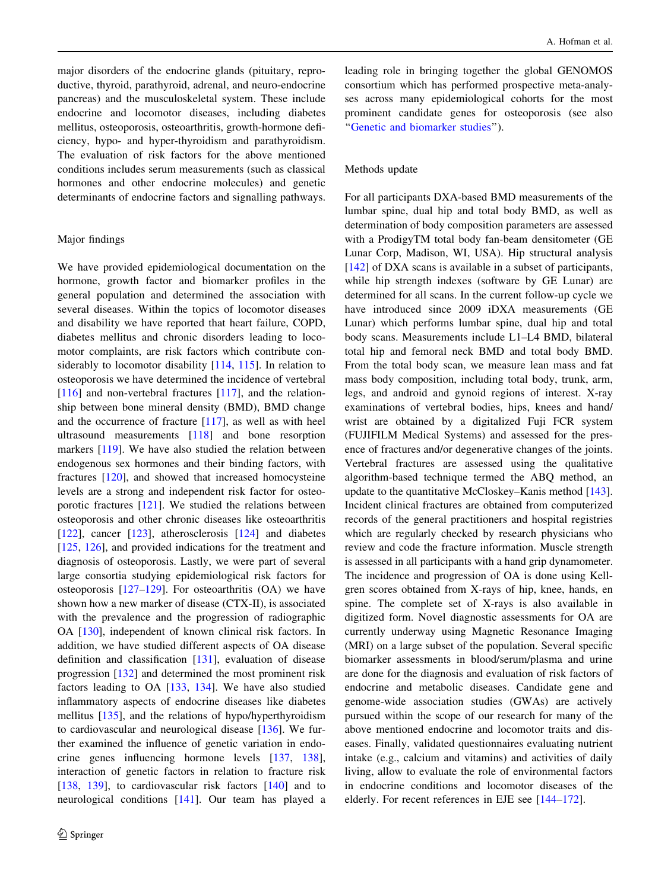major disorders of the endocrine glands (pituitary, reproductive, thyroid, parathyroid, adrenal, and neuro-endocrine pancreas) and the musculoskeletal system. These include endocrine and locomotor diseases, including diabetes mellitus, osteoporosis, osteoarthritis, growth-hormone deficiency, hypo- and hyper-thyroidism and parathyroidism. The evaluation of risk factors for the above mentioned conditions includes serum measurements (such as classical hormones and other endocrine molecules) and genetic determinants of endocrine factors and signalling pathways.

# Major findings

We have provided epidemiological documentation on the hormone, growth factor and biomarker profiles in the general population and determined the association with several diseases. Within the topics of locomotor diseases and disability we have reported that heart failure, COPD, diabetes mellitus and chronic disorders leading to locomotor complaints, are risk factors which contribute con-siderably to locomotor disability [[114,](#page-21-0) [115](#page-21-0)]. In relation to osteoporosis we have determined the incidence of vertebral [\[116](#page-21-0)] and non-vertebral fractures [[117\]](#page-21-0), and the relationship between bone mineral density (BMD), BMD change and the occurrence of fracture [\[117](#page-21-0)], as well as with heel ultrasound measurements [[118\]](#page-21-0) and bone resorption markers [\[119\]](#page-21-0). We have also studied the relation between endogenous sex hormones and their binding factors, with fractures [[120\]](#page-21-0), and showed that increased homocysteine levels are a strong and independent risk factor for osteoporotic fractures [[121\]](#page-21-0). We studied the relations between osteoporosis and other chronic diseases like osteoarthritis [\[122](#page-21-0)], cancer [\[123](#page-21-0)], atherosclerosis [[124\]](#page-21-0) and diabetes [\[125](#page-21-0), [126](#page-21-0)], and provided indications for the treatment and diagnosis of osteoporosis. Lastly, we were part of several large consortia studying epidemiological risk factors for osteoporosis [[127–](#page-21-0)[129\]](#page-22-0). For osteoarthritis (OA) we have shown how a new marker of disease (CTX-II), is associated with the prevalence and the progression of radiographic OA [[130\]](#page-22-0), independent of known clinical risk factors. In addition, we have studied different aspects of OA disease definition and classification [\[131](#page-22-0)], evaluation of disease progression [\[132](#page-22-0)] and determined the most prominent risk factors leading to OA [[133,](#page-22-0) [134\]](#page-22-0). We have also studied inflammatory aspects of endocrine diseases like diabetes mellitus [[135\]](#page-22-0), and the relations of hypo/hyperthyroidism to cardiovascular and neurological disease [\[136](#page-22-0)]. We further examined the influence of genetic variation in endocrine genes influencing hormone levels [[137,](#page-22-0) [138](#page-22-0)], interaction of genetic factors in relation to fracture risk [\[138](#page-22-0), [139](#page-22-0)], to cardiovascular risk factors [[140\]](#page-22-0) and to neurological conditions [\[141](#page-22-0)]. Our team has played a leading role in bringing together the global GENOMOS consortium which has performed prospective meta-analyses across many epidemiological cohorts for the most prominent candidate genes for osteoporosis (see also ''[Genetic and biomarker studies](#page-12-0)'').

#### Methods update

For all participants DXA-based BMD measurements of the lumbar spine, dual hip and total body BMD, as well as determination of body composition parameters are assessed with a ProdigyTM total body fan-beam densitometer (GE Lunar Corp, Madison, WI, USA). Hip structural analysis [\[142](#page-22-0)] of DXA scans is available in a subset of participants, while hip strength indexes (software by GE Lunar) are determined for all scans. In the current follow-up cycle we have introduced since 2009 iDXA measurements (GE Lunar) which performs lumbar spine, dual hip and total body scans. Measurements include L1–L4 BMD, bilateral total hip and femoral neck BMD and total body BMD. From the total body scan, we measure lean mass and fat mass body composition, including total body, trunk, arm, legs, and android and gynoid regions of interest. X-ray examinations of vertebral bodies, hips, knees and hand/ wrist are obtained by a digitalized Fuji FCR system (FUJIFILM Medical Systems) and assessed for the presence of fractures and/or degenerative changes of the joints. Vertebral fractures are assessed using the qualitative algorithm-based technique termed the ABQ method, an update to the quantitative McCloskey–Kanis method [\[143](#page-22-0)]. Incident clinical fractures are obtained from computerized records of the general practitioners and hospital registries which are regularly checked by research physicians who review and code the fracture information. Muscle strength is assessed in all participants with a hand grip dynamometer. The incidence and progression of OA is done using Kellgren scores obtained from X-rays of hip, knee, hands, en spine. The complete set of X-rays is also available in digitized form. Novel diagnostic assessments for OA are currently underway using Magnetic Resonance Imaging (MRI) on a large subset of the population. Several specific biomarker assessments in blood/serum/plasma and urine are done for the diagnosis and evaluation of risk factors of endocrine and metabolic diseases. Candidate gene and genome-wide association studies (GWAs) are actively pursued within the scope of our research for many of the above mentioned endocrine and locomotor traits and diseases. Finally, validated questionnaires evaluating nutrient intake (e.g., calcium and vitamins) and activities of daily living, allow to evaluate the role of environmental factors in endocrine conditions and locomotor diseases of the elderly. For recent references in EJE see [\[144](#page-22-0)[–172](#page-23-0)].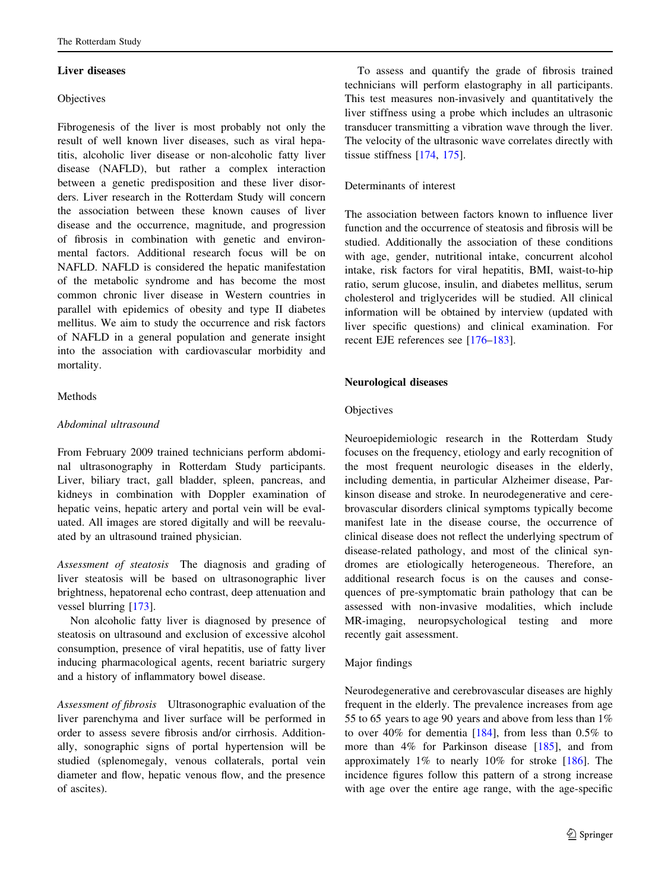# Liver diseases

# **Objectives**

Fibrogenesis of the liver is most probably not only the result of well known liver diseases, such as viral hepatitis, alcoholic liver disease or non-alcoholic fatty liver disease (NAFLD), but rather a complex interaction between a genetic predisposition and these liver disorders. Liver research in the Rotterdam Study will concern the association between these known causes of liver disease and the occurrence, magnitude, and progression of fibrosis in combination with genetic and environmental factors. Additional research focus will be on NAFLD. NAFLD is considered the hepatic manifestation of the metabolic syndrome and has become the most common chronic liver disease in Western countries in parallel with epidemics of obesity and type II diabetes mellitus. We aim to study the occurrence and risk factors of NAFLD in a general population and generate insight into the association with cardiovascular morbidity and mortality.

# Methods

# Abdominal ultrasound

From February 2009 trained technicians perform abdominal ultrasonography in Rotterdam Study participants. Liver, biliary tract, gall bladder, spleen, pancreas, and kidneys in combination with Doppler examination of hepatic veins, hepatic artery and portal vein will be evaluated. All images are stored digitally and will be reevaluated by an ultrasound trained physician.

Assessment of steatosis The diagnosis and grading of liver steatosis will be based on ultrasonographic liver brightness, hepatorenal echo contrast, deep attenuation and vessel blurring [[173\]](#page-23-0).

Non alcoholic fatty liver is diagnosed by presence of steatosis on ultrasound and exclusion of excessive alcohol consumption, presence of viral hepatitis, use of fatty liver inducing pharmacological agents, recent bariatric surgery and a history of inflammatory bowel disease.

Assessment of fibrosis Ultrasonographic evaluation of the liver parenchyma and liver surface will be performed in order to assess severe fibrosis and/or cirrhosis. Additionally, sonographic signs of portal hypertension will be studied (splenomegaly, venous collaterals, portal vein diameter and flow, hepatic venous flow, and the presence of ascites).

To assess and quantify the grade of fibrosis trained technicians will perform elastography in all participants. This test measures non-invasively and quantitatively the liver stiffness using a probe which includes an ultrasonic transducer transmitting a vibration wave through the liver. The velocity of the ultrasonic wave correlates directly with tissue stiffness [\[174](#page-23-0), [175\]](#page-23-0).

# Determinants of interest

The association between factors known to influence liver function and the occurrence of steatosis and fibrosis will be studied. Additionally the association of these conditions with age, gender, nutritional intake, concurrent alcohol intake, risk factors for viral hepatitis, BMI, waist-to-hip ratio, serum glucose, insulin, and diabetes mellitus, serum cholesterol and triglycerides will be studied. All clinical information will be obtained by interview (updated with liver specific questions) and clinical examination. For recent EJE references see [\[176–183](#page-23-0)].

# Neurological diseases

# **Objectives**

Neuroepidemiologic research in the Rotterdam Study focuses on the frequency, etiology and early recognition of the most frequent neurologic diseases in the elderly, including dementia, in particular Alzheimer disease, Parkinson disease and stroke. In neurodegenerative and cerebrovascular disorders clinical symptoms typically become manifest late in the disease course, the occurrence of clinical disease does not reflect the underlying spectrum of disease-related pathology, and most of the clinical syndromes are etiologically heterogeneous. Therefore, an additional research focus is on the causes and consequences of pre-symptomatic brain pathology that can be assessed with non-invasive modalities, which include MR-imaging, neuropsychological testing and more recently gait assessment.

# Major findings

Neurodegenerative and cerebrovascular diseases are highly frequent in the elderly. The prevalence increases from age 55 to 65 years to age 90 years and above from less than 1% to over 40% for dementia [\[184](#page-23-0)], from less than 0.5% to more than 4% for Parkinson disease [\[185](#page-23-0)], and from approximately 1% to nearly 10% for stroke [[186\]](#page-23-0). The incidence figures follow this pattern of a strong increase with age over the entire age range, with the age-specific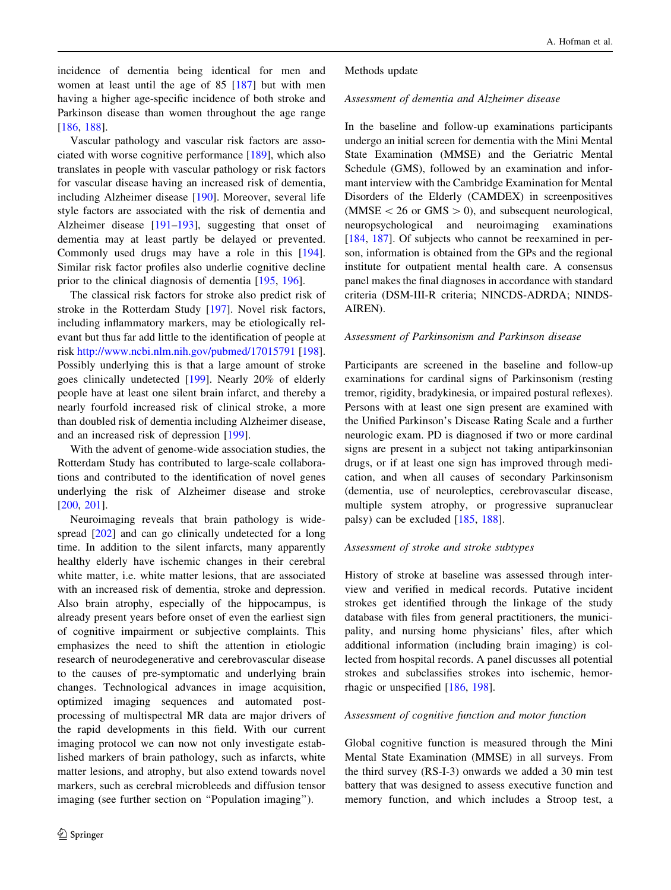incidence of dementia being identical for men and women at least until the age of 85 [\[187](#page-23-0)] but with men having a higher age-specific incidence of both stroke and Parkinson disease than women throughout the age range [\[186](#page-23-0), [188](#page-23-0)].

Vascular pathology and vascular risk factors are associated with worse cognitive performance [\[189](#page-23-0)], which also translates in people with vascular pathology or risk factors for vascular disease having an increased risk of dementia, including Alzheimer disease [\[190](#page-23-0)]. Moreover, several life style factors are associated with the risk of dementia and Alzheimer disease [\[191](#page-23-0)[–193](#page-24-0)], suggesting that onset of dementia may at least partly be delayed or prevented. Commonly used drugs may have a role in this [\[194](#page-24-0)]. Similar risk factor profiles also underlie cognitive decline prior to the clinical diagnosis of dementia [[195,](#page-24-0) [196](#page-24-0)].

The classical risk factors for stroke also predict risk of stroke in the Rotterdam Study [\[197](#page-24-0)]. Novel risk factors, including inflammatory markers, may be etiologically relevant but thus far add little to the identification of people at risk <http://www.ncbi.nlm.nih.gov/pubmed/17015791> [\[198](#page-24-0)]. Possibly underlying this is that a large amount of stroke goes clinically undetected [[199\]](#page-24-0). Nearly 20% of elderly people have at least one silent brain infarct, and thereby a nearly fourfold increased risk of clinical stroke, a more than doubled risk of dementia including Alzheimer disease, and an increased risk of depression [\[199](#page-24-0)].

With the advent of genome-wide association studies, the Rotterdam Study has contributed to large-scale collaborations and contributed to the identification of novel genes underlying the risk of Alzheimer disease and stroke [\[200](#page-24-0), [201](#page-24-0)].

Neuroimaging reveals that brain pathology is widespread  $[202]$  $[202]$  and can go clinically undetected for a long time. In addition to the silent infarcts, many apparently healthy elderly have ischemic changes in their cerebral white matter, i.e. white matter lesions, that are associated with an increased risk of dementia, stroke and depression. Also brain atrophy, especially of the hippocampus, is already present years before onset of even the earliest sign of cognitive impairment or subjective complaints. This emphasizes the need to shift the attention in etiologic research of neurodegenerative and cerebrovascular disease to the causes of pre-symptomatic and underlying brain changes. Technological advances in image acquisition, optimized imaging sequences and automated postprocessing of multispectral MR data are major drivers of the rapid developments in this field. With our current imaging protocol we can now not only investigate established markers of brain pathology, such as infarcts, white matter lesions, and atrophy, but also extend towards novel markers, such as cerebral microbleeds and diffusion tensor imaging (see further section on ''Population imaging'').

#### Methods update

#### Assessment of dementia and Alzheimer disease

In the baseline and follow-up examinations participants undergo an initial screen for dementia with the Mini Mental State Examination (MMSE) and the Geriatric Mental Schedule (GMS), followed by an examination and informant interview with the Cambridge Examination for Mental Disorders of the Elderly (CAMDEX) in screenpositives  $(MMSE < 26 \text{ or } GMS > 0)$ , and subsequent neurological, neuropsychological and neuroimaging examinations [\[184](#page-23-0), [187](#page-23-0)]. Of subjects who cannot be reexamined in person, information is obtained from the GPs and the regional institute for outpatient mental health care. A consensus panel makes the final diagnoses in accordance with standard criteria (DSM-III-R criteria; NINCDS-ADRDA; NINDS-AIREN).

#### Assessment of Parkinsonism and Parkinson disease

Participants are screened in the baseline and follow-up examinations for cardinal signs of Parkinsonism (resting tremor, rigidity, bradykinesia, or impaired postural reflexes). Persons with at least one sign present are examined with the Unified Parkinson's Disease Rating Scale and a further neurologic exam. PD is diagnosed if two or more cardinal signs are present in a subject not taking antiparkinsonian drugs, or if at least one sign has improved through medication, and when all causes of secondary Parkinsonism (dementia, use of neuroleptics, cerebrovascular disease, multiple system atrophy, or progressive supranuclear palsy) can be excluded [[185,](#page-23-0) [188\]](#page-23-0).

#### Assessment of stroke and stroke subtypes

History of stroke at baseline was assessed through interview and verified in medical records. Putative incident strokes get identified through the linkage of the study database with files from general practitioners, the municipality, and nursing home physicians' files, after which additional information (including brain imaging) is collected from hospital records. A panel discusses all potential strokes and subclassifies strokes into ischemic, hemorrhagic or unspecified [\[186](#page-23-0), [198](#page-24-0)].

# Assessment of cognitive function and motor function

Global cognitive function is measured through the Mini Mental State Examination (MMSE) in all surveys. From the third survey (RS-I-3) onwards we added a 30 min test battery that was designed to assess executive function and memory function, and which includes a Stroop test, a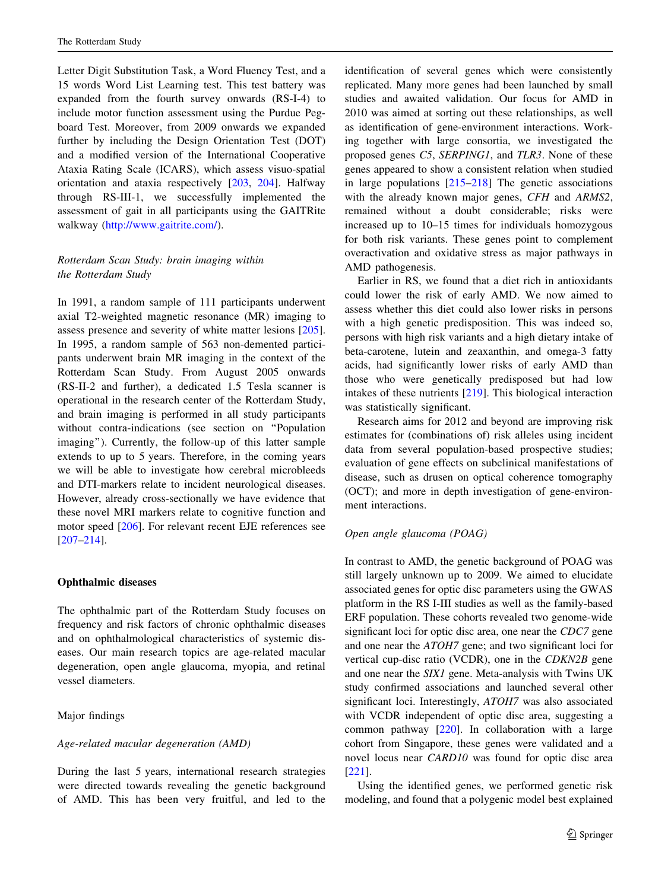Letter Digit Substitution Task, a Word Fluency Test, and a 15 words Word List Learning test. This test battery was expanded from the fourth survey onwards (RS-I-4) to include motor function assessment using the Purdue Pegboard Test. Moreover, from 2009 onwards we expanded further by including the Design Orientation Test (DOT) and a modified version of the International Cooperative Ataxia Rating Scale (ICARS), which assess visuo-spatial orientation and ataxia respectively [[203,](#page-24-0) [204\]](#page-24-0). Halfway through RS-III-1, we successfully implemented the assessment of gait in all participants using the GAITRite walkway ([http://www.gaitrite.com/\)](http://www.gaitrite.com/).

# Rotterdam Scan Study: brain imaging within the Rotterdam Study

In 1991, a random sample of 111 participants underwent axial T2-weighted magnetic resonance (MR) imaging to assess presence and severity of white matter lesions [\[205](#page-24-0)]. In 1995, a random sample of 563 non-demented participants underwent brain MR imaging in the context of the Rotterdam Scan Study. From August 2005 onwards (RS-II-2 and further), a dedicated 1.5 Tesla scanner is operational in the research center of the Rotterdam Study, and brain imaging is performed in all study participants without contra-indications (see section on ''Population imaging''). Currently, the follow-up of this latter sample extends to up to 5 years. Therefore, in the coming years we will be able to investigate how cerebral microbleeds and DTI-markers relate to incident neurological diseases. However, already cross-sectionally we have evidence that these novel MRI markers relate to cognitive function and motor speed [[206\]](#page-24-0). For relevant recent EJE references see [\[207–214](#page-24-0)].

# Ophthalmic diseases

The ophthalmic part of the Rotterdam Study focuses on frequency and risk factors of chronic ophthalmic diseases and on ophthalmological characteristics of systemic diseases. Our main research topics are age-related macular degeneration, open angle glaucoma, myopia, and retinal vessel diameters.

# Major findings

#### Age-related macular degeneration (AMD)

During the last 5 years, international research strategies were directed towards revealing the genetic background of AMD. This has been very fruitful, and led to the identification of several genes which were consistently replicated. Many more genes had been launched by small studies and awaited validation. Our focus for AMD in 2010 was aimed at sorting out these relationships, as well as identification of gene-environment interactions. Working together with large consortia, we investigated the proposed genes C5, SERPING1, and TLR3. None of these genes appeared to show a consistent relation when studied in large populations [[215–218](#page-24-0)] The genetic associations with the already known major genes, CFH and ARMS2, remained without a doubt considerable; risks were increased up to 10–15 times for individuals homozygous for both risk variants. These genes point to complement overactivation and oxidative stress as major pathways in AMD pathogenesis.

Earlier in RS, we found that a diet rich in antioxidants could lower the risk of early AMD. We now aimed to assess whether this diet could also lower risks in persons with a high genetic predisposition. This was indeed so, persons with high risk variants and a high dietary intake of beta-carotene, lutein and zeaxanthin, and omega-3 fatty acids, had significantly lower risks of early AMD than those who were genetically predisposed but had low intakes of these nutrients [[219\]](#page-24-0). This biological interaction was statistically significant.

Research aims for 2012 and beyond are improving risk estimates for (combinations of) risk alleles using incident data from several population-based prospective studies; evaluation of gene effects on subclinical manifestations of disease, such as drusen on optical coherence tomography (OCT); and more in depth investigation of gene-environment interactions.

# Open angle glaucoma (POAG)

In contrast to AMD, the genetic background of POAG was still largely unknown up to 2009. We aimed to elucidate associated genes for optic disc parameters using the GWAS platform in the RS I-III studies as well as the family-based ERF population. These cohorts revealed two genome-wide significant loci for optic disc area, one near the CDC7 gene and one near the ATOH7 gene; and two significant loci for vertical cup-disc ratio (VCDR), one in the CDKN2B gene and one near the SIX1 gene. Meta-analysis with Twins UK study confirmed associations and launched several other significant loci. Interestingly, ATOH7 was also associated with VCDR independent of optic disc area, suggesting a common pathway [\[220](#page-24-0)]. In collaboration with a large cohort from Singapore, these genes were validated and a novel locus near CARD10 was found for optic disc area [\[221](#page-24-0)].

Using the identified genes, we performed genetic risk modeling, and found that a polygenic model best explained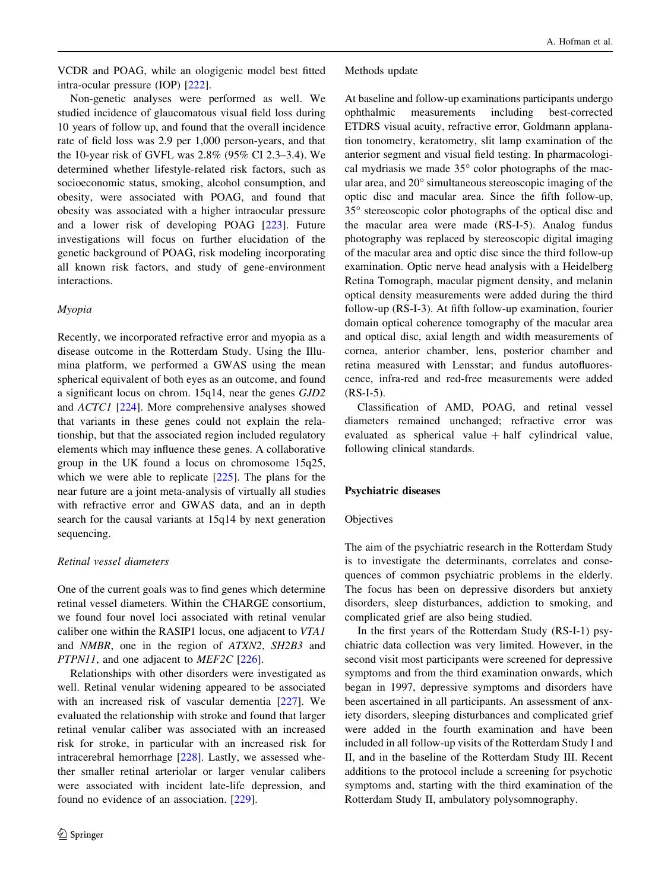VCDR and POAG, while an ologigenic model best fitted intra-ocular pressure (IOP) [\[222](#page-24-0)].

Non-genetic analyses were performed as well. We studied incidence of glaucomatous visual field loss during 10 years of follow up, and found that the overall incidence rate of field loss was 2.9 per 1,000 person-years, and that the 10-year risk of GVFL was 2.8% (95% CI 2.3–3.4). We determined whether lifestyle-related risk factors, such as socioeconomic status, smoking, alcohol consumption, and obesity, were associated with POAG, and found that obesity was associated with a higher intraocular pressure and a lower risk of developing POAG [[223\]](#page-24-0). Future investigations will focus on further elucidation of the genetic background of POAG, risk modeling incorporating all known risk factors, and study of gene-environment interactions.

# Myopia

Recently, we incorporated refractive error and myopia as a disease outcome in the Rotterdam Study. Using the Illumina platform, we performed a GWAS using the mean spherical equivalent of both eyes as an outcome, and found a significant locus on chrom. 15q14, near the genes GJD2 and ACTC1 [\[224](#page-24-0)]. More comprehensive analyses showed that variants in these genes could not explain the relationship, but that the associated region included regulatory elements which may influence these genes. A collaborative group in the UK found a locus on chromosome 15q25, which we were able to replicate  $[225]$  $[225]$ . The plans for the near future are a joint meta-analysis of virtually all studies with refractive error and GWAS data, and an in depth search for the causal variants at 15q14 by next generation sequencing.

# Retinal vessel diameters

One of the current goals was to find genes which determine retinal vessel diameters. Within the CHARGE consortium, we found four novel loci associated with retinal venular caliber one within the RASIP1 locus, one adjacent to VTA1 and NMBR, one in the region of ATXN2, SH2B3 and PTPN11, and one adjacent to MEF2C [[226\]](#page-24-0).

Relationships with other disorders were investigated as well. Retinal venular widening appeared to be associated with an increased risk of vascular dementia [\[227](#page-24-0)]. We evaluated the relationship with stroke and found that larger retinal venular caliber was associated with an increased risk for stroke, in particular with an increased risk for intracerebral hemorrhage [\[228](#page-25-0)]. Lastly, we assessed whether smaller retinal arteriolar or larger venular calibers were associated with incident late-life depression, and found no evidence of an association. [[229\]](#page-25-0).

#### Methods update

At baseline and follow-up examinations participants undergo ophthalmic measurements including best-corrected ETDRS visual acuity, refractive error, Goldmann applanation tonometry, keratometry, slit lamp examination of the anterior segment and visual field testing. In pharmacological mydriasis we made  $35^{\circ}$  color photographs of the macular area, and  $20^{\circ}$  simultaneous stereoscopic imaging of the optic disc and macular area. Since the fifth follow-up, 35 stereoscopic color photographs of the optical disc and the macular area were made (RS-I-5). Analog fundus photography was replaced by stereoscopic digital imaging of the macular area and optic disc since the third follow-up examination. Optic nerve head analysis with a Heidelberg Retina Tomograph, macular pigment density, and melanin optical density measurements were added during the third follow-up (RS-I-3). At fifth follow-up examination, fourier domain optical coherence tomography of the macular area and optical disc, axial length and width measurements of cornea, anterior chamber, lens, posterior chamber and retina measured with Lensstar; and fundus autofluorescence, infra-red and red-free measurements were added (RS-I-5).

Classification of AMD, POAG, and retinal vessel diameters remained unchanged; refractive error was evaluated as spherical value  $+$  half cylindrical value, following clinical standards.

#### Psychiatric diseases

#### **Objectives**

The aim of the psychiatric research in the Rotterdam Study is to investigate the determinants, correlates and consequences of common psychiatric problems in the elderly. The focus has been on depressive disorders but anxiety disorders, sleep disturbances, addiction to smoking, and complicated grief are also being studied.

In the first years of the Rotterdam Study (RS-I-1) psychiatric data collection was very limited. However, in the second visit most participants were screened for depressive symptoms and from the third examination onwards, which began in 1997, depressive symptoms and disorders have been ascertained in all participants. An assessment of anxiety disorders, sleeping disturbances and complicated grief were added in the fourth examination and have been included in all follow-up visits of the Rotterdam Study I and II, and in the baseline of the Rotterdam Study III. Recent additions to the protocol include a screening for psychotic symptoms and, starting with the third examination of the Rotterdam Study II, ambulatory polysomnography.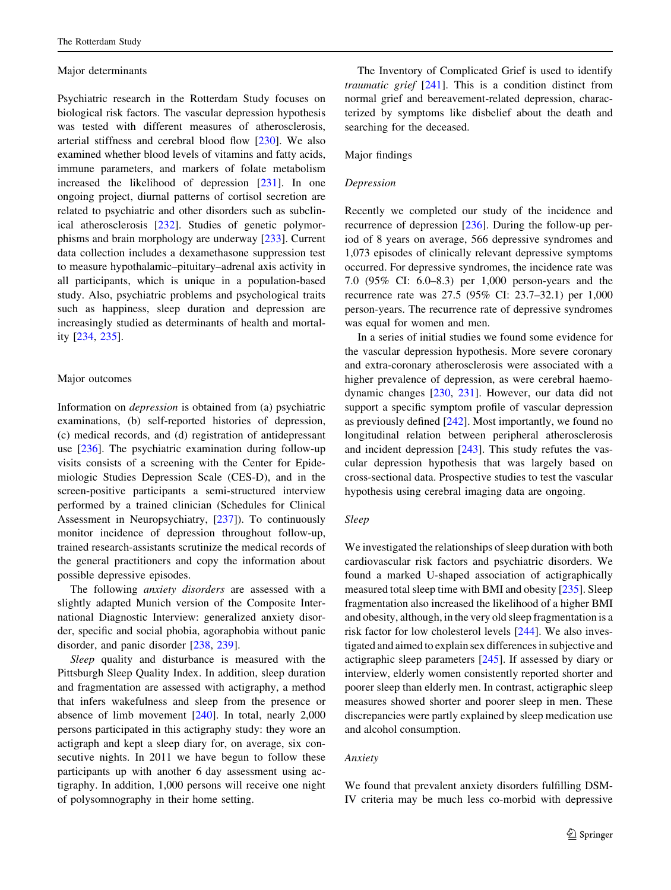#### Major determinants

Psychiatric research in the Rotterdam Study focuses on biological risk factors. The vascular depression hypothesis was tested with different measures of atherosclerosis, arterial stiffness and cerebral blood flow [[230\]](#page-25-0). We also examined whether blood levels of vitamins and fatty acids, immune parameters, and markers of folate metabolism increased the likelihood of depression [\[231](#page-25-0)]. In one ongoing project, diurnal patterns of cortisol secretion are related to psychiatric and other disorders such as subclinical atherosclerosis [\[232](#page-25-0)]. Studies of genetic polymorphisms and brain morphology are underway [[233\]](#page-25-0). Current data collection includes a dexamethasone suppression test to measure hypothalamic–pituitary–adrenal axis activity in all participants, which is unique in a population-based study. Also, psychiatric problems and psychological traits such as happiness, sleep duration and depression are increasingly studied as determinants of health and mortality [\[234](#page-25-0), [235](#page-25-0)].

## Major outcomes

Information on depression is obtained from (a) psychiatric examinations, (b) self-reported histories of depression, (c) medical records, and (d) registration of antidepressant use [[236\]](#page-25-0). The psychiatric examination during follow-up visits consists of a screening with the Center for Epidemiologic Studies Depression Scale (CES-D), and in the screen-positive participants a semi-structured interview performed by a trained clinician (Schedules for Clinical Assessment in Neuropsychiatry, [[237\]](#page-25-0)). To continuously monitor incidence of depression throughout follow-up, trained research-assistants scrutinize the medical records of the general practitioners and copy the information about possible depressive episodes.

The following *anxiety disorders* are assessed with a slightly adapted Munich version of the Composite International Diagnostic Interview: generalized anxiety disorder, specific and social phobia, agoraphobia without panic disorder, and panic disorder [[238,](#page-25-0) [239\]](#page-25-0).

Sleep quality and disturbance is measured with the Pittsburgh Sleep Quality Index. In addition, sleep duration and fragmentation are assessed with actigraphy, a method that infers wakefulness and sleep from the presence or absence of limb movement [[240\]](#page-25-0). In total, nearly 2,000 persons participated in this actigraphy study: they wore an actigraph and kept a sleep diary for, on average, six consecutive nights. In 2011 we have begun to follow these participants up with another 6 day assessment using actigraphy. In addition, 1,000 persons will receive one night of polysomnography in their home setting.

The Inventory of Complicated Grief is used to identify traumatic grief [\[241](#page-25-0)]. This is a condition distinct from normal grief and bereavement-related depression, characterized by symptoms like disbelief about the death and searching for the deceased.

# Major findings

#### Depression

Recently we completed our study of the incidence and recurrence of depression [\[236](#page-25-0)]. During the follow-up period of 8 years on average, 566 depressive syndromes and 1,073 episodes of clinically relevant depressive symptoms occurred. For depressive syndromes, the incidence rate was 7.0 (95% CI: 6.0–8.3) per 1,000 person-years and the recurrence rate was 27.5 (95% CI: 23.7–32.1) per 1,000 person-years. The recurrence rate of depressive syndromes was equal for women and men.

In a series of initial studies we found some evidence for the vascular depression hypothesis. More severe coronary and extra-coronary atherosclerosis were associated with a higher prevalence of depression, as were cerebral haemodynamic changes [[230,](#page-25-0) [231\]](#page-25-0). However, our data did not support a specific symptom profile of vascular depression as previously defined [[242\]](#page-25-0). Most importantly, we found no longitudinal relation between peripheral atherosclerosis and incident depression [[243\]](#page-25-0). This study refutes the vascular depression hypothesis that was largely based on cross-sectional data. Prospective studies to test the vascular hypothesis using cerebral imaging data are ongoing.

#### Sleep

We investigated the relationships of sleep duration with both cardiovascular risk factors and psychiatric disorders. We found a marked U-shaped association of actigraphically measured total sleep time with BMI and obesity [\[235](#page-25-0)]. Sleep fragmentation also increased the likelihood of a higher BMI and obesity, although, in the very old sleep fragmentation is a risk factor for low cholesterol levels [[244\]](#page-25-0). We also investigated and aimed to explain sex differences in subjective and actigraphic sleep parameters [\[245](#page-25-0)]. If assessed by diary or interview, elderly women consistently reported shorter and poorer sleep than elderly men. In contrast, actigraphic sleep measures showed shorter and poorer sleep in men. These discrepancies were partly explained by sleep medication use and alcohol consumption.

#### Anxiety

We found that prevalent anxiety disorders fulfilling DSM-IV criteria may be much less co-morbid with depressive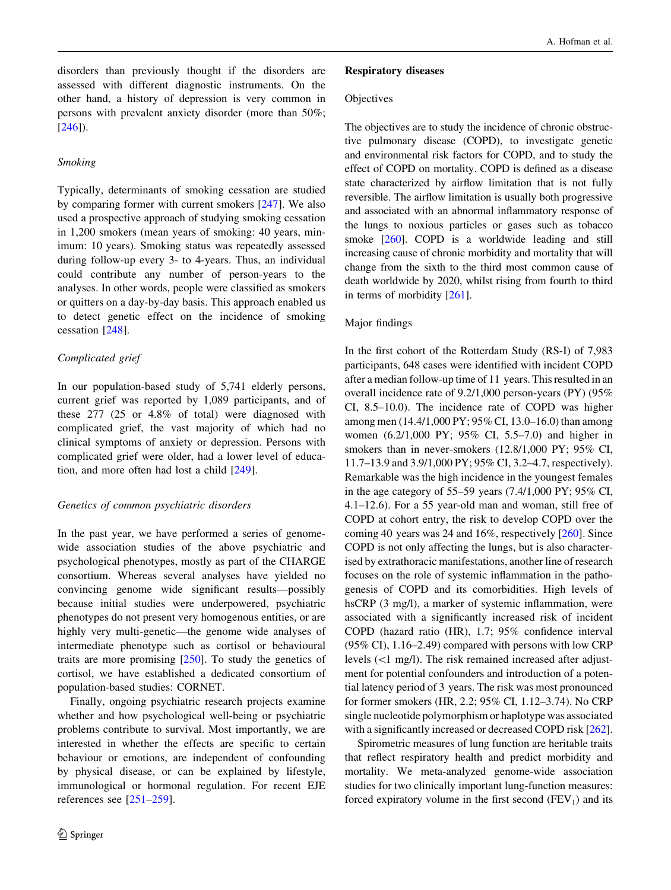disorders than previously thought if the disorders are assessed with different diagnostic instruments. On the other hand, a history of depression is very common in persons with prevalent anxiety disorder (more than 50%;  $[246]$  $[246]$ .

#### Smoking

Typically, determinants of smoking cessation are studied by comparing former with current smokers [\[247](#page-25-0)]. We also used a prospective approach of studying smoking cessation in 1,200 smokers (mean years of smoking: 40 years, minimum: 10 years). Smoking status was repeatedly assessed during follow-up every 3- to 4-years. Thus, an individual could contribute any number of person-years to the analyses. In other words, people were classified as smokers or quitters on a day-by-day basis. This approach enabled us to detect genetic effect on the incidence of smoking cessation [\[248](#page-25-0)].

#### Complicated grief

In our population-based study of 5,741 elderly persons, current grief was reported by 1,089 participants, and of these 277 (25 or 4.8% of total) were diagnosed with complicated grief, the vast majority of which had no clinical symptoms of anxiety or depression. Persons with complicated grief were older, had a lower level of education, and more often had lost a child [\[249](#page-25-0)].

# Genetics of common psychiatric disorders

In the past year, we have performed a series of genomewide association studies of the above psychiatric and psychological phenotypes, mostly as part of the CHARGE consortium. Whereas several analyses have yielded no convincing genome wide significant results—possibly because initial studies were underpowered, psychiatric phenotypes do not present very homogenous entities, or are highly very multi-genetic—the genome wide analyses of intermediate phenotype such as cortisol or behavioural traits are more promising  $[250]$  $[250]$ . To study the genetics of cortisol, we have established a dedicated consortium of population-based studies: CORNET.

Finally, ongoing psychiatric research projects examine whether and how psychological well-being or psychiatric problems contribute to survival. Most importantly, we are interested in whether the effects are specific to certain behaviour or emotions, are independent of confounding by physical disease, or can be explained by lifestyle, immunological or hormonal regulation. For recent EJE references see [[251–259\]](#page-25-0).

#### Respiratory diseases

## **Objectives**

The objectives are to study the incidence of chronic obstructive pulmonary disease (COPD), to investigate genetic and environmental risk factors for COPD, and to study the effect of COPD on mortality. COPD is defined as a disease state characterized by airflow limitation that is not fully reversible. The airflow limitation is usually both progressive and associated with an abnormal inflammatory response of the lungs to noxious particles or gases such as tobacco smoke [[260](#page-25-0)]. COPD is a worldwide leading and still increasing cause of chronic morbidity and mortality that will change from the sixth to the third most common cause of death worldwide by 2020, whilst rising from fourth to third in terms of morbidity [[261](#page-25-0)].

#### Major findings

In the first cohort of the Rotterdam Study (RS-I) of 7,983 participants, 648 cases were identified with incident COPD after a median follow-up time of 11 years. This resulted in an overall incidence rate of 9.2/1,000 person-years (PY) (95% CI, 8.5–10.0). The incidence rate of COPD was higher among men (14.4/1,000 PY; 95% CI, 13.0–16.0) than among women (6.2/1,000 PY; 95% CI, 5.5–7.0) and higher in smokers than in never-smokers (12.8/1,000 PY; 95% CI, 11.7–13.9 and 3.9/1,000 PY; 95% CI, 3.2–4.7, respectively). Remarkable was the high incidence in the youngest females in the age category of 55–59 years (7.4/1,000 PY; 95% CI, 4.1–12.6). For a 55 year-old man and woman, still free of COPD at cohort entry, the risk to develop COPD over the coming 40 years was 24 and 16%, respectively [[260\]](#page-25-0). Since COPD is not only affecting the lungs, but is also characterised by extrathoracic manifestations, another line of research focuses on the role of systemic inflammation in the pathogenesis of COPD and its comorbidities. High levels of hsCRP (3 mg/l), a marker of systemic inflammation, were associated with a significantly increased risk of incident COPD (hazard ratio (HR), 1.7; 95% confidence interval (95% CI), 1.16–2.49) compared with persons with low CRP levels (\1 mg/l). The risk remained increased after adjustment for potential confounders and introduction of a potential latency period of 3 years. The risk was most pronounced for former smokers (HR, 2.2; 95% CI, 1.12–3.74). No CRP single nucleotide polymorphism or haplotype was associated with a significantly increased or decreased COPD risk [\[262](#page-25-0)].

Spirometric measures of lung function are heritable traits that reflect respiratory health and predict morbidity and mortality. We meta-analyzed genome-wide association studies for two clinically important lung-function measures: forced expiratory volume in the first second  $(FEV_1)$  and its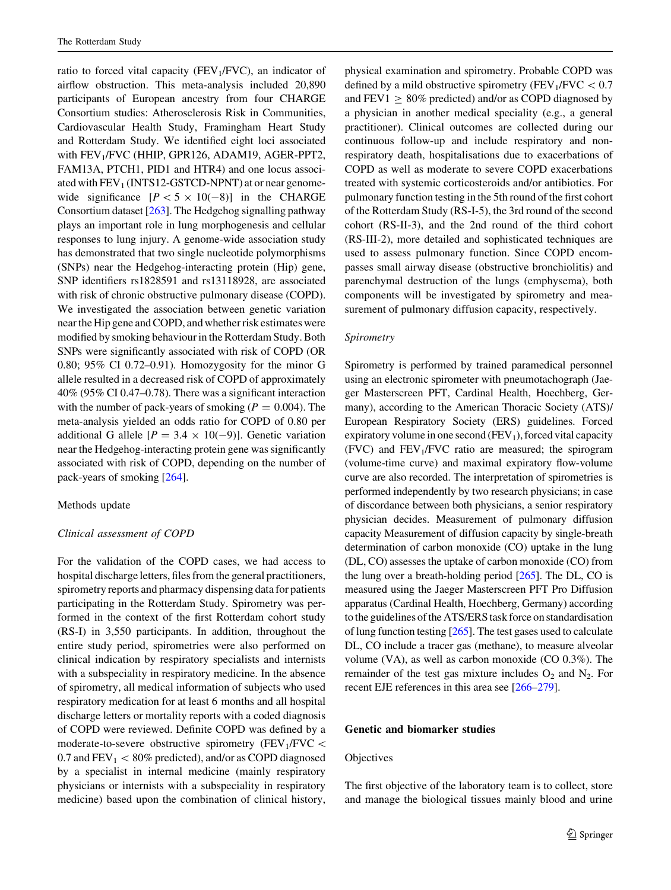<span id="page-12-0"></span>ratio to forced vital capacity (FEV<sub>1</sub>/FVC), an indicator of airflow obstruction. This meta-analysis included 20,890 participants of European ancestry from four CHARGE Consortium studies: Atherosclerosis Risk in Communities, Cardiovascular Health Study, Framingham Heart Study and Rotterdam Study. We identified eight loci associated with FEV<sub>1</sub>/FVC (HHIP, GPR126, ADAM19, AGER-PPT2, FAM13A, PTCH1, PID1 and HTR4) and one locus associated with  $FEV<sub>1</sub>$  (INTS12-GSTCD-NPNT) at or near genomewide significance  $[P<5 \times 10(-8)]$  in the CHARGE Consortium dataset [\[263](#page-26-0)]. The Hedgehog signalling pathway plays an important role in lung morphogenesis and cellular responses to lung injury. A genome-wide association study has demonstrated that two single nucleotide polymorphisms (SNPs) near the Hedgehog-interacting protein (Hip) gene, SNP identifiers rs1828591 and rs13118928, are associated with risk of chronic obstructive pulmonary disease (COPD). We investigated the association between genetic variation near the Hip gene and COPD, and whether risk estimates were modified by smoking behaviour in the Rotterdam Study. Both SNPs were significantly associated with risk of COPD (OR 0.80; 95% CI 0.72–0.91). Homozygosity for the minor G allele resulted in a decreased risk of COPD of approximately 40% (95% CI 0.47–0.78). There was a significant interaction with the number of pack-years of smoking ( $P = 0.004$ ). The meta-analysis yielded an odds ratio for COPD of 0.80 per additional G allele  $[P = 3.4 \times 10(-9)]$ . Genetic variation near the Hedgehog-interacting protein gene was significantly associated with risk of COPD, depending on the number of pack-years of smoking [[264\]](#page-26-0).

# Methods update

#### Clinical assessment of COPD

For the validation of the COPD cases, we had access to hospital discharge letters, files from the general practitioners, spirometry reports and pharmacy dispensing data for patients participating in the Rotterdam Study. Spirometry was performed in the context of the first Rotterdam cohort study (RS-I) in 3,550 participants. In addition, throughout the entire study period, spirometries were also performed on clinical indication by respiratory specialists and internists with a subspeciality in respiratory medicine. In the absence of spirometry, all medical information of subjects who used respiratory medication for at least 6 months and all hospital discharge letters or mortality reports with a coded diagnosis of COPD were reviewed. Definite COPD was defined by a moderate-to-severe obstructive spirometry (FEV<sub>1</sub>/FVC  $\lt$ 0.7 and  $FEV_1 < 80\%$  predicted), and/or as COPD diagnosed by a specialist in internal medicine (mainly respiratory physicians or internists with a subspeciality in respiratory medicine) based upon the combination of clinical history, physical examination and spirometry. Probable COPD was defined by a mild obstructive spirometry (FEV<sub>1</sub>/FVC  $< 0.7$ ) and  $FEV1 > 80\%$  predicted) and/or as COPD diagnosed by a physician in another medical speciality (e.g., a general practitioner). Clinical outcomes are collected during our continuous follow-up and include respiratory and nonrespiratory death, hospitalisations due to exacerbations of COPD as well as moderate to severe COPD exacerbations treated with systemic corticosteroids and/or antibiotics. For pulmonary function testing in the 5th round of the first cohort of the Rotterdam Study (RS-I-5), the 3rd round of the second cohort (RS-II-3), and the 2nd round of the third cohort (RS-III-2), more detailed and sophisticated techniques are used to assess pulmonary function. Since COPD encompasses small airway disease (obstructive bronchiolitis) and parenchymal destruction of the lungs (emphysema), both components will be investigated by spirometry and measurement of pulmonary diffusion capacity, respectively.

# Spirometry

Spirometry is performed by trained paramedical personnel using an electronic spirometer with pneumotachograph (Jaeger Masterscreen PFT, Cardinal Health, Hoechberg, Germany), according to the American Thoracic Society (ATS)/ European Respiratory Society (ERS) guidelines. Forced expiratory volume in one second  $(FEV_1)$ , forced vital capacity  $(FVC)$  and  $FEV<sub>1</sub>/FVC$  ratio are measured; the spirogram (volume-time curve) and maximal expiratory flow-volume curve are also recorded. The interpretation of spirometries is performed independently by two research physicians; in case of discordance between both physicians, a senior respiratory physician decides. Measurement of pulmonary diffusion capacity Measurement of diffusion capacity by single-breath determination of carbon monoxide (CO) uptake in the lung (DL, CO) assesses the uptake of carbon monoxide (CO) from the lung over a breath-holding period [\[265\]](#page-26-0). The DL, CO is measured using the Jaeger Masterscreen PFT Pro Diffusion apparatus (Cardinal Health, Hoechberg, Germany) according to the guidelines of the ATS/ERS task force on standardisation of lung function testing [\[265](#page-26-0)]. The test gases used to calculate DL, CO include a tracer gas (methane), to measure alveolar volume (VA), as well as carbon monoxide (CO 0.3%). The remainder of the test gas mixture includes  $O_2$  and  $N_2$ . For recent EJE references in this area see [[266–279\]](#page-26-0).

### Genetic and biomarker studies

# **Objectives**

The first objective of the laboratory team is to collect, store and manage the biological tissues mainly blood and urine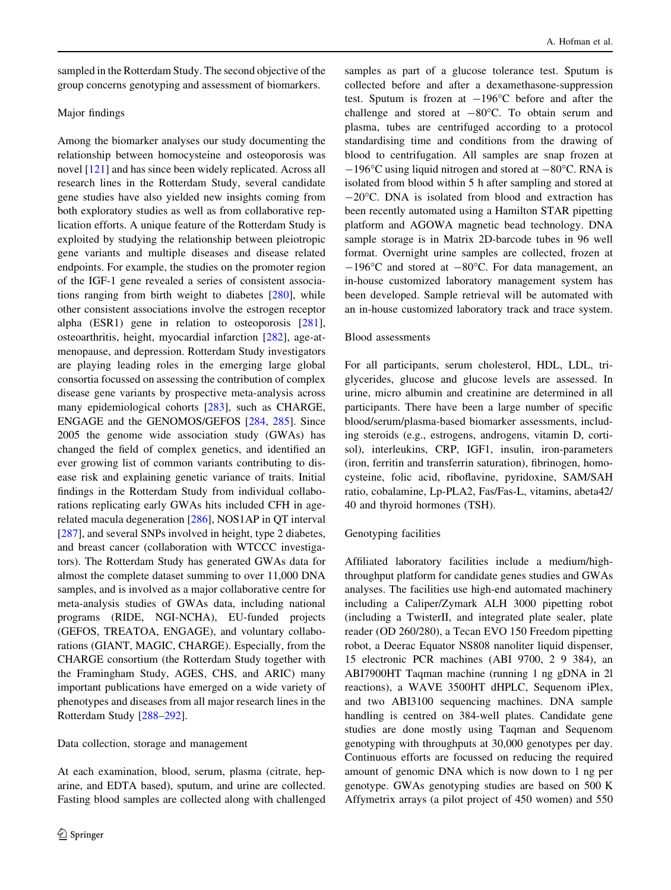sampled in the Rotterdam Study. The second objective of the group concerns genotyping and assessment of biomarkers.

# Major findings

Among the biomarker analyses our study documenting the relationship between homocysteine and osteoporosis was novel [[121\]](#page-21-0) and has since been widely replicated. Across all research lines in the Rotterdam Study, several candidate gene studies have also yielded new insights coming from both exploratory studies as well as from collaborative replication efforts. A unique feature of the Rotterdam Study is exploited by studying the relationship between pleiotropic gene variants and multiple diseases and disease related endpoints. For example, the studies on the promoter region of the IGF-1 gene revealed a series of consistent associations ranging from birth weight to diabetes [[280\]](#page-26-0), while other consistent associations involve the estrogen receptor alpha (ESR1) gene in relation to osteoporosis [\[281](#page-26-0)], osteoarthritis, height, myocardial infarction [[282](#page-26-0)], age-atmenopause, and depression. Rotterdam Study investigators are playing leading roles in the emerging large global consortia focussed on assessing the contribution of complex disease gene variants by prospective meta-analysis across many epidemiological cohorts [\[283](#page-26-0)], such as CHARGE, ENGAGE and the GENOMOS/GEFOS [[284,](#page-26-0) [285](#page-26-0)]. Since 2005 the genome wide association study (GWAs) has changed the field of complex genetics, and identified an ever growing list of common variants contributing to disease risk and explaining genetic variance of traits. Initial findings in the Rotterdam Study from individual collaborations replicating early GWAs hits included CFH in agerelated macula degeneration [[286\]](#page-26-0), NOS1AP in QT interval [\[287](#page-26-0)], and several SNPs involved in height, type 2 diabetes, and breast cancer (collaboration with WTCCC investigators). The Rotterdam Study has generated GWAs data for almost the complete dataset summing to over 11,000 DNA samples, and is involved as a major collaborative centre for meta-analysis studies of GWAs data, including national programs (RIDE, NGI-NCHA), EU-funded projects (GEFOS, TREATOA, ENGAGE), and voluntary collaborations (GIANT, MAGIC, CHARGE). Especially, from the CHARGE consortium (the Rotterdam Study together with the Framingham Study, AGES, CHS, and ARIC) many important publications have emerged on a wide variety of phenotypes and diseases from all major research lines in the Rotterdam Study [[288–292\]](#page-26-0).

### Data collection, storage and management

At each examination, blood, serum, plasma (citrate, heparine, and EDTA based), sputum, and urine are collected. Fasting blood samples are collected along with challenged

samples as part of a glucose tolerance test. Sputum is collected before and after a dexamethasone-suppression test. Sputum is frozen at  $-196^{\circ}$ C before and after the challenge and stored at  $-80^{\circ}$ C. To obtain serum and plasma, tubes are centrifuged according to a protocol standardising time and conditions from the drawing of blood to centrifugation. All samples are snap frozen at  $-196^{\circ}$ C using liquid nitrogen and stored at  $-80^{\circ}$ C. RNA is isolated from blood within 5 h after sampling and stored at  $-20^{\circ}$ C. DNA is isolated from blood and extraction has been recently automated using a Hamilton STAR pipetting platform and AGOWA magnetic bead technology. DNA sample storage is in Matrix 2D-barcode tubes in 96 well format. Overnight urine samples are collected, frozen at  $-196$ °C and stored at  $-80$ °C. For data management, an in-house customized laboratory management system has been developed. Sample retrieval will be automated with an in-house customized laboratory track and trace system.

# Blood assessments

For all participants, serum cholesterol, HDL, LDL, triglycerides, glucose and glucose levels are assessed. In urine, micro albumin and creatinine are determined in all participants. There have been a large number of specific blood/serum/plasma-based biomarker assessments, including steroids (e.g., estrogens, androgens, vitamin D, cortisol), interleukins, CRP, IGF1, insulin, iron-parameters (iron, ferritin and transferrin saturation), fibrinogen, homocysteine, folic acid, riboflavine, pyridoxine, SAM/SAH ratio, cobalamine, Lp-PLA2, Fas/Fas-L, vitamins, abeta42/ 40 and thyroid hormones (TSH).

# Genotyping facilities

Affiliated laboratory facilities include a medium/highthroughput platform for candidate genes studies and GWAs analyses. The facilities use high-end automated machinery including a Caliper/Zymark ALH 3000 pipetting robot (including a TwisterII, and integrated plate sealer, plate reader (OD 260/280), a Tecan EVO 150 Freedom pipetting robot, a Deerac Equator NS808 nanoliter liquid dispenser, 15 electronic PCR machines (ABI 9700, 2 9 384), an ABI7900HT Taqman machine (running 1 ng gDNA in 2l reactions), a WAVE 3500HT dHPLC, Sequenom iPlex, and two ABI3100 sequencing machines. DNA sample handling is centred on 384-well plates. Candidate gene studies are done mostly using Taqman and Sequenom genotyping with throughputs at 30,000 genotypes per day. Continuous efforts are focussed on reducing the required amount of genomic DNA which is now down to 1 ng per genotype. GWAs genotyping studies are based on 500 K Affymetrix arrays (a pilot project of 450 women) and 550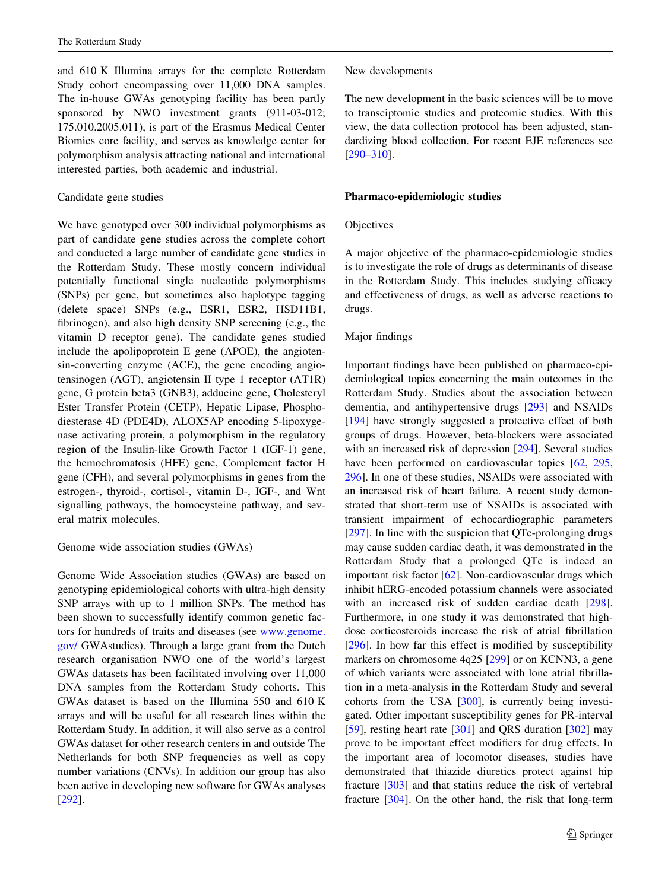and 610 K Illumina arrays for the complete Rotterdam Study cohort encompassing over 11,000 DNA samples. The in-house GWAs genotyping facility has been partly sponsored by NWO investment grants (911-03-012; 175.010.2005.011), is part of the Erasmus Medical Center Biomics core facility, and serves as knowledge center for polymorphism analysis attracting national and international interested parties, both academic and industrial.

### Candidate gene studies

We have genotyped over 300 individual polymorphisms as part of candidate gene studies across the complete cohort and conducted a large number of candidate gene studies in the Rotterdam Study. These mostly concern individual potentially functional single nucleotide polymorphisms (SNPs) per gene, but sometimes also haplotype tagging (delete space) SNPs (e.g., ESR1, ESR2, HSD11B1, fibrinogen), and also high density SNP screening (e.g., the vitamin D receptor gene). The candidate genes studied include the apolipoprotein E gene (APOE), the angiotensin-converting enzyme (ACE), the gene encoding angiotensinogen (AGT), angiotensin II type 1 receptor (AT1R) gene, G protein beta3 (GNB3), adducine gene, Cholesteryl Ester Transfer Protein (CETP), Hepatic Lipase, Phosphodiesterase 4D (PDE4D), ALOX5AP encoding 5-lipoxygenase activating protein, a polymorphism in the regulatory region of the Insulin-like Growth Factor 1 (IGF-1) gene, the hemochromatosis (HFE) gene, Complement factor H gene (CFH), and several polymorphisms in genes from the estrogen-, thyroid-, cortisol-, vitamin D-, IGF-, and Wnt signalling pathways, the homocysteine pathway, and several matrix molecules.

#### Genome wide association studies (GWAs)

Genome Wide Association studies (GWAs) are based on genotyping epidemiological cohorts with ultra-high density SNP arrays with up to 1 million SNPs. The method has been shown to successfully identify common genetic factors for hundreds of traits and diseases (see [www.genome.](http://www.genome.gov/) [gov/](http://www.genome.gov/) GWAstudies). Through a large grant from the Dutch research organisation NWO one of the world's largest GWAs datasets has been facilitated involving over 11,000 DNA samples from the Rotterdam Study cohorts. This GWAs dataset is based on the Illumina 550 and 610 K arrays and will be useful for all research lines within the Rotterdam Study. In addition, it will also serve as a control GWAs dataset for other research centers in and outside The Netherlands for both SNP frequencies as well as copy number variations (CNVs). In addition our group has also been active in developing new software for GWAs analyses [\[292](#page-26-0)].

New developments

The new development in the basic sciences will be to move to transciptomic studies and proteomic studies. With this view, the data collection protocol has been adjusted, standardizing blood collection. For recent EJE references see [\[290](#page-26-0)[–310](#page-27-0)].

# Pharmaco-epidemiologic studies

# **Objectives**

A major objective of the pharmaco-epidemiologic studies is to investigate the role of drugs as determinants of disease in the Rotterdam Study. This includes studying efficacy and effectiveness of drugs, as well as adverse reactions to drugs.

#### Major findings

Important findings have been published on pharmaco-epidemiological topics concerning the main outcomes in the Rotterdam Study. Studies about the association between dementia, and antihypertensive drugs [[293\]](#page-26-0) and NSAIDs [\[194](#page-24-0)] have strongly suggested a protective effect of both groups of drugs. However, beta-blockers were associated with an increased risk of depression [\[294](#page-26-0)]. Several studies have been performed on cardiovascular topics [[62,](#page-20-0) [295,](#page-26-0) [296](#page-26-0)]. In one of these studies, NSAIDs were associated with an increased risk of heart failure. A recent study demonstrated that short-term use of NSAIDs is associated with transient impairment of echocardiographic parameters [\[297](#page-26-0)]. In line with the suspicion that QTc-prolonging drugs may cause sudden cardiac death, it was demonstrated in the Rotterdam Study that a prolonged QTc is indeed an important risk factor [[62\]](#page-20-0). Non-cardiovascular drugs which inhibit hERG-encoded potassium channels were associated with an increased risk of sudden cardiac death [\[298](#page-27-0)]. Furthermore, in one study it was demonstrated that highdose corticosteroids increase the risk of atrial fibrillation [\[296](#page-26-0)]. In how far this effect is modified by susceptibility markers on chromosome 4q25 [[299\]](#page-27-0) or on KCNN3, a gene of which variants were associated with lone atrial fibrillation in a meta-analysis in the Rotterdam Study and several cohorts from the USA [\[300](#page-27-0)], is currently being investigated. Other important susceptibility genes for PR-interval [\[59](#page-20-0)], resting heart rate [[301\]](#page-27-0) and QRS duration [\[302](#page-27-0)] may prove to be important effect modifiers for drug effects. In the important area of locomotor diseases, studies have demonstrated that thiazide diuretics protect against hip fracture [\[303](#page-27-0)] and that statins reduce the risk of vertebral fracture [\[304](#page-27-0)]. On the other hand, the risk that long-term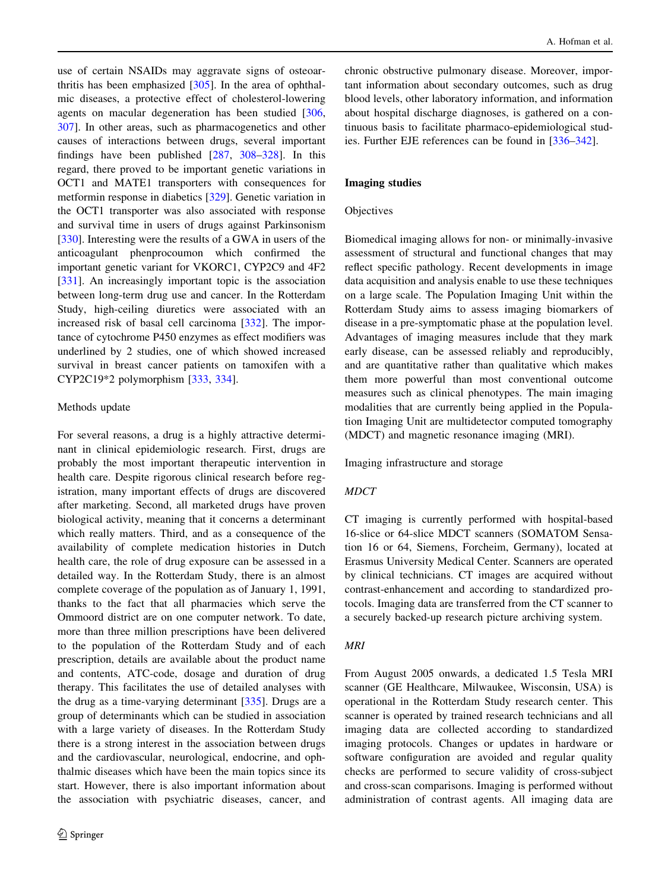use of certain NSAIDs may aggravate signs of osteoarthritis has been emphasized  $[305]$ . In the area of ophthalmic diseases, a protective effect of cholesterol-lowering agents on macular degeneration has been studied [[306,](#page-27-0) [307\]](#page-27-0). In other areas, such as pharmacogenetics and other causes of interactions between drugs, several important findings have been published [[287,](#page-26-0) [308–328\]](#page-27-0). In this regard, there proved to be important genetic variations in OCT1 and MATE1 transporters with consequences for metformin response in diabetics [[329\]](#page-28-0). Genetic variation in the OCT1 transporter was also associated with response and survival time in users of drugs against Parkinsonism [\[330](#page-28-0)]. Interesting were the results of a GWA in users of the anticoagulant phenprocoumon which confirmed the important genetic variant for VKORC1, CYP2C9 and 4F2 [\[331](#page-28-0)]. An increasingly important topic is the association between long-term drug use and cancer. In the Rotterdam Study, high-ceiling diuretics were associated with an increased risk of basal cell carcinoma [\[332](#page-28-0)]. The importance of cytochrome P450 enzymes as effect modifiers was underlined by 2 studies, one of which showed increased survival in breast cancer patients on tamoxifen with a CYP2C19\*2 polymorphism [\[333](#page-28-0), [334](#page-28-0)].

# Methods update

For several reasons, a drug is a highly attractive determinant in clinical epidemiologic research. First, drugs are probably the most important therapeutic intervention in health care. Despite rigorous clinical research before registration, many important effects of drugs are discovered after marketing. Second, all marketed drugs have proven biological activity, meaning that it concerns a determinant which really matters. Third, and as a consequence of the availability of complete medication histories in Dutch health care, the role of drug exposure can be assessed in a detailed way. In the Rotterdam Study, there is an almost complete coverage of the population as of January 1, 1991, thanks to the fact that all pharmacies which serve the Ommoord district are on one computer network. To date, more than three million prescriptions have been delivered to the population of the Rotterdam Study and of each prescription, details are available about the product name and contents, ATC-code, dosage and duration of drug therapy. This facilitates the use of detailed analyses with the drug as a time-varying determinant [\[335](#page-28-0)]. Drugs are a group of determinants which can be studied in association with a large variety of diseases. In the Rotterdam Study there is a strong interest in the association between drugs and the cardiovascular, neurological, endocrine, and ophthalmic diseases which have been the main topics since its start. However, there is also important information about the association with psychiatric diseases, cancer, and chronic obstructive pulmonary disease. Moreover, important information about secondary outcomes, such as drug blood levels, other laboratory information, and information about hospital discharge diagnoses, is gathered on a continuous basis to facilitate pharmaco-epidemiological studies. Further EJE references can be found in [[336–342\]](#page-28-0).

# Imaging studies

# **Objectives**

Biomedical imaging allows for non- or minimally-invasive assessment of structural and functional changes that may reflect specific pathology. Recent developments in image data acquisition and analysis enable to use these techniques on a large scale. The Population Imaging Unit within the Rotterdam Study aims to assess imaging biomarkers of disease in a pre-symptomatic phase at the population level. Advantages of imaging measures include that they mark early disease, can be assessed reliably and reproducibly, and are quantitative rather than qualitative which makes them more powerful than most conventional outcome measures such as clinical phenotypes. The main imaging modalities that are currently being applied in the Population Imaging Unit are multidetector computed tomography (MDCT) and magnetic resonance imaging (MRI).

Imaging infrastructure and storage

#### MDCT

CT imaging is currently performed with hospital-based 16-slice or 64-slice MDCT scanners (SOMATOM Sensation 16 or 64, Siemens, Forcheim, Germany), located at Erasmus University Medical Center. Scanners are operated by clinical technicians. CT images are acquired without contrast-enhancement and according to standardized protocols. Imaging data are transferred from the CT scanner to a securely backed-up research picture archiving system.

#### MRI

From August 2005 onwards, a dedicated 1.5 Tesla MRI scanner (GE Healthcare, Milwaukee, Wisconsin, USA) is operational in the Rotterdam Study research center. This scanner is operated by trained research technicians and all imaging data are collected according to standardized imaging protocols. Changes or updates in hardware or software configuration are avoided and regular quality checks are performed to secure validity of cross-subject and cross-scan comparisons. Imaging is performed without administration of contrast agents. All imaging data are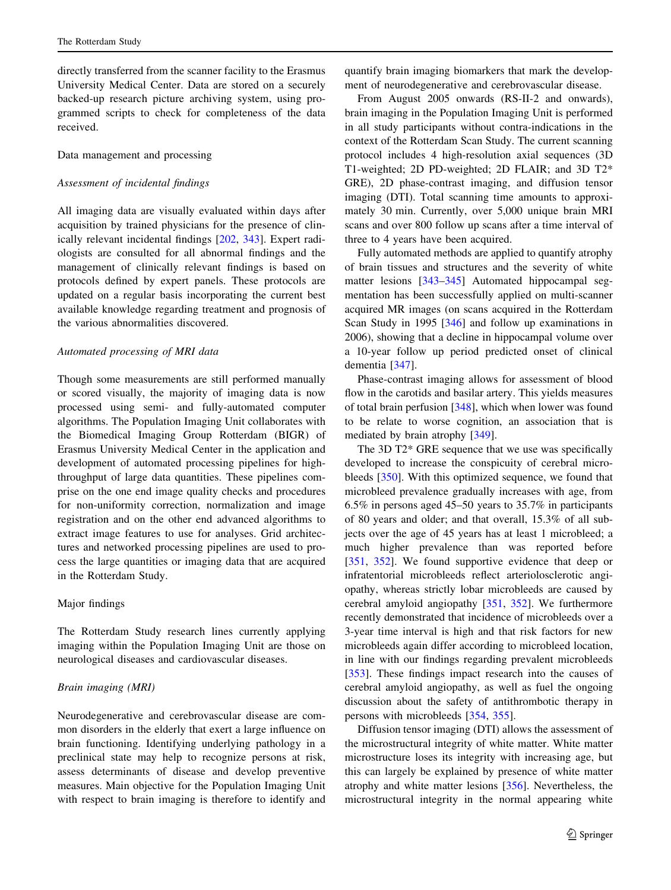directly transferred from the scanner facility to the Erasmus University Medical Center. Data are stored on a securely backed-up research picture archiving system, using programmed scripts to check for completeness of the data received.

# Data management and processing

# Assessment of incidental findings

All imaging data are visually evaluated within days after acquisition by trained physicians for the presence of clinically relevant incidental findings [[202,](#page-24-0) [343\]](#page-28-0). Expert radiologists are consulted for all abnormal findings and the management of clinically relevant findings is based on protocols defined by expert panels. These protocols are updated on a regular basis incorporating the current best available knowledge regarding treatment and prognosis of the various abnormalities discovered.

# Automated processing of MRI data

Though some measurements are still performed manually or scored visually, the majority of imaging data is now processed using semi- and fully-automated computer algorithms. The Population Imaging Unit collaborates with the Biomedical Imaging Group Rotterdam (BIGR) of Erasmus University Medical Center in the application and development of automated processing pipelines for highthroughput of large data quantities. These pipelines comprise on the one end image quality checks and procedures for non-uniformity correction, normalization and image registration and on the other end advanced algorithms to extract image features to use for analyses. Grid architectures and networked processing pipelines are used to process the large quantities or imaging data that are acquired in the Rotterdam Study.

# Major findings

The Rotterdam Study research lines currently applying imaging within the Population Imaging Unit are those on neurological diseases and cardiovascular diseases.

#### Brain imaging (MRI)

Neurodegenerative and cerebrovascular disease are common disorders in the elderly that exert a large influence on brain functioning. Identifying underlying pathology in a preclinical state may help to recognize persons at risk, assess determinants of disease and develop preventive measures. Main objective for the Population Imaging Unit with respect to brain imaging is therefore to identify and quantify brain imaging biomarkers that mark the development of neurodegenerative and cerebrovascular disease.

From August 2005 onwards (RS-II-2 and onwards), brain imaging in the Population Imaging Unit is performed in all study participants without contra-indications in the context of the Rotterdam Scan Study. The current scanning protocol includes 4 high-resolution axial sequences (3D T1-weighted; 2D PD-weighted; 2D FLAIR; and 3D T2\* GRE), 2D phase-contrast imaging, and diffusion tensor imaging (DTI). Total scanning time amounts to approximately 30 min. Currently, over 5,000 unique brain MRI scans and over 800 follow up scans after a time interval of three to 4 years have been acquired.

Fully automated methods are applied to quantify atrophy of brain tissues and structures and the severity of white matter lesions [[343–345\]](#page-28-0) Automated hippocampal segmentation has been successfully applied on multi-scanner acquired MR images (on scans acquired in the Rotterdam Scan Study in 1995 [\[346](#page-28-0)] and follow up examinations in 2006), showing that a decline in hippocampal volume over a 10-year follow up period predicted onset of clinical dementia [[347\]](#page-28-0).

Phase-contrast imaging allows for assessment of blood flow in the carotids and basilar artery. This yields measures of total brain perfusion [[348\]](#page-28-0), which when lower was found to be relate to worse cognition, an association that is mediated by brain atrophy [[349\]](#page-28-0).

The 3D T2\* GRE sequence that we use was specifically developed to increase the conspicuity of cerebral microbleeds [\[350](#page-28-0)]. With this optimized sequence, we found that microbleed prevalence gradually increases with age, from 6.5% in persons aged 45–50 years to 35.7% in participants of 80 years and older; and that overall, 15.3% of all subjects over the age of 45 years has at least 1 microbleed; a much higher prevalence than was reported before [\[351](#page-28-0), [352\]](#page-28-0). We found supportive evidence that deep or infratentorial microbleeds reflect arteriolosclerotic angiopathy, whereas strictly lobar microbleeds are caused by cerebral amyloid angiopathy [[351,](#page-28-0) [352](#page-28-0)]. We furthermore recently demonstrated that incidence of microbleeds over a 3-year time interval is high and that risk factors for new microbleeds again differ according to microbleed location, in line with our findings regarding prevalent microbleeds [\[353](#page-28-0)]. These findings impact research into the causes of cerebral amyloid angiopathy, as well as fuel the ongoing discussion about the safety of antithrombotic therapy in persons with microbleeds [[354,](#page-28-0) [355](#page-28-0)].

Diffusion tensor imaging (DTI) allows the assessment of the microstructural integrity of white matter. White matter microstructure loses its integrity with increasing age, but this can largely be explained by presence of white matter atrophy and white matter lesions [\[356](#page-28-0)]. Nevertheless, the microstructural integrity in the normal appearing white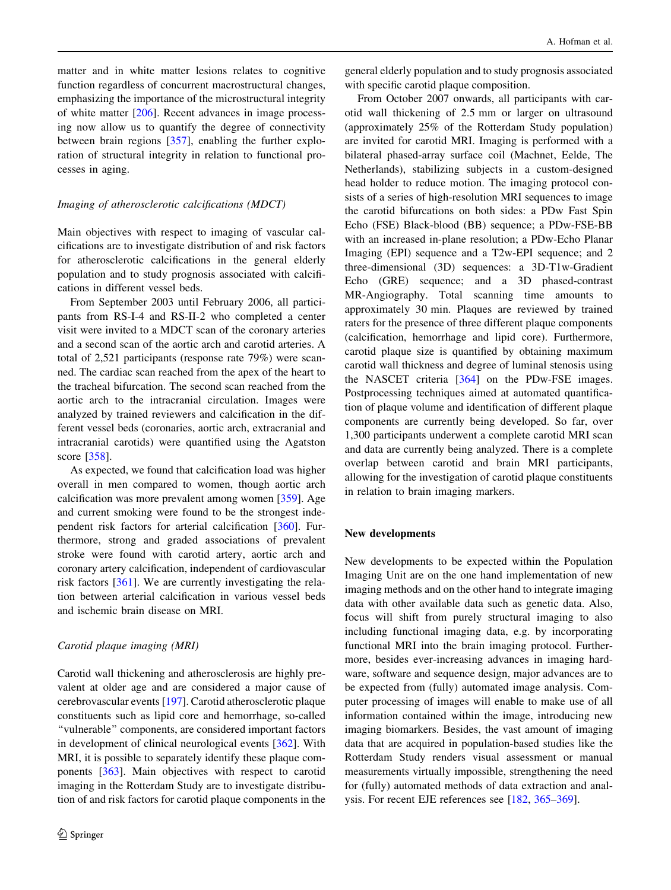matter and in white matter lesions relates to cognitive function regardless of concurrent macrostructural changes, emphasizing the importance of the microstructural integrity of white matter [[206\]](#page-24-0). Recent advances in image processing now allow us to quantify the degree of connectivity between brain regions [[357\]](#page-28-0), enabling the further exploration of structural integrity in relation to functional processes in aging.

#### Imaging of atherosclerotic calcifications (MDCT)

Main objectives with respect to imaging of vascular calcifications are to investigate distribution of and risk factors for atherosclerotic calcifications in the general elderly population and to study prognosis associated with calcifications in different vessel beds.

From September 2003 until February 2006, all participants from RS-I-4 and RS-II-2 who completed a center visit were invited to a MDCT scan of the coronary arteries and a second scan of the aortic arch and carotid arteries. A total of 2,521 participants (response rate 79%) were scanned. The cardiac scan reached from the apex of the heart to the tracheal bifurcation. The second scan reached from the aortic arch to the intracranial circulation. Images were analyzed by trained reviewers and calcification in the different vessel beds (coronaries, aortic arch, extracranial and intracranial carotids) were quantified using the Agatston score [[358\]](#page-28-0).

As expected, we found that calcification load was higher overall in men compared to women, though aortic arch calcification was more prevalent among women [\[359](#page-28-0)]. Age and current smoking were found to be the strongest independent risk factors for arterial calcification [\[360](#page-28-0)]. Furthermore, strong and graded associations of prevalent stroke were found with carotid artery, aortic arch and coronary artery calcification, independent of cardiovascular risk factors [\[361](#page-28-0)]. We are currently investigating the relation between arterial calcification in various vessel beds and ischemic brain disease on MRI.

# Carotid plaque imaging (MRI)

Carotid wall thickening and atherosclerosis are highly prevalent at older age and are considered a major cause of cerebrovascular events [\[197\]](#page-24-0). Carotid atherosclerotic plaque constituents such as lipid core and hemorrhage, so-called ''vulnerable'' components, are considered important factors in development of clinical neurological events [\[362](#page-28-0)]. With MRI, it is possible to separately identify these plaque components [\[363](#page-29-0)]. Main objectives with respect to carotid imaging in the Rotterdam Study are to investigate distribution of and risk factors for carotid plaque components in the

general elderly population and to study prognosis associated with specific carotid plaque composition.

From October 2007 onwards, all participants with carotid wall thickening of 2.5 mm or larger on ultrasound (approximately 25% of the Rotterdam Study population) are invited for carotid MRI. Imaging is performed with a bilateral phased-array surface coil (Machnet, Eelde, The Netherlands), stabilizing subjects in a custom-designed head holder to reduce motion. The imaging protocol consists of a series of high-resolution MRI sequences to image the carotid bifurcations on both sides: a PDw Fast Spin Echo (FSE) Black-blood (BB) sequence; a PDw-FSE-BB with an increased in-plane resolution; a PDw-Echo Planar Imaging (EPI) sequence and a T2w-EPI sequence; and 2 three-dimensional (3D) sequences: a 3D-T1w-Gradient Echo (GRE) sequence; and a 3D phased-contrast MR-Angiography. Total scanning time amounts to approximately 30 min. Plaques are reviewed by trained raters for the presence of three different plaque components (calcification, hemorrhage and lipid core). Furthermore, carotid plaque size is quantified by obtaining maximum carotid wall thickness and degree of luminal stenosis using the NASCET criteria [[364\]](#page-29-0) on the PDw-FSE images. Postprocessing techniques aimed at automated quantification of plaque volume and identification of different plaque components are currently being developed. So far, over 1,300 participants underwent a complete carotid MRI scan and data are currently being analyzed. There is a complete overlap between carotid and brain MRI participants, allowing for the investigation of carotid plaque constituents in relation to brain imaging markers.

#### New developments

New developments to be expected within the Population Imaging Unit are on the one hand implementation of new imaging methods and on the other hand to integrate imaging data with other available data such as genetic data. Also, focus will shift from purely structural imaging to also including functional imaging data, e.g. by incorporating functional MRI into the brain imaging protocol. Furthermore, besides ever-increasing advances in imaging hardware, software and sequence design, major advances are to be expected from (fully) automated image analysis. Computer processing of images will enable to make use of all information contained within the image, introducing new imaging biomarkers. Besides, the vast amount of imaging data that are acquired in population-based studies like the Rotterdam Study renders visual assessment or manual measurements virtually impossible, strengthening the need for (fully) automated methods of data extraction and analysis. For recent EJE references see [[182,](#page-23-0) [365–369](#page-29-0)].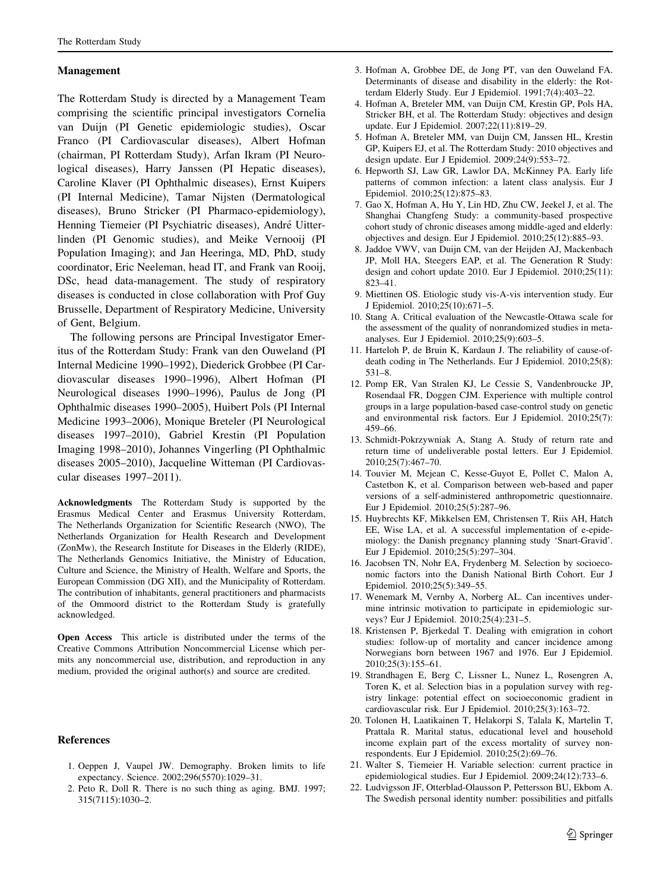# <span id="page-18-0"></span>Management

The Rotterdam Study is directed by a Management Team comprising the scientific principal investigators Cornelia van Duijn (PI Genetic epidemiologic studies), Oscar Franco (PI Cardiovascular diseases), Albert Hofman (chairman, PI Rotterdam Study), Arfan Ikram (PI Neurological diseases), Harry Janssen (PI Hepatic diseases), Caroline Klaver (PI Ophthalmic diseases), Ernst Kuipers (PI Internal Medicine), Tamar Nijsten (Dermatological diseases), Bruno Stricker (PI Pharmaco-epidemiology), Henning Tiemeier (PI Psychiatric diseases), André Uitterlinden (PI Genomic studies), and Meike Vernooij (PI Population Imaging); and Jan Heeringa, MD, PhD, study coordinator, Eric Neeleman, head IT, and Frank van Rooij, DSc, head data-management. The study of respiratory diseases is conducted in close collaboration with Prof Guy Brusselle, Department of Respiratory Medicine, University of Gent, Belgium.

The following persons are Principal Investigator Emeritus of the Rotterdam Study: Frank van den Ouweland (PI Internal Medicine 1990–1992), Diederick Grobbee (PI Cardiovascular diseases 1990–1996), Albert Hofman (PI Neurological diseases 1990–1996), Paulus de Jong (PI Ophthalmic diseases 1990–2005), Huibert Pols (PI Internal Medicine 1993–2006), Monique Breteler (PI Neurological diseases 1997–2010), Gabriel Krestin (PI Population Imaging 1998–2010), Johannes Vingerling (PI Ophthalmic diseases 2005–2010), Jacqueline Witteman (PI Cardiovascular diseases 1997–2011).

Acknowledgments The Rotterdam Study is supported by the Erasmus Medical Center and Erasmus University Rotterdam, The Netherlands Organization for Scientific Research (NWO), The Netherlands Organization for Health Research and Development (ZonMw), the Research Institute for Diseases in the Elderly (RIDE), The Netherlands Genomics Initiative, the Ministry of Education, Culture and Science, the Ministry of Health, Welfare and Sports, the European Commission (DG XII), and the Municipality of Rotterdam. The contribution of inhabitants, general practitioners and pharmacists of the Ommoord district to the Rotterdam Study is gratefully acknowledged.

Open Access This article is distributed under the terms of the Creative Commons Attribution Noncommercial License which permits any noncommercial use, distribution, and reproduction in any medium, provided the original author(s) and source are credited.

#### References

- 1. Oeppen J, Vaupel JW. Demography. Broken limits to life expectancy. Science. 2002;296(5570):1029–31.
- 2. Peto R, Doll R. There is no such thing as aging. BMJ. 1997; 315(7115):1030–2.
- 3. Hofman A, Grobbee DE, de Jong PT, van den Ouweland FA. Determinants of disease and disability in the elderly: the Rotterdam Elderly Study. Eur J Epidemiol. 1991;7(4):403–22.
- 4. Hofman A, Breteler MM, van Duijn CM, Krestin GP, Pols HA, Stricker BH, et al. The Rotterdam Study: objectives and design update. Eur J Epidemiol. 2007;22(11):819–29.
- 5. Hofman A, Breteler MM, van Duijn CM, Janssen HL, Krestin GP, Kuipers EJ, et al. The Rotterdam Study: 2010 objectives and design update. Eur J Epidemiol. 2009;24(9):553–72.
- 6. Hepworth SJ, Law GR, Lawlor DA, McKinney PA. Early life patterns of common infection: a latent class analysis. Eur J Epidemiol. 2010;25(12):875–83.
- 7. Gao X, Hofman A, Hu Y, Lin HD, Zhu CW, Jeekel J, et al. The Shanghai Changfeng Study: a community-based prospective cohort study of chronic diseases among middle-aged and elderly: objectives and design. Eur J Epidemiol. 2010;25(12):885–93.
- 8. Jaddoe VWV, van Duijn CM, van der Heijden AJ, Mackenbach JP, Moll HA, Steegers EAP, et al. The Generation R Study: design and cohort update 2010. Eur J Epidemiol. 2010;25(11): 823–41.
- 9. Miettinen OS. Etiologic study vis-A-vis intervention study. Eur J Epidemiol. 2010;25(10):671–5.
- 10. Stang A. Critical evaluation of the Newcastle-Ottawa scale for the assessment of the quality of nonrandomized studies in metaanalyses. Eur J Epidemiol. 2010;25(9):603–5.
- 11. Harteloh P, de Bruin K, Kardaun J. The reliability of cause-ofdeath coding in The Netherlands. Eur J Epidemiol. 2010;25(8): 531–8.
- 12. Pomp ER, Van Stralen KJ, Le Cessie S, Vandenbroucke JP, Rosendaal FR, Doggen CJM. Experience with multiple control groups in a large population-based case-control study on genetic and environmental risk factors. Eur J Epidemiol. 2010;25(7): 459–66.
- 13. Schmidt-Pokrzywniak A, Stang A. Study of return rate and return time of undeliverable postal letters. Eur J Epidemiol. 2010;25(7):467–70.
- 14. Touvier M, Mejean C, Kesse-Guyot E, Pollet C, Malon A, Castetbon K, et al. Comparison between web-based and paper versions of a self-administered anthropometric questionnaire. Eur J Epidemiol. 2010;25(5):287–96.
- 15. Huybrechts KF, Mikkelsen EM, Christensen T, Riis AH, Hatch EE, Wise LA, et al. A successful implementation of e-epidemiology: the Danish pregnancy planning study 'Snart-Gravid'. Eur J Epidemiol. 2010;25(5):297–304.
- 16. Jacobsen TN, Nohr EA, Frydenberg M. Selection by socioeconomic factors into the Danish National Birth Cohort. Eur J Epidemiol. 2010;25(5):349–55.
- 17. Wenemark M, Vernby A, Norberg AL. Can incentives undermine intrinsic motivation to participate in epidemiologic surveys? Eur J Epidemiol. 2010;25(4):231–5.
- 18. Kristensen P, Bjerkedal T. Dealing with emigration in cohort studies: follow-up of mortality and cancer incidence among Norwegians born between 1967 and 1976. Eur J Epidemiol. 2010;25(3):155–61.
- 19. Strandhagen E, Berg C, Lissner L, Nunez L, Rosengren A, Toren K, et al. Selection bias in a population survey with registry linkage: potential effect on socioeconomic gradient in cardiovascular risk. Eur J Epidemiol. 2010;25(3):163–72.
- 20. Tolonen H, Laatikainen T, Helakorpi S, Talala K, Martelin T, Prattala R. Marital status, educational level and household income explain part of the excess mortality of survey nonrespondents. Eur J Epidemiol. 2010;25(2):69–76.
- 21. Walter S, Tiemeier H. Variable selection: current practice in epidemiological studies. Eur J Epidemiol. 2009;24(12):733–6.
- 22. Ludvigsson JF, Otterblad-Olausson P, Pettersson BU, Ekbom A. The Swedish personal identity number: possibilities and pitfalls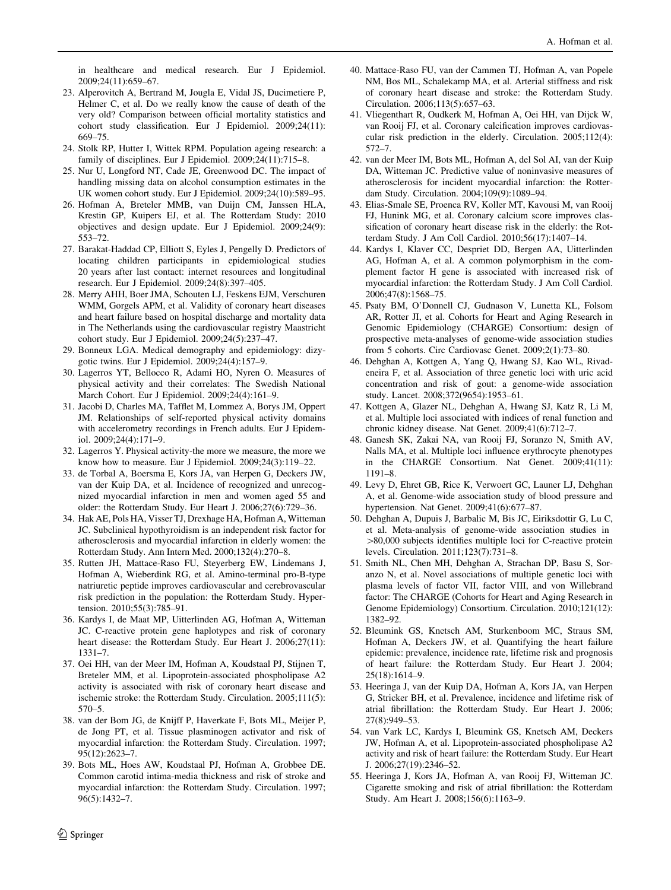<span id="page-19-0"></span>in healthcare and medical research. Eur J Epidemiol. 2009;24(11):659–67.

- 23. Alperovitch A, Bertrand M, Jougla E, Vidal JS, Ducimetiere P, Helmer C, et al. Do we really know the cause of death of the very old? Comparison between official mortality statistics and cohort study classification. Eur J Epidemiol. 2009;24(11): 669–75.
- 24. Stolk RP, Hutter I, Wittek RPM. Population ageing research: a family of disciplines. Eur J Epidemiol. 2009;24(11):715–8.
- 25. Nur U, Longford NT, Cade JE, Greenwood DC. The impact of handling missing data on alcohol consumption estimates in the UK women cohort study. Eur J Epidemiol. 2009;24(10):589–95.
- 26. Hofman A, Breteler MMB, van Duijn CM, Janssen HLA, Krestin GP, Kuipers EJ, et al. The Rotterdam Study: 2010 objectives and design update. Eur J Epidemiol. 2009;24(9): 553–72.
- 27. Barakat-Haddad CP, Elliott S, Eyles J, Pengelly D. Predictors of locating children participants in epidemiological studies 20 years after last contact: internet resources and longitudinal research. Eur J Epidemiol. 2009;24(8):397–405.
- 28. Merry AHH, Boer JMA, Schouten LJ, Feskens EJM, Verschuren WMM, Gorgels APM, et al. Validity of coronary heart diseases and heart failure based on hospital discharge and mortality data in The Netherlands using the cardiovascular registry Maastricht cohort study. Eur J Epidemiol. 2009;24(5):237–47.
- 29. Bonneux LGA. Medical demography and epidemiology: dizygotic twins. Eur J Epidemiol. 2009;24(4):157–9.
- 30. Lagerros YT, Bellocco R, Adami HO, Nyren O. Measures of physical activity and their correlates: The Swedish National March Cohort. Eur J Epidemiol. 2009;24(4):161–9.
- 31. Jacobi D, Charles MA, Tafflet M, Lommez A, Borys JM, Oppert JM. Relationships of self-reported physical activity domains with accelerometry recordings in French adults. Eur J Epidemiol. 2009;24(4):171–9.
- 32. Lagerros Y. Physical activity-the more we measure, the more we know how to measure. Eur J Epidemiol. 2009;24(3):119–22.
- 33. de Torbal A, Boersma E, Kors JA, van Herpen G, Deckers JW, van der Kuip DA, et al. Incidence of recognized and unrecognized myocardial infarction in men and women aged 55 and older: the Rotterdam Study. Eur Heart J. 2006;27(6):729–36.
- 34. Hak AE, Pols HA, Visser TJ, Drexhage HA, Hofman A, Witteman JC. Subclinical hypothyroidism is an independent risk factor for atherosclerosis and myocardial infarction in elderly women: the Rotterdam Study. Ann Intern Med. 2000;132(4):270–8.
- 35. Rutten JH, Mattace-Raso FU, Steyerberg EW, Lindemans J, Hofman A, Wieberdink RG, et al. Amino-terminal pro-B-type natriuretic peptide improves cardiovascular and cerebrovascular risk prediction in the population: the Rotterdam Study. Hypertension. 2010;55(3):785–91.
- 36. Kardys I, de Maat MP, Uitterlinden AG, Hofman A, Witteman JC. C-reactive protein gene haplotypes and risk of coronary heart disease: the Rotterdam Study. Eur Heart J. 2006;27(11): 1331–7.
- 37. Oei HH, van der Meer IM, Hofman A, Koudstaal PJ, Stijnen T, Breteler MM, et al. Lipoprotein-associated phospholipase A2 activity is associated with risk of coronary heart disease and ischemic stroke: the Rotterdam Study. Circulation. 2005;111(5): 570–5.
- 38. van der Bom JG, de Knijff P, Haverkate F, Bots ML, Meijer P, de Jong PT, et al. Tissue plasminogen activator and risk of myocardial infarction: the Rotterdam Study. Circulation. 1997; 95(12):2623–7.
- 39. Bots ML, Hoes AW, Koudstaal PJ, Hofman A, Grobbee DE. Common carotid intima-media thickness and risk of stroke and myocardial infarction: the Rotterdam Study. Circulation. 1997; 96(5):1432–7.
- 40. Mattace-Raso FU, van der Cammen TJ, Hofman A, van Popele NM, Bos ML, Schalekamp MA, et al. Arterial stiffness and risk of coronary heart disease and stroke: the Rotterdam Study. Circulation. 2006;113(5):657–63.
- 41. Vliegenthart R, Oudkerk M, Hofman A, Oei HH, van Dijck W, van Rooij FJ, et al. Coronary calcification improves cardiovascular risk prediction in the elderly. Circulation. 2005;112(4): 572–7.
- 42. van der Meer IM, Bots ML, Hofman A, del Sol AI, van der Kuip DA, Witteman JC. Predictive value of noninvasive measures of atherosclerosis for incident myocardial infarction: the Rotterdam Study. Circulation. 2004;109(9):1089–94.
- 43. Elias-Smale SE, Proenca RV, Koller MT, Kavousi M, van Rooij FJ, Hunink MG, et al. Coronary calcium score improves classification of coronary heart disease risk in the elderly: the Rotterdam Study. J Am Coll Cardiol. 2010;56(17):1407–14.
- 44. Kardys I, Klaver CC, Despriet DD, Bergen AA, Uitterlinden AG, Hofman A, et al. A common polymorphism in the complement factor H gene is associated with increased risk of myocardial infarction: the Rotterdam Study. J Am Coll Cardiol. 2006;47(8):1568–75.
- 45. Psaty BM, O'Donnell CJ, Gudnason V, Lunetta KL, Folsom AR, Rotter JI, et al. Cohorts for Heart and Aging Research in Genomic Epidemiology (CHARGE) Consortium: design of prospective meta-analyses of genome-wide association studies from 5 cohorts. Circ Cardiovasc Genet. 2009;2(1):73–80.
- 46. Dehghan A, Kottgen A, Yang Q, Hwang SJ, Kao WL, Rivadeneira F, et al. Association of three genetic loci with uric acid concentration and risk of gout: a genome-wide association study. Lancet. 2008;372(9654):1953–61.
- 47. Kottgen A, Glazer NL, Dehghan A, Hwang SJ, Katz R, Li M, et al. Multiple loci associated with indices of renal function and chronic kidney disease. Nat Genet. 2009;41(6):712–7.
- 48. Ganesh SK, Zakai NA, van Rooij FJ, Soranzo N, Smith AV, Nalls MA, et al. Multiple loci influence erythrocyte phenotypes in the CHARGE Consortium. Nat Genet. 2009;41(11): 1191–8.
- 49. Levy D, Ehret GB, Rice K, Verwoert GC, Launer LJ, Dehghan A, et al. Genome-wide association study of blood pressure and hypertension. Nat Genet. 2009;41(6):677–87.
- 50. Dehghan A, Dupuis J, Barbalic M, Bis JC, Eiriksdottir G, Lu C, et al. Meta-analysis of genome-wide association studies in  $>80,000$  subjects identifies multiple loci for C-reactive protein levels. Circulation. 2011;123(7):731–8.
- 51. Smith NL, Chen MH, Dehghan A, Strachan DP, Basu S, Soranzo N, et al. Novel associations of multiple genetic loci with plasma levels of factor VII, factor VIII, and von Willebrand factor: The CHARGE (Cohorts for Heart and Aging Research in Genome Epidemiology) Consortium. Circulation. 2010;121(12): 1382–92.
- 52. Bleumink GS, Knetsch AM, Sturkenboom MC, Straus SM, Hofman A, Deckers JW, et al. Quantifying the heart failure epidemic: prevalence, incidence rate, lifetime risk and prognosis of heart failure: the Rotterdam Study. Eur Heart J. 2004; 25(18):1614–9.
- 53. Heeringa J, van der Kuip DA, Hofman A, Kors JA, van Herpen G, Stricker BH, et al. Prevalence, incidence and lifetime risk of atrial fibrillation: the Rotterdam Study. Eur Heart J. 2006; 27(8):949–53.
- 54. van Vark LC, Kardys I, Bleumink GS, Knetsch AM, Deckers JW, Hofman A, et al. Lipoprotein-associated phospholipase A2 activity and risk of heart failure: the Rotterdam Study. Eur Heart J. 2006;27(19):2346–52.
- 55. Heeringa J, Kors JA, Hofman A, van Rooij FJ, Witteman JC. Cigarette smoking and risk of atrial fibrillation: the Rotterdam Study. Am Heart J. 2008;156(6):1163–9.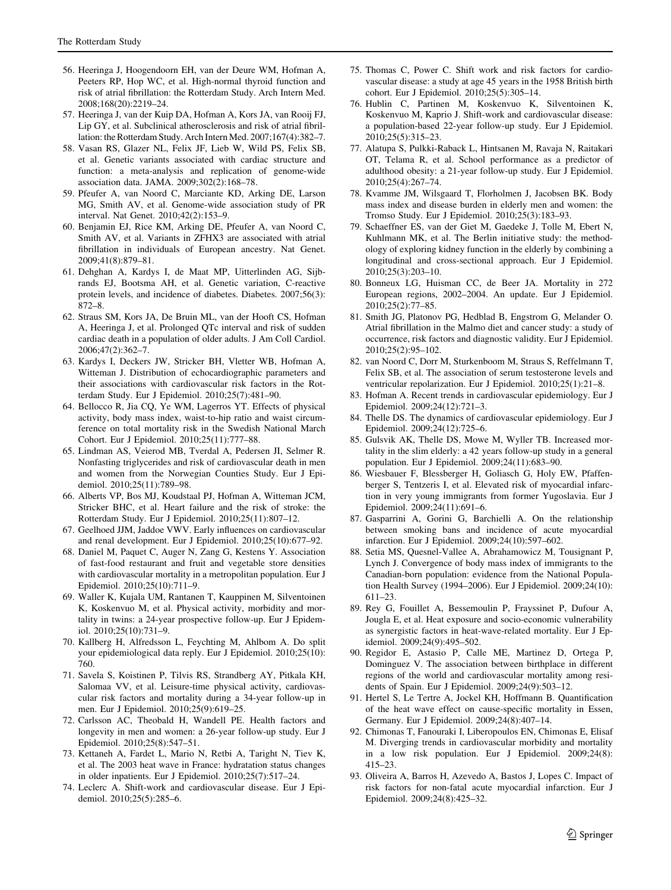- <span id="page-20-0"></span>56. Heeringa J, Hoogendoorn EH, van der Deure WM, Hofman A, Peeters RP, Hop WC, et al. High-normal thyroid function and risk of atrial fibrillation: the Rotterdam Study. Arch Intern Med. 2008;168(20):2219–24.
- 57. Heeringa J, van der Kuip DA, Hofman A, Kors JA, van Rooij FJ, Lip GY, et al. Subclinical atherosclerosis and risk of atrial fibrillation: the Rotterdam Study. Arch Intern Med. 2007;167(4):382–7.
- 58. Vasan RS, Glazer NL, Felix JF, Lieb W, Wild PS, Felix SB, et al. Genetic variants associated with cardiac structure and function: a meta-analysis and replication of genome-wide association data. JAMA. 2009;302(2):168–78.
- 59. Pfeufer A, van Noord C, Marciante KD, Arking DE, Larson MG, Smith AV, et al. Genome-wide association study of PR interval. Nat Genet. 2010;42(2):153–9.
- 60. Benjamin EJ, Rice KM, Arking DE, Pfeufer A, van Noord C, Smith AV, et al. Variants in ZFHX3 are associated with atrial fibrillation in individuals of European ancestry. Nat Genet. 2009;41(8):879–81.
- 61. Dehghan A, Kardys I, de Maat MP, Uitterlinden AG, Sijbrands EJ, Bootsma AH, et al. Genetic variation, C-reactive protein levels, and incidence of diabetes. Diabetes. 2007;56(3): 872–8.
- 62. Straus SM, Kors JA, De Bruin ML, van der Hooft CS, Hofman A, Heeringa J, et al. Prolonged QTc interval and risk of sudden cardiac death in a population of older adults. J Am Coll Cardiol. 2006;47(2):362–7.
- 63. Kardys I, Deckers JW, Stricker BH, Vletter WB, Hofman A, Witteman J. Distribution of echocardiographic parameters and their associations with cardiovascular risk factors in the Rotterdam Study. Eur J Epidemiol. 2010;25(7):481–90.
- 64. Bellocco R, Jia CQ, Ye WM, Lagerros YT. Effects of physical activity, body mass index, waist-to-hip ratio and waist circumference on total mortality risk in the Swedish National March Cohort. Eur J Epidemiol. 2010;25(11):777–88.
- 65. Lindman AS, Veierod MB, Tverdal A, Pedersen JI, Selmer R. Nonfasting triglycerides and risk of cardiovascular death in men and women from the Norwegian Counties Study. Eur J Epidemiol. 2010;25(11):789–98.
- 66. Alberts VP, Bos MJ, Koudstaal PJ, Hofman A, Witteman JCM, Stricker BHC, et al. Heart failure and the risk of stroke: the Rotterdam Study. Eur J Epidemiol. 2010;25(11):807–12.
- 67. Geelhoed JJM, Jaddoe VWV. Early influences on cardiovascular and renal development. Eur J Epidemiol. 2010;25(10):677–92.
- 68. Daniel M, Paquet C, Auger N, Zang G, Kestens Y. Association of fast-food restaurant and fruit and vegetable store densities with cardiovascular mortality in a metropolitan population. Eur J Epidemiol. 2010;25(10):711–9.
- 69. Waller K, Kujala UM, Rantanen T, Kauppinen M, Silventoinen K, Koskenvuo M, et al. Physical activity, morbidity and mortality in twins: a 24-year prospective follow-up. Eur J Epidemiol. 2010;25(10):731–9.
- 70. Kallberg H, Alfredsson L, Feychting M, Ahlbom A. Do split your epidemiological data reply. Eur J Epidemiol. 2010;25(10): 760.
- 71. Savela S, Koistinen P, Tilvis RS, Strandberg AY, Pitkala KH, Salomaa VV, et al. Leisure-time physical activity, cardiovascular risk factors and mortality during a 34-year follow-up in men. Eur J Epidemiol. 2010;25(9):619–25.
- 72. Carlsson AC, Theobald H, Wandell PE. Health factors and longevity in men and women: a 26-year follow-up study. Eur J Epidemiol. 2010;25(8):547–51.
- 73. Kettaneh A, Fardet L, Mario N, Retbi A, Taright N, Tiev K, et al. The 2003 heat wave in France: hydratation status changes in older inpatients. Eur J Epidemiol. 2010;25(7):517–24.
- 74. Leclerc A. Shift-work and cardiovascular disease. Eur J Epidemiol. 2010;25(5):285–6.
- 75. Thomas C, Power C. Shift work and risk factors for cardiovascular disease: a study at age 45 years in the 1958 British birth cohort. Eur J Epidemiol. 2010;25(5):305–14.
- 76. Hublin C, Partinen M, Koskenvuo K, Silventoinen K, Koskenvuo M, Kaprio J. Shift-work and cardiovascular disease: a population-based 22-year follow-up study. Eur J Epidemiol. 2010;25(5):315–23.
- 77. Alatupa S, Pulkki-Raback L, Hintsanen M, Ravaja N, Raitakari OT, Telama R, et al. School performance as a predictor of adulthood obesity: a 21-year follow-up study. Eur J Epidemiol. 2010;25(4):267–74.
- 78. Kvamme JM, Wilsgaard T, Florholmen J, Jacobsen BK. Body mass index and disease burden in elderly men and women: the Tromso Study. Eur J Epidemiol. 2010;25(3):183–93.
- 79. Schaeffner ES, van der Giet M, Gaedeke J, Tolle M, Ebert N, Kuhlmann MK, et al. The Berlin initiative study: the methodology of exploring kidney function in the elderly by combining a longitudinal and cross-sectional approach. Eur J Epidemiol. 2010;25(3):203–10.
- 80. Bonneux LG, Huisman CC, de Beer JA. Mortality in 272 European regions, 2002–2004. An update. Eur J Epidemiol. 2010;25(2):77–85.
- 81. Smith JG, Platonov PG, Hedblad B, Engstrom G, Melander O. Atrial fibrillation in the Malmo diet and cancer study: a study of occurrence, risk factors and diagnostic validity. Eur J Epidemiol. 2010;25(2):95–102.
- 82. van Noord C, Dorr M, Sturkenboom M, Straus S, Reffelmann T, Felix SB, et al. The association of serum testosterone levels and ventricular repolarization. Eur J Epidemiol. 2010;25(1):21–8.
- 83. Hofman A. Recent trends in cardiovascular epidemiology. Eur J Epidemiol. 2009;24(12):721–3.
- 84. Thelle DS. The dynamics of cardiovascular epidemiology. Eur J Epidemiol. 2009;24(12):725–6.
- 85. Gulsvik AK, Thelle DS, Mowe M, Wyller TB. Increased mortality in the slim elderly: a 42 years follow-up study in a general population. Eur J Epidemiol. 2009;24(11):683–90.
- 86. Wiesbauer F, Blessberger H, Goliasch G, Holy EW, Pfaffenberger S, Tentzeris I, et al. Elevated risk of myocardial infarction in very young immigrants from former Yugoslavia. Eur J Epidemiol. 2009;24(11):691–6.
- 87. Gasparrini A, Gorini G, Barchielli A. On the relationship between smoking bans and incidence of acute myocardial infarction. Eur J Epidemiol. 2009;24(10):597–602.
- 88. Setia MS, Quesnel-Vallee A, Abrahamowicz M, Tousignant P, Lynch J. Convergence of body mass index of immigrants to the Canadian-born population: evidence from the National Population Health Survey (1994–2006). Eur J Epidemiol. 2009;24(10): 611–23.
- 89. Rey G, Fouillet A, Bessemoulin P, Frayssinet P, Dufour A, Jougla E, et al. Heat exposure and socio-economic vulnerability as synergistic factors in heat-wave-related mortality. Eur J Epidemiol. 2009;24(9):495–502.
- 90. Regidor E, Astasio P, Calle ME, Martinez D, Ortega P, Dominguez V. The association between birthplace in different regions of the world and cardiovascular mortality among residents of Spain. Eur J Epidemiol. 2009;24(9):503–12.
- 91. Hertel S, Le Tertre A, Jockel KH, Hoffmann B. Quantification of the heat wave effect on cause-specific mortality in Essen, Germany. Eur J Epidemiol. 2009;24(8):407–14.
- 92. Chimonas T, Fanouraki I, Liberopoulos EN, Chimonas E, Elisaf M. Diverging trends in cardiovascular morbidity and mortality in a low risk population. Eur J Epidemiol. 2009;24(8): 415–23.
- 93. Oliveira A, Barros H, Azevedo A, Bastos J, Lopes C. Impact of risk factors for non-fatal acute myocardial infarction. Eur J Epidemiol. 2009;24(8):425–32.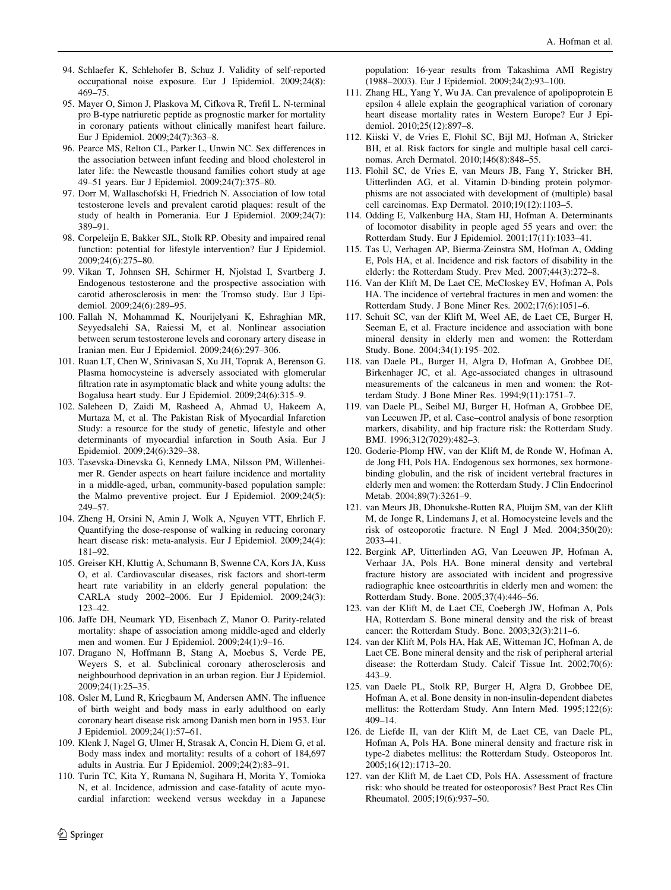- <span id="page-21-0"></span>94. Schlaefer K, Schlehofer B, Schuz J. Validity of self-reported occupational noise exposure. Eur J Epidemiol. 2009;24(8): 469–75.
- 95. Mayer O, Simon J, Plaskova M, Cifkova R, Trefil L. N-terminal pro B-type natriuretic peptide as prognostic marker for mortality in coronary patients without clinically manifest heart failure. Eur J Epidemiol. 2009;24(7):363–8.
- 96. Pearce MS, Relton CL, Parker L, Unwin NC. Sex differences in the association between infant feeding and blood cholesterol in later life: the Newcastle thousand families cohort study at age 49–51 years. Eur J Epidemiol. 2009;24(7):375–80.
- 97. Dorr M, Wallaschofski H, Friedrich N. Association of low total testosterone levels and prevalent carotid plaques: result of the study of health in Pomerania. Eur J Epidemiol. 2009;24(7): 389–91.
- 98. Corpeleijn E, Bakker SJL, Stolk RP. Obesity and impaired renal function: potential for lifestyle intervention? Eur J Epidemiol. 2009;24(6):275–80.
- 99. Vikan T, Johnsen SH, Schirmer H, Njolstad I, Svartberg J. Endogenous testosterone and the prospective association with carotid atherosclerosis in men: the Tromso study. Eur J Epidemiol. 2009;24(6):289–95.
- 100. Fallah N, Mohammad K, Nourijelyani K, Eshraghian MR, Seyyedsalehi SA, Raiessi M, et al. Nonlinear association between serum testosterone levels and coronary artery disease in Iranian men. Eur J Epidemiol. 2009;24(6):297–306.
- 101. Ruan LT, Chen W, Srinivasan S, Xu JH, Toprak A, Berenson G. Plasma homocysteine is adversely associated with glomerular filtration rate in asymptomatic black and white young adults: the Bogalusa heart study. Eur J Epidemiol. 2009;24(6):315–9.
- 102. Saleheen D, Zaidi M, Rasheed A, Ahmad U, Hakeem A, Murtaza M, et al. The Pakistan Risk of Myocardial Infarction Study: a resource for the study of genetic, lifestyle and other determinants of myocardial infarction in South Asia. Eur J Epidemiol. 2009;24(6):329–38.
- 103. Tasevska-Dinevska G, Kennedy LMA, Nilsson PM, Willenheimer R. Gender aspects on heart failure incidence and mortality in a middle-aged, urban, community-based population sample: the Malmo preventive project. Eur J Epidemiol. 2009;24(5): 249–57.
- 104. Zheng H, Orsini N, Amin J, Wolk A, Nguyen VTT, Ehrlich F. Quantifying the dose-response of walking in reducing coronary heart disease risk: meta-analysis. Eur J Epidemiol. 2009;24(4): 181–92.
- 105. Greiser KH, Kluttig A, Schumann B, Swenne CA, Kors JA, Kuss O, et al. Cardiovascular diseases, risk factors and short-term heart rate variability in an elderly general population: the CARLA study 2002–2006. Eur J Epidemiol. 2009;24(3): 123–42.
- 106. Jaffe DH, Neumark YD, Eisenbach Z, Manor O. Parity-related mortality: shape of association among middle-aged and elderly men and women. Eur J Epidemiol. 2009;24(1):9–16.
- 107. Dragano N, Hoffmann B, Stang A, Moebus S, Verde PE, Weyers S, et al. Subclinical coronary atherosclerosis and neighbourhood deprivation in an urban region. Eur J Epidemiol. 2009;24(1):25–35.
- 108. Osler M, Lund R, Kriegbaum M, Andersen AMN. The influence of birth weight and body mass in early adulthood on early coronary heart disease risk among Danish men born in 1953. Eur J Epidemiol. 2009;24(1):57–61.
- 109. Klenk J, Nagel G, Ulmer H, Strasak A, Concin H, Diem G, et al. Body mass index and mortality: results of a cohort of 184,697 adults in Austria. Eur J Epidemiol. 2009;24(2):83–91.
- 110. Turin TC, Kita Y, Rumana N, Sugihara H, Morita Y, Tomioka N, et al. Incidence, admission and case-fatality of acute myocardial infarction: weekend versus weekday in a Japanese

population: 16-year results from Takashima AMI Registry (1988–2003). Eur J Epidemiol. 2009;24(2):93–100.

- 111. Zhang HL, Yang Y, Wu JA. Can prevalence of apolipoprotein E epsilon 4 allele explain the geographical variation of coronary heart disease mortality rates in Western Europe? Eur J Epidemiol. 2010;25(12):897–8.
- 112. Kiiski V, de Vries E, Flohil SC, Bijl MJ, Hofman A, Stricker BH, et al. Risk factors for single and multiple basal cell carcinomas. Arch Dermatol. 2010;146(8):848–55.
- 113. Flohil SC, de Vries E, van Meurs JB, Fang Y, Stricker BH, Uitterlinden AG, et al. Vitamin D-binding protein polymorphisms are not associated with development of (multiple) basal cell carcinomas. Exp Dermatol. 2010;19(12):1103–5.
- 114. Odding E, Valkenburg HA, Stam HJ, Hofman A. Determinants of locomotor disability in people aged 55 years and over: the Rotterdam Study. Eur J Epidemiol. 2001;17(11):1033–41.
- 115. Tas U, Verhagen AP, Bierma-Zeinstra SM, Hofman A, Odding E, Pols HA, et al. Incidence and risk factors of disability in the elderly: the Rotterdam Study. Prev Med. 2007;44(3):272–8.
- 116. Van der Klift M, De Laet CE, McCloskey EV, Hofman A, Pols HA. The incidence of vertebral fractures in men and women: the Rotterdam Study. J Bone Miner Res. 2002;17(6):1051–6.
- 117. Schuit SC, van der Klift M, Weel AE, de Laet CE, Burger H, Seeman E, et al. Fracture incidence and association with bone mineral density in elderly men and women: the Rotterdam Study. Bone. 2004;34(1):195–202.
- 118. van Daele PL, Burger H, Algra D, Hofman A, Grobbee DE, Birkenhager JC, et al. Age-associated changes in ultrasound measurements of the calcaneus in men and women: the Rotterdam Study. J Bone Miner Res. 1994;9(11):1751–7.
- 119. van Daele PL, Seibel MJ, Burger H, Hofman A, Grobbee DE, van Leeuwen JP, et al. Case–control analysis of bone resorption markers, disability, and hip fracture risk: the Rotterdam Study. BMJ. 1996;312(7029):482–3.
- 120. Goderie-Plomp HW, van der Klift M, de Ronde W, Hofman A, de Jong FH, Pols HA. Endogenous sex hormones, sex hormonebinding globulin, and the risk of incident vertebral fractures in elderly men and women: the Rotterdam Study. J Clin Endocrinol Metab. 2004;89(7):3261–9.
- 121. van Meurs JB, Dhonukshe-Rutten RA, Pluijm SM, van der Klift M, de Jonge R, Lindemans J, et al. Homocysteine levels and the risk of osteoporotic fracture. N Engl J Med. 2004;350(20): 2033–41.
- 122. Bergink AP, Uitterlinden AG, Van Leeuwen JP, Hofman A, Verhaar JA, Pols HA. Bone mineral density and vertebral fracture history are associated with incident and progressive radiographic knee osteoarthritis in elderly men and women: the Rotterdam Study. Bone. 2005;37(4):446–56.
- 123. van der Klift M, de Laet CE, Coebergh JW, Hofman A, Pols HA, Rotterdam S. Bone mineral density and the risk of breast cancer: the Rotterdam Study. Bone. 2003;32(3):211–6.
- 124. van der Klift M, Pols HA, Hak AE, Witteman JC, Hofman A, de Laet CE. Bone mineral density and the risk of peripheral arterial disease: the Rotterdam Study. Calcif Tissue Int. 2002;70(6): 443–9.
- 125. van Daele PL, Stolk RP, Burger H, Algra D, Grobbee DE, Hofman A, et al. Bone density in non-insulin-dependent diabetes mellitus: the Rotterdam Study. Ann Intern Med. 1995;122(6): 409–14.
- 126. de Liefde II, van der Klift M, de Laet CE, van Daele PL, Hofman A, Pols HA. Bone mineral density and fracture risk in type-2 diabetes mellitus: the Rotterdam Study. Osteoporos Int. 2005;16(12):1713–20.
- 127. van der Klift M, de Laet CD, Pols HA. Assessment of fracture risk: who should be treated for osteoporosis? Best Pract Res Clin Rheumatol. 2005;19(6):937–50.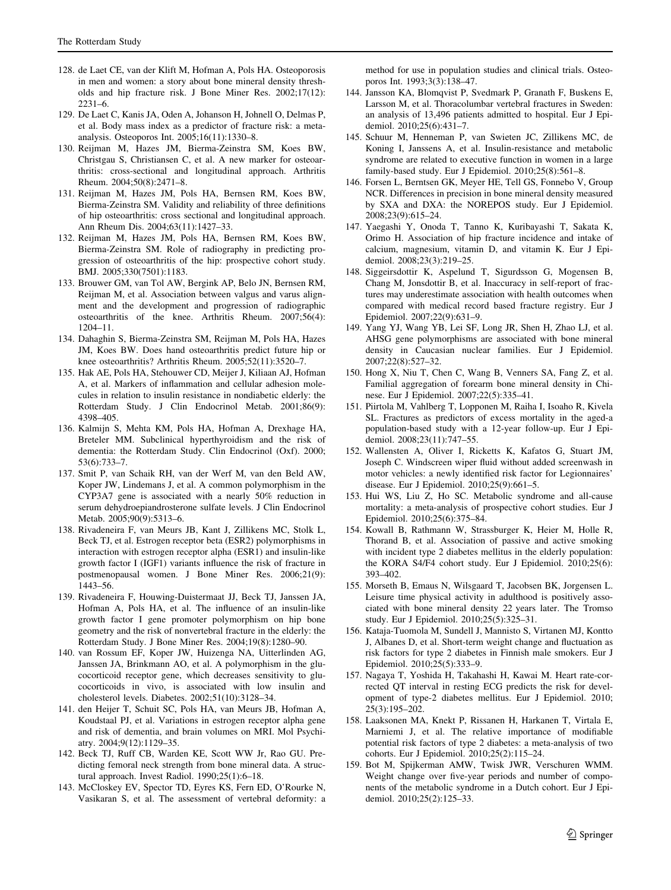- <span id="page-22-0"></span>128. de Laet CE, van der Klift M, Hofman A, Pols HA. Osteoporosis in men and women: a story about bone mineral density thresholds and hip fracture risk. J Bone Miner Res. 2002;17(12): 2231–6.
- 129. De Laet C, Kanis JA, Oden A, Johanson H, Johnell O, Delmas P, et al. Body mass index as a predictor of fracture risk: a metaanalysis. Osteoporos Int. 2005;16(11):1330–8.
- 130. Reijman M, Hazes JM, Bierma-Zeinstra SM, Koes BW, Christgau S, Christiansen C, et al. A new marker for osteoarthritis: cross-sectional and longitudinal approach. Arthritis Rheum. 2004;50(8):2471–8.
- 131. Reijman M, Hazes JM, Pols HA, Bernsen RM, Koes BW, Bierma-Zeinstra SM. Validity and reliability of three definitions of hip osteoarthritis: cross sectional and longitudinal approach. Ann Rheum Dis. 2004;63(11):1427–33.
- 132. Reijman M, Hazes JM, Pols HA, Bernsen RM, Koes BW, Bierma-Zeinstra SM. Role of radiography in predicting progression of osteoarthritis of the hip: prospective cohort study. BMJ. 2005;330(7501):1183.
- 133. Brouwer GM, van Tol AW, Bergink AP, Belo JN, Bernsen RM, Reijman M, et al. Association between valgus and varus alignment and the development and progression of radiographic osteoarthritis of the knee. Arthritis Rheum. 2007;56(4): 1204–11.
- 134. Dahaghin S, Bierma-Zeinstra SM, Reijman M, Pols HA, Hazes JM, Koes BW. Does hand osteoarthritis predict future hip or knee osteoarthritis? Arthritis Rheum. 2005;52(11):3520–7.
- 135. Hak AE, Pols HA, Stehouwer CD, Meijer J, Kiliaan AJ, Hofman A, et al. Markers of inflammation and cellular adhesion molecules in relation to insulin resistance in nondiabetic elderly: the Rotterdam Study. J Clin Endocrinol Metab. 2001;86(9): 4398–405.
- 136. Kalmijn S, Mehta KM, Pols HA, Hofman A, Drexhage HA, Breteler MM. Subclinical hyperthyroidism and the risk of dementia: the Rotterdam Study. Clin Endocrinol (Oxf). 2000; 53(6):733–7.
- 137. Smit P, van Schaik RH, van der Werf M, van den Beld AW, Koper JW, Lindemans J, et al. A common polymorphism in the CYP3A7 gene is associated with a nearly 50% reduction in serum dehydroepiandrosterone sulfate levels. J Clin Endocrinol Metab. 2005;90(9):5313–6.
- 138. Rivadeneira F, van Meurs JB, Kant J, Zillikens MC, Stolk L, Beck TJ, et al. Estrogen receptor beta (ESR2) polymorphisms in interaction with estrogen receptor alpha (ESR1) and insulin-like growth factor I (IGF1) variants influence the risk of fracture in postmenopausal women. J Bone Miner Res. 2006;21(9): 1443–56.
- 139. Rivadeneira F, Houwing-Duistermaat JJ, Beck TJ, Janssen JA, Hofman A, Pols HA, et al. The influence of an insulin-like growth factor I gene promoter polymorphism on hip bone geometry and the risk of nonvertebral fracture in the elderly: the Rotterdam Study. J Bone Miner Res. 2004;19(8):1280–90.
- 140. van Rossum EF, Koper JW, Huizenga NA, Uitterlinden AG, Janssen JA, Brinkmann AO, et al. A polymorphism in the glucocorticoid receptor gene, which decreases sensitivity to glucocorticoids in vivo, is associated with low insulin and cholesterol levels. Diabetes. 2002;51(10):3128–34.
- 141. den Heijer T, Schuit SC, Pols HA, van Meurs JB, Hofman A, Koudstaal PJ, et al. Variations in estrogen receptor alpha gene and risk of dementia, and brain volumes on MRI. Mol Psychiatry. 2004;9(12):1129–35.
- 142. Beck TJ, Ruff CB, Warden KE, Scott WW Jr, Rao GU. Predicting femoral neck strength from bone mineral data. A structural approach. Invest Radiol. 1990;25(1):6–18.
- 143. McCloskey EV, Spector TD, Eyres KS, Fern ED, O'Rourke N, Vasikaran S, et al. The assessment of vertebral deformity: a

method for use in population studies and clinical trials. Osteoporos Int. 1993;3(3):138–47.

- 144. Jansson KA, Blomqvist P, Svedmark P, Granath F, Buskens E, Larsson M, et al. Thoracolumbar vertebral fractures in Sweden: an analysis of 13,496 patients admitted to hospital. Eur J Epidemiol. 2010;25(6):431–7.
- 145. Schuur M, Henneman P, van Swieten JC, Zillikens MC, de Koning I, Janssens A, et al. Insulin-resistance and metabolic syndrome are related to executive function in women in a large family-based study. Eur J Epidemiol. 2010;25(8):561–8.
- 146. Forsen L, Berntsen GK, Meyer HE, Tell GS, Fonnebo V, Group NCR. Differences in precision in bone mineral density measured by SXA and DXA: the NOREPOS study. Eur J Epidemiol. 2008;23(9):615–24.
- 147. Yaegashi Y, Onoda T, Tanno K, Kuribayashi T, Sakata K, Orimo H. Association of hip fracture incidence and intake of calcium, magnesium, vitamin D, and vitamin K. Eur J Epidemiol. 2008;23(3):219–25.
- 148. Siggeirsdottir K, Aspelund T, Sigurdsson G, Mogensen B, Chang M, Jonsdottir B, et al. Inaccuracy in self-report of fractures may underestimate association with health outcomes when compared with medical record based fracture registry. Eur J Epidemiol. 2007;22(9):631–9.
- 149. Yang YJ, Wang YB, Lei SF, Long JR, Shen H, Zhao LJ, et al. AHSG gene polymorphisms are associated with bone mineral density in Caucasian nuclear families. Eur J Epidemiol. 2007;22(8):527–32.
- 150. Hong X, Niu T, Chen C, Wang B, Venners SA, Fang Z, et al. Familial aggregation of forearm bone mineral density in Chinese. Eur J Epidemiol. 2007;22(5):335–41.
- 151. Piirtola M, Vahlberg T, Lopponen M, Raiha I, Isoaho R, Kivela SL. Fractures as predictors of excess mortality in the aged-a population-based study with a 12-year follow-up. Eur J Epidemiol. 2008;23(11):747–55.
- 152. Wallensten A, Oliver I, Ricketts K, Kafatos G, Stuart JM, Joseph C. Windscreen wiper fluid without added screenwash in motor vehicles: a newly identified risk factor for Legionnaires' disease. Eur J Epidemiol. 2010;25(9):661–5.
- 153. Hui WS, Liu Z, Ho SC. Metabolic syndrome and all-cause mortality: a meta-analysis of prospective cohort studies. Eur J Epidemiol. 2010;25(6):375–84.
- 154. Kowall B, Rathmann W, Strassburger K, Heier M, Holle R, Thorand B, et al. Association of passive and active smoking with incident type 2 diabetes mellitus in the elderly population: the KORA S4/F4 cohort study. Eur J Epidemiol. 2010;25(6): 393–402.
- 155. Morseth B, Emaus N, Wilsgaard T, Jacobsen BK, Jorgensen L. Leisure time physical activity in adulthood is positively associated with bone mineral density 22 years later. The Tromso study. Eur J Epidemiol. 2010;25(5):325–31.
- 156. Kataja-Tuomola M, Sundell J, Mannisto S, Virtanen MJ, Kontto J, Albanes D, et al. Short-term weight change and fluctuation as risk factors for type 2 diabetes in Finnish male smokers. Eur J Epidemiol. 2010;25(5):333–9.
- 157. Nagaya T, Yoshida H, Takahashi H, Kawai M. Heart rate-corrected QT interval in resting ECG predicts the risk for development of type-2 diabetes mellitus. Eur J Epidemiol. 2010; 25(3):195–202.
- 158. Laaksonen MA, Knekt P, Rissanen H, Harkanen T, Virtala E, Marniemi J, et al. The relative importance of modifiable potential risk factors of type 2 diabetes: a meta-analysis of two cohorts. Eur J Epidemiol. 2010;25(2):115–24.
- 159. Bot M, Spijkerman AMW, Twisk JWR, Verschuren WMM. Weight change over five-year periods and number of components of the metabolic syndrome in a Dutch cohort. Eur J Epidemiol. 2010;25(2):125–33.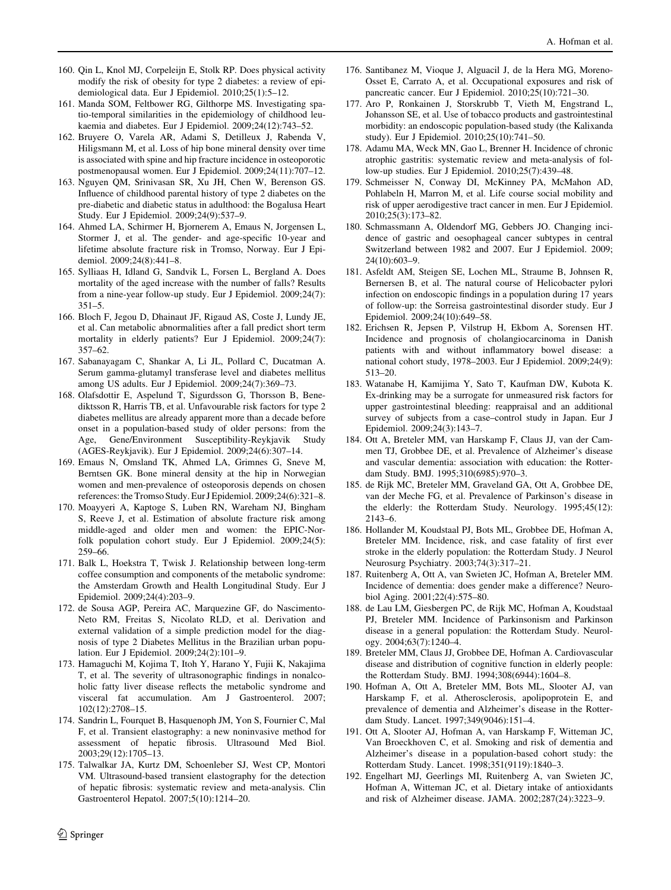- <span id="page-23-0"></span>160. Qin L, Knol MJ, Corpeleijn E, Stolk RP. Does physical activity modify the risk of obesity for type 2 diabetes: a review of epidemiological data. Eur J Epidemiol. 2010;25(1):5–12.
- 161. Manda SOM, Feltbower RG, Gilthorpe MS. Investigating spatio-temporal similarities in the epidemiology of childhood leukaemia and diabetes. Eur J Epidemiol. 2009;24(12):743–52.
- 162. Bruyere O, Varela AR, Adami S, Detilleux J, Rabenda V, Hiligsmann M, et al. Loss of hip bone mineral density over time is associated with spine and hip fracture incidence in osteoporotic postmenopausal women. Eur J Epidemiol. 2009;24(11):707–12.
- 163. Nguyen QM, Srinivasan SR, Xu JH, Chen W, Berenson GS. Influence of childhood parental history of type 2 diabetes on the pre-diabetic and diabetic status in adulthood: the Bogalusa Heart Study. Eur J Epidemiol. 2009;24(9):537–9.
- 164. Ahmed LA, Schirmer H, Bjornerem A, Emaus N, Jorgensen L, Stormer J, et al. The gender- and age-specific 10-year and lifetime absolute fracture risk in Tromso, Norway. Eur J Epidemiol. 2009;24(8):441–8.
- 165. Sylliaas H, Idland G, Sandvik L, Forsen L, Bergland A. Does mortality of the aged increase with the number of falls? Results from a nine-year follow-up study. Eur J Epidemiol. 2009;24(7): 351–5.
- 166. Bloch F, Jegou D, Dhainaut JF, Rigaud AS, Coste J, Lundy JE, et al. Can metabolic abnormalities after a fall predict short term mortality in elderly patients? Eur J Epidemiol. 2009;24(7): 357–62.
- 167. Sabanayagam C, Shankar A, Li JL, Pollard C, Ducatman A. Serum gamma-glutamyl transferase level and diabetes mellitus among US adults. Eur J Epidemiol. 2009;24(7):369–73.
- 168. Olafsdottir E, Aspelund T, Sigurdsson G, Thorsson B, Benediktsson R, Harris TB, et al. Unfavourable risk factors for type 2 diabetes mellitus are already apparent more than a decade before onset in a population-based study of older persons: from the Age, Gene/Environment Susceptibility-Reykjavik Study (AGES-Reykjavik). Eur J Epidemiol. 2009;24(6):307–14.
- 169. Emaus N, Omsland TK, Ahmed LA, Grimnes G, Sneve M, Berntsen GK. Bone mineral density at the hip in Norwegian women and men-prevalence of osteoporosis depends on chosen references: the Tromso Study. Eur J Epidemiol. 2009;24(6):321–8.
- 170. Moayyeri A, Kaptoge S, Luben RN, Wareham NJ, Bingham S, Reeve J, et al. Estimation of absolute fracture risk among middle-aged and older men and women: the EPIC-Norfolk population cohort study. Eur J Epidemiol. 2009;24(5): 259–66.
- 171. Balk L, Hoekstra T, Twisk J. Relationship between long-term coffee consumption and components of the metabolic syndrome: the Amsterdam Growth and Health Longitudinal Study. Eur J Epidemiol. 2009;24(4):203–9.
- 172. de Sousa AGP, Pereira AC, Marquezine GF, do Nascimento-Neto RM, Freitas S, Nicolato RLD, et al. Derivation and external validation of a simple prediction model for the diagnosis of type 2 Diabetes Mellitus in the Brazilian urban population. Eur J Epidemiol. 2009;24(2):101–9.
- 173. Hamaguchi M, Kojima T, Itoh Y, Harano Y, Fujii K, Nakajima T, et al. The severity of ultrasonographic findings in nonalcoholic fatty liver disease reflects the metabolic syndrome and visceral fat accumulation. Am J Gastroenterol. 2007; 102(12):2708–15.
- 174. Sandrin L, Fourquet B, Hasquenoph JM, Yon S, Fournier C, Mal F, et al. Transient elastography: a new noninvasive method for assessment of hepatic fibrosis. Ultrasound Med Biol. 2003;29(12):1705–13.
- 175. Talwalkar JA, Kurtz DM, Schoenleber SJ, West CP, Montori VM. Ultrasound-based transient elastography for the detection of hepatic fibrosis: systematic review and meta-analysis. Clin Gastroenterol Hepatol. 2007;5(10):1214–20.
- 176. Santibanez M, Vioque J, Alguacil J, de la Hera MG, Moreno-Osset E, Carrato A, et al. Occupational exposures and risk of pancreatic cancer. Eur J Epidemiol. 2010;25(10):721–30.
- 177. Aro P, Ronkainen J, Storskrubb T, Vieth M, Engstrand L, Johansson SE, et al. Use of tobacco products and gastrointestinal morbidity: an endoscopic population-based study (the Kalixanda study). Eur J Epidemiol. 2010;25(10):741–50.
- 178. Adamu MA, Weck MN, Gao L, Brenner H. Incidence of chronic atrophic gastritis: systematic review and meta-analysis of follow-up studies. Eur J Epidemiol. 2010;25(7):439–48.
- 179. Schmeisser N, Conway DI, McKinney PA, McMahon AD, Pohlabeln H, Marron M, et al. Life course social mobility and risk of upper aerodigestive tract cancer in men. Eur J Epidemiol. 2010;25(3):173–82.
- 180. Schmassmann A, Oldendorf MG, Gebbers JO. Changing incidence of gastric and oesophageal cancer subtypes in central Switzerland between 1982 and 2007. Eur J Epidemiol. 2009; 24(10):603–9.
- 181. Asfeldt AM, Steigen SE, Lochen ML, Straume B, Johnsen R, Bernersen B, et al. The natural course of Helicobacter pylori infection on endoscopic findings in a population during 17 years of follow-up: the Sorreisa gastrointestinal disorder study. Eur J Epidemiol. 2009;24(10):649–58.
- 182. Erichsen R, Jepsen P, Vilstrup H, Ekbom A, Sorensen HT. Incidence and prognosis of cholangiocarcinoma in Danish patients with and without inflammatory bowel disease: a national cohort study, 1978–2003. Eur J Epidemiol. 2009;24(9): 513–20.
- 183. Watanabe H, Kamijima Y, Sato T, Kaufman DW, Kubota K. Ex-drinking may be a surrogate for unmeasured risk factors for upper gastrointestinal bleeding: reappraisal and an additional survey of subjects from a case–control study in Japan. Eur J Epidemiol. 2009;24(3):143–7.
- 184. Ott A, Breteler MM, van Harskamp F, Claus JJ, van der Cammen TJ, Grobbee DE, et al. Prevalence of Alzheimer's disease and vascular dementia: association with education: the Rotterdam Study. BMJ. 1995;310(6985):970–3.
- 185. de Rijk MC, Breteler MM, Graveland GA, Ott A, Grobbee DE, van der Meche FG, et al. Prevalence of Parkinson's disease in the elderly: the Rotterdam Study. Neurology. 1995;45(12): 2143–6.
- 186. Hollander M, Koudstaal PJ, Bots ML, Grobbee DE, Hofman A, Breteler MM. Incidence, risk, and case fatality of first ever stroke in the elderly population: the Rotterdam Study. J Neurol Neurosurg Psychiatry. 2003;74(3):317–21.
- 187. Ruitenberg A, Ott A, van Swieten JC, Hofman A, Breteler MM. Incidence of dementia: does gender make a difference? Neurobiol Aging. 2001;22(4):575–80.
- 188. de Lau LM, Giesbergen PC, de Rijk MC, Hofman A, Koudstaal PJ, Breteler MM. Incidence of Parkinsonism and Parkinson disease in a general population: the Rotterdam Study. Neurology. 2004;63(7):1240–4.
- 189. Breteler MM, Claus JJ, Grobbee DE, Hofman A. Cardiovascular disease and distribution of cognitive function in elderly people: the Rotterdam Study. BMJ. 1994;308(6944):1604–8.
- 190. Hofman A, Ott A, Breteler MM, Bots ML, Slooter AJ, van Harskamp F, et al. Atherosclerosis, apolipoprotein E, and prevalence of dementia and Alzheimer's disease in the Rotterdam Study. Lancet. 1997;349(9046):151–4.
- 191. Ott A, Slooter AJ, Hofman A, van Harskamp F, Witteman JC, Van Broeckhoven C, et al. Smoking and risk of dementia and Alzheimer's disease in a population-based cohort study: the Rotterdam Study. Lancet. 1998;351(9119):1840–3.
- 192. Engelhart MJ, Geerlings MI, Ruitenberg A, van Swieten JC, Hofman A, Witteman JC, et al. Dietary intake of antioxidants and risk of Alzheimer disease. JAMA. 2002;287(24):3223–9.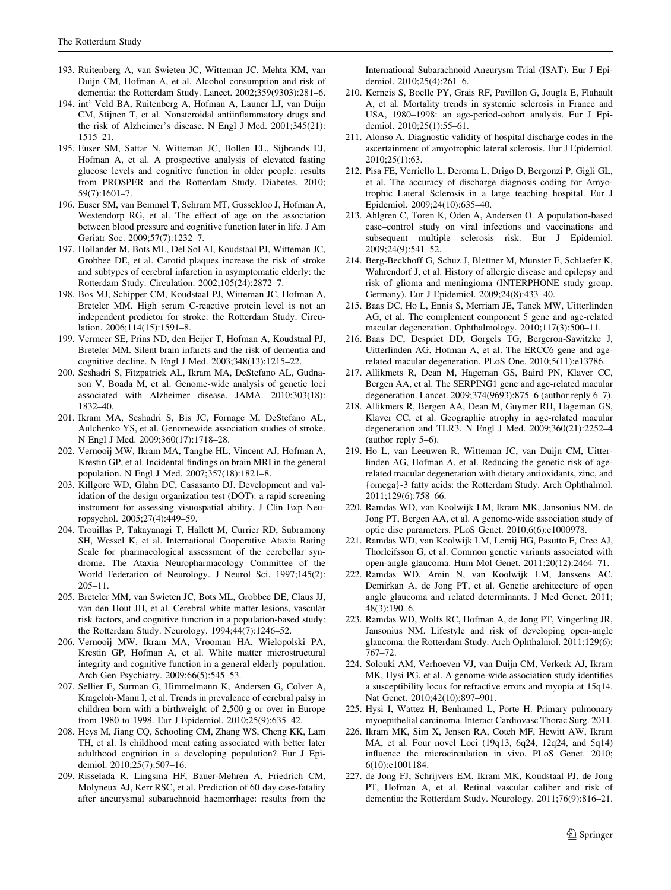- <span id="page-24-0"></span>193. Ruitenberg A, van Swieten JC, Witteman JC, Mehta KM, van Duijn CM, Hofman A, et al. Alcohol consumption and risk of dementia: the Rotterdam Study. Lancet. 2002;359(9303):281–6.
- 194. int' Veld BA, Ruitenberg A, Hofman A, Launer LJ, van Duijn CM, Stijnen T, et al. Nonsteroidal antiinflammatory drugs and the risk of Alzheimer's disease. N Engl J Med. 2001;345(21): 1515–21.
- 195. Euser SM, Sattar N, Witteman JC, Bollen EL, Sijbrands EJ, Hofman A, et al. A prospective analysis of elevated fasting glucose levels and cognitive function in older people: results from PROSPER and the Rotterdam Study. Diabetes. 2010;  $59(7) \cdot 1601 - 7$
- 196. Euser SM, van Bemmel T, Schram MT, Gussekloo J, Hofman A, Westendorp RG, et al. The effect of age on the association between blood pressure and cognitive function later in life. J Am Geriatr Soc. 2009;57(7):1232–7.
- 197. Hollander M, Bots ML, Del Sol AI, Koudstaal PJ, Witteman JC, Grobbee DE, et al. Carotid plaques increase the risk of stroke and subtypes of cerebral infarction in asymptomatic elderly: the Rotterdam Study. Circulation. 2002;105(24):2872–7.
- 198. Bos MJ, Schipper CM, Koudstaal PJ, Witteman JC, Hofman A, Breteler MM. High serum C-reactive protein level is not an independent predictor for stroke: the Rotterdam Study. Circulation. 2006;114(15):1591–8.
- 199. Vermeer SE, Prins ND, den Heijer T, Hofman A, Koudstaal PJ, Breteler MM. Silent brain infarcts and the risk of dementia and cognitive decline. N Engl J Med. 2003;348(13):1215–22.
- 200. Seshadri S, Fitzpatrick AL, Ikram MA, DeStefano AL, Gudnason V, Boada M, et al. Genome-wide analysis of genetic loci associated with Alzheimer disease. JAMA. 2010;303(18): 1832–40.
- 201. Ikram MA, Seshadri S, Bis JC, Fornage M, DeStefano AL, Aulchenko YS, et al. Genomewide association studies of stroke. N Engl J Med. 2009;360(17):1718–28.
- 202. Vernooij MW, Ikram MA, Tanghe HL, Vincent AJ, Hofman A, Krestin GP, et al. Incidental findings on brain MRI in the general population. N Engl J Med. 2007;357(18):1821–8.
- 203. Killgore WD, Glahn DC, Casasanto DJ. Development and validation of the design organization test (DOT): a rapid screening instrument for assessing visuospatial ability. J Clin Exp Neuropsychol. 2005;27(4):449–59.
- 204. Trouillas P, Takayanagi T, Hallett M, Currier RD, Subramony SH, Wessel K, et al. International Cooperative Ataxia Rating Scale for pharmacological assessment of the cerebellar syndrome. The Ataxia Neuropharmacology Committee of the World Federation of Neurology. J Neurol Sci. 1997;145(2): 205–11.
- 205. Breteler MM, van Swieten JC, Bots ML, Grobbee DE, Claus JJ, van den Hout JH, et al. Cerebral white matter lesions, vascular risk factors, and cognitive function in a population-based study: the Rotterdam Study. Neurology. 1994;44(7):1246–52.
- 206. Vernooij MW, Ikram MA, Vrooman HA, Wielopolski PA, Krestin GP, Hofman A, et al. White matter microstructural integrity and cognitive function in a general elderly population. Arch Gen Psychiatry. 2009;66(5):545–53.
- 207. Sellier E, Surman G, Himmelmann K, Andersen G, Colver A, Krageloh-Mann I, et al. Trends in prevalence of cerebral palsy in children born with a birthweight of 2,500 g or over in Europe from 1980 to 1998. Eur J Epidemiol. 2010;25(9):635–42.
- 208. Heys M, Jiang CQ, Schooling CM, Zhang WS, Cheng KK, Lam TH, et al. Is childhood meat eating associated with better later adulthood cognition in a developing population? Eur J Epidemiol. 2010;25(7):507–16.
- 209. Risselada R, Lingsma HF, Bauer-Mehren A, Friedrich CM, Molyneux AJ, Kerr RSC, et al. Prediction of 60 day case-fatality after aneurysmal subarachnoid haemorrhage: results from the

International Subarachnoid Aneurysm Trial (ISAT). Eur J Epidemiol. 2010;25(4):261–6.

- 210. Kerneis S, Boelle PY, Grais RF, Pavillon G, Jougla E, Flahault A, et al. Mortality trends in systemic sclerosis in France and USA, 1980–1998: an age-period-cohort analysis. Eur J Epidemiol. 2010;25(1):55–61.
- 211. Alonso A. Diagnostic validity of hospital discharge codes in the ascertainment of amyotrophic lateral sclerosis. Eur J Epidemiol. 2010;25(1):63.
- 212. Pisa FE, Verriello L, Deroma L, Drigo D, Bergonzi P, Gigli GL, et al. The accuracy of discharge diagnosis coding for Amyotrophic Lateral Sclerosis in a large teaching hospital. Eur J Epidemiol. 2009;24(10):635–40.
- 213. Ahlgren C, Toren K, Oden A, Andersen O. A population-based case–control study on viral infections and vaccinations and subsequent multiple sclerosis risk. Eur J Epidemiol. 2009;24(9):541–52.
- 214. Berg-Beckhoff G, Schuz J, Blettner M, Munster E, Schlaefer K, Wahrendorf J, et al. History of allergic disease and epilepsy and risk of glioma and meningioma (INTERPHONE study group, Germany). Eur J Epidemiol. 2009;24(8):433–40.
- 215. Baas DC, Ho L, Ennis S, Merriam JE, Tanck MW, Uitterlinden AG, et al. The complement component 5 gene and age-related macular degeneration. Ophthalmology. 2010;117(3):500–11.
- 216. Baas DC, Despriet DD, Gorgels TG, Bergeron-Sawitzke J, Uitterlinden AG, Hofman A, et al. The ERCC6 gene and agerelated macular degeneration. PLoS One. 2010;5(11):e13786.
- 217. Allikmets R, Dean M, Hageman GS, Baird PN, Klaver CC, Bergen AA, et al. The SERPING1 gene and age-related macular degeneration. Lancet. 2009;374(9693):875–6 (author reply 6–7).
- 218. Allikmets R, Bergen AA, Dean M, Guymer RH, Hageman GS, Klaver CC, et al. Geographic atrophy in age-related macular degeneration and TLR3. N Engl J Med. 2009;360(21):2252–4 (author reply 5–6).
- 219. Ho L, van Leeuwen R, Witteman JC, van Duijn CM, Uitterlinden AG, Hofman A, et al. Reducing the genetic risk of agerelated macular degeneration with dietary antioxidants, zinc, and {omega}-3 fatty acids: the Rotterdam Study. Arch Ophthalmol. 2011;129(6):758–66.
- 220. Ramdas WD, van Koolwijk LM, Ikram MK, Jansonius NM, de Jong PT, Bergen AA, et al. A genome-wide association study of optic disc parameters. PLoS Genet. 2010;6(6):e1000978.
- 221. Ramdas WD, van Koolwijk LM, Lemij HG, Pasutto F, Cree AJ, Thorleifsson G, et al. Common genetic variants associated with open-angle glaucoma. Hum Mol Genet. 2011;20(12):2464–71.
- 222. Ramdas WD, Amin N, van Koolwijk LM, Janssens AC, Demirkan A, de Jong PT, et al. Genetic architecture of open angle glaucoma and related determinants. J Med Genet. 2011; 48(3):190–6.
- 223. Ramdas WD, Wolfs RC, Hofman A, de Jong PT, Vingerling JR, Jansonius NM. Lifestyle and risk of developing open-angle glaucoma: the Rotterdam Study. Arch Ophthalmol. 2011;129(6): 767–72.
- 224. Solouki AM, Verhoeven VJ, van Duijn CM, Verkerk AJ, Ikram MK, Hysi PG, et al. A genome-wide association study identifies a susceptibility locus for refractive errors and myopia at 15q14. Nat Genet. 2010;42(10):897–901.
- 225. Hysi I, Wattez H, Benhamed L, Porte H. Primary pulmonary myoepithelial carcinoma. Interact Cardiovasc Thorac Surg. 2011.
- 226. Ikram MK, Sim X, Jensen RA, Cotch MF, Hewitt AW, Ikram MA, et al. Four novel Loci (19q13, 6q24, 12q24, and 5q14) influence the microcirculation in vivo. PLoS Genet. 2010; 6(10):e1001184.
- 227. de Jong FJ, Schrijvers EM, Ikram MK, Koudstaal PJ, de Jong PT, Hofman A, et al. Retinal vascular caliber and risk of dementia: the Rotterdam Study. Neurology. 2011;76(9):816–21.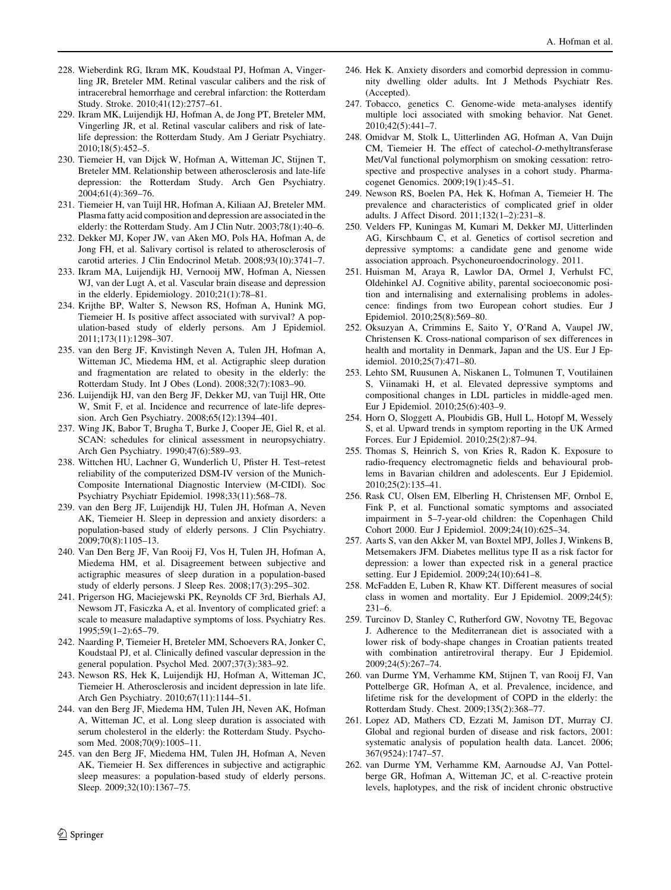- <span id="page-25-0"></span>228. Wieberdink RG, Ikram MK, Koudstaal PJ, Hofman A, Vingerling JR, Breteler MM. Retinal vascular calibers and the risk of intracerebral hemorrhage and cerebral infarction: the Rotterdam Study. Stroke. 2010;41(12):2757–61.
- 229. Ikram MK, Luijendijk HJ, Hofman A, de Jong PT, Breteler MM, Vingerling JR, et al. Retinal vascular calibers and risk of latelife depression: the Rotterdam Study. Am J Geriatr Psychiatry. 2010;18(5):452–5.
- 230. Tiemeier H, van Dijck W, Hofman A, Witteman JC, Stijnen T, Breteler MM. Relationship between atherosclerosis and late-life depression: the Rotterdam Study. Arch Gen Psychiatry. 2004;61(4):369–76.
- 231. Tiemeier H, van Tuijl HR, Hofman A, Kiliaan AJ, Breteler MM. Plasma fatty acid composition and depression are associated in the elderly: the Rotterdam Study. Am J Clin Nutr. 2003;78(1):40–6.
- 232. Dekker MJ, Koper JW, van Aken MO, Pols HA, Hofman A, de Jong FH, et al. Salivary cortisol is related to atherosclerosis of carotid arteries. J Clin Endocrinol Metab. 2008;93(10):3741–7.
- 233. Ikram MA, Luijendijk HJ, Vernooij MW, Hofman A, Niessen WJ, van der Lugt A, et al. Vascular brain disease and depression in the elderly. Epidemiology. 2010;21(1):78–81.
- 234. Krijthe BP, Walter S, Newson RS, Hofman A, Hunink MG, Tiemeier H. Is positive affect associated with survival? A population-based study of elderly persons. Am J Epidemiol. 2011;173(11):1298–307.
- 235. van den Berg JF, Knvistingh Neven A, Tulen JH, Hofman A, Witteman JC, Miedema HM, et al. Actigraphic sleep duration and fragmentation are related to obesity in the elderly: the Rotterdam Study. Int J Obes (Lond). 2008;32(7):1083–90.
- 236. Luijendijk HJ, van den Berg JF, Dekker MJ, van Tuijl HR, Otte W, Smit F, et al. Incidence and recurrence of late-life depression. Arch Gen Psychiatry. 2008;65(12):1394–401.
- 237. Wing JK, Babor T, Brugha T, Burke J, Cooper JE, Giel R, et al. SCAN: schedules for clinical assessment in neuropsychiatry. Arch Gen Psychiatry. 1990;47(6):589–93.
- 238. Wittchen HU, Lachner G, Wunderlich U, Pfister H. Test–retest reliability of the computerized DSM-IV version of the Munich-Composite International Diagnostic Interview (M-CIDI). Soc Psychiatry Psychiatr Epidemiol. 1998;33(11):568–78.
- 239. van den Berg JF, Luijendijk HJ, Tulen JH, Hofman A, Neven AK, Tiemeier H. Sleep in depression and anxiety disorders: a population-based study of elderly persons. J Clin Psychiatry. 2009;70(8):1105–13.
- 240. Van Den Berg JF, Van Rooij FJ, Vos H, Tulen JH, Hofman A, Miedema HM, et al. Disagreement between subjective and actigraphic measures of sleep duration in a population-based study of elderly persons. J Sleep Res. 2008;17(3):295–302.
- 241. Prigerson HG, Maciejewski PK, Reynolds CF 3rd, Bierhals AJ, Newsom JT, Fasiczka A, et al. Inventory of complicated grief: a scale to measure maladaptive symptoms of loss. Psychiatry Res. 1995;59(1–2):65–79.
- 242. Naarding P, Tiemeier H, Breteler MM, Schoevers RA, Jonker C, Koudstaal PJ, et al. Clinically defined vascular depression in the general population. Psychol Med. 2007;37(3):383–92.
- 243. Newson RS, Hek K, Luijendijk HJ, Hofman A, Witteman JC, Tiemeier H. Atherosclerosis and incident depression in late life. Arch Gen Psychiatry. 2010;67(11):1144–51.
- 244. van den Berg JF, Miedema HM, Tulen JH, Neven AK, Hofman A, Witteman JC, et al. Long sleep duration is associated with serum cholesterol in the elderly: the Rotterdam Study. Psychosom Med. 2008;70(9):1005–11.
- 245. van den Berg JF, Miedema HM, Tulen JH, Hofman A, Neven AK, Tiemeier H. Sex differences in subjective and actigraphic sleep measures: a population-based study of elderly persons. Sleep. 2009;32(10):1367–75.
- 246. Hek K. Anxiety disorders and comorbid depression in community dwelling older adults. Int J Methods Psychiatr Res. (Accepted).
- 247. Tobacco, genetics C. Genome-wide meta-analyses identify multiple loci associated with smoking behavior. Nat Genet. 2010;42(5):441–7.
- 248. Omidvar M, Stolk L, Uitterlinden AG, Hofman A, Van Duijn CM, Tiemeier H. The effect of catechol-O-methyltransferase Met/Val functional polymorphism on smoking cessation: retrospective and prospective analyses in a cohort study. Pharmacogenet Genomics. 2009;19(1):45–51.
- 249. Newson RS, Boelen PA, Hek K, Hofman A, Tiemeier H. The prevalence and characteristics of complicated grief in older adults. J Affect Disord. 2011;132(1–2):231–8.
- 250. Velders FP, Kuningas M, Kumari M, Dekker MJ, Uitterlinden AG, Kirschbaum C, et al. Genetics of cortisol secretion and depressive symptoms: a candidate gene and genome wide association approach. Psychoneuroendocrinology. 2011.
- 251. Huisman M, Araya R, Lawlor DA, Ormel J, Verhulst FC, Oldehinkel AJ. Cognitive ability, parental socioeconomic position and internalising and externalising problems in adolescence: findings from two European cohort studies. Eur J Epidemiol. 2010;25(8):569–80.
- 252. Oksuzyan A, Crimmins E, Saito Y, O'Rand A, Vaupel JW, Christensen K. Cross-national comparison of sex differences in health and mortality in Denmark, Japan and the US. Eur J Epidemiol. 2010;25(7):471–80.
- 253. Lehto SM, Ruusunen A, Niskanen L, Tolmunen T, Voutilainen S, Viinamaki H, et al. Elevated depressive symptoms and compositional changes in LDL particles in middle-aged men. Eur J Epidemiol. 2010;25(6):403–9.
- 254. Horn O, Sloggett A, Ploubidis GB, Hull L, Hotopf M, Wessely S, et al. Upward trends in symptom reporting in the UK Armed Forces. Eur J Epidemiol. 2010;25(2):87–94.
- 255. Thomas S, Heinrich S, von Kries R, Radon K. Exposure to radio-frequency electromagnetic fields and behavioural problems in Bavarian children and adolescents. Eur J Epidemiol. 2010;25(2):135–41.
- 256. Rask CU, Olsen EM, Elberling H, Christensen MF, Ornbol E, Fink P, et al. Functional somatic symptoms and associated impairment in 5–7-year-old children: the Copenhagen Child Cohort 2000. Eur J Epidemiol. 2009;24(10):625–34.
- 257. Aarts S, van den Akker M, van Boxtel MPJ, Jolles J, Winkens B, Metsemakers JFM. Diabetes mellitus type II as a risk factor for depression: a lower than expected risk in a general practice setting. Eur J Epidemiol. 2009;24(10):641–8.
- 258. McFadden E, Luben R, Khaw KT. Different measures of social class in women and mortality. Eur J Epidemiol. 2009;24(5): 231–6.
- 259. Turcinov D, Stanley C, Rutherford GW, Novotny TE, Begovac J. Adherence to the Mediterranean diet is associated with a lower risk of body-shape changes in Croatian patients treated with combination antiretroviral therapy. Eur J Epidemiol. 2009;24(5):267–74.
- 260. van Durme YM, Verhamme KM, Stijnen T, van Rooij FJ, Van Pottelberge GR, Hofman A, et al. Prevalence, incidence, and lifetime risk for the development of COPD in the elderly: the Rotterdam Study. Chest. 2009;135(2):368–77.
- 261. Lopez AD, Mathers CD, Ezzati M, Jamison DT, Murray CJ. Global and regional burden of disease and risk factors, 2001: systematic analysis of population health data. Lancet. 2006; 367(9524):1747–57.
- 262. van Durme YM, Verhamme KM, Aarnoudse AJ, Van Pottelberge GR, Hofman A, Witteman JC, et al. C-reactive protein levels, haplotypes, and the risk of incident chronic obstructive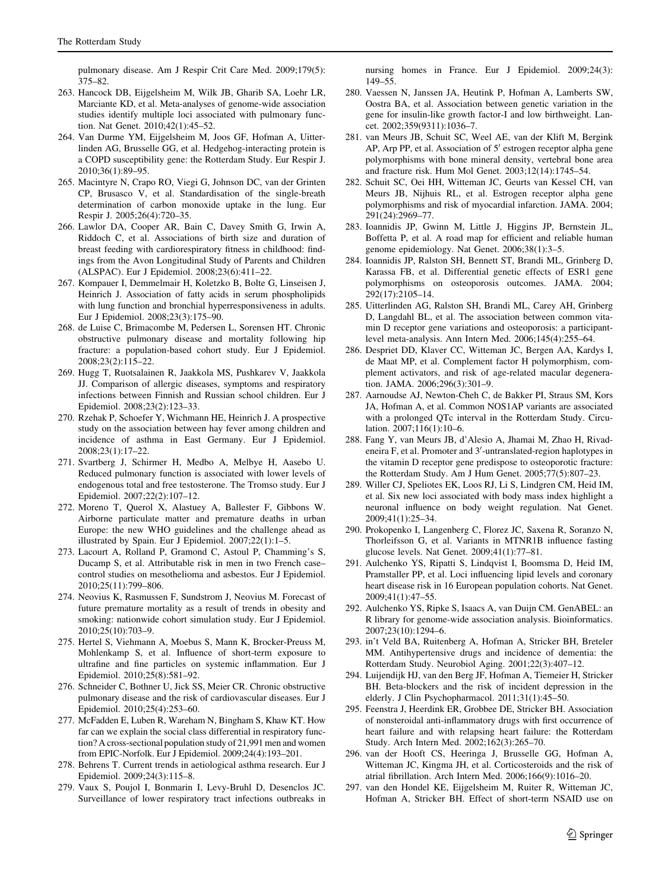<span id="page-26-0"></span>pulmonary disease. Am J Respir Crit Care Med. 2009;179(5): 375–82.

- 263. Hancock DB, Eijgelsheim M, Wilk JB, Gharib SA, Loehr LR, Marciante KD, et al. Meta-analyses of genome-wide association studies identify multiple loci associated with pulmonary function. Nat Genet. 2010;42(1):45–52.
- 264. Van Durme YM, Eijgelsheim M, Joos GF, Hofman A, Uitterlinden AG, Brusselle GG, et al. Hedgehog-interacting protein is a COPD susceptibility gene: the Rotterdam Study. Eur Respir J. 2010;36(1):89–95.
- 265. Macintyre N, Crapo RO, Viegi G, Johnson DC, van der Grinten CP, Brusasco V, et al. Standardisation of the single-breath determination of carbon monoxide uptake in the lung. Eur Respir J. 2005;26(4):720–35.
- 266. Lawlor DA, Cooper AR, Bain C, Davey Smith G, Irwin A, Riddoch C, et al. Associations of birth size and duration of breast feeding with cardiorespiratory fitness in childhood: findings from the Avon Longitudinal Study of Parents and Children (ALSPAC). Eur J Epidemiol. 2008;23(6):411–22.
- 267. Kompauer I, Demmelmair H, Koletzko B, Bolte G, Linseisen J, Heinrich J. Association of fatty acids in serum phospholipids with lung function and bronchial hyperresponsiveness in adults. Eur J Epidemiol. 2008;23(3):175–90.
- 268. de Luise C, Brimacombe M, Pedersen L, Sorensen HT. Chronic obstructive pulmonary disease and mortality following hip fracture: a population-based cohort study. Eur J Epidemiol. 2008;23(2):115–22.
- 269. Hugg T, Ruotsalainen R, Jaakkola MS, Pushkarev V, Jaakkola JJ. Comparison of allergic diseases, symptoms and respiratory infections between Finnish and Russian school children. Eur J Epidemiol. 2008;23(2):123–33.
- 270. Rzehak P, Schoefer Y, Wichmann HE, Heinrich J. A prospective study on the association between hay fever among children and incidence of asthma in East Germany. Eur J Epidemiol. 2008;23(1):17–22.
- 271. Svartberg J, Schirmer H, Medbo A, Melbye H, Aasebo U. Reduced pulmonary function is associated with lower levels of endogenous total and free testosterone. The Tromso study. Eur J Epidemiol. 2007;22(2):107–12.
- 272. Moreno T, Querol X, Alastuey A, Ballester F, Gibbons W. Airborne particulate matter and premature deaths in urban Europe: the new WHO guidelines and the challenge ahead as illustrated by Spain. Eur J Epidemiol. 2007;22(1):1–5.
- 273. Lacourt A, Rolland P, Gramond C, Astoul P, Chamming's S, Ducamp S, et al. Attributable risk in men in two French case– control studies on mesothelioma and asbestos. Eur J Epidemiol. 2010;25(11):799–806.
- 274. Neovius K, Rasmussen F, Sundstrom J, Neovius M. Forecast of future premature mortality as a result of trends in obesity and smoking: nationwide cohort simulation study. Eur J Epidemiol. 2010;25(10):703–9.
- 275. Hertel S, Viehmann A, Moebus S, Mann K, Brocker-Preuss M, Mohlenkamp S, et al. Influence of short-term exposure to ultrafine and fine particles on systemic inflammation. Eur J Epidemiol. 2010;25(8):581–92.
- 276. Schneider C, Bothner U, Jick SS, Meier CR. Chronic obstructive pulmonary disease and the risk of cardiovascular diseases. Eur J Epidemiol. 2010;25(4):253–60.
- 277. McFadden E, Luben R, Wareham N, Bingham S, Khaw KT. How far can we explain the social class differential in respiratory function? A cross-sectional population study of 21,991 men and women from EPIC-Norfolk. Eur J Epidemiol. 2009;24(4):193–201.
- 278. Behrens T. Current trends in aetiological asthma research. Eur J Epidemiol. 2009;24(3):115–8.
- 279. Vaux S, Poujol I, Bonmarin I, Levy-Bruhl D, Desenclos JC. Surveillance of lower respiratory tract infections outbreaks in

nursing homes in France. Eur J Epidemiol. 2009;24(3): 149–55.

- 280. Vaessen N, Janssen JA, Heutink P, Hofman A, Lamberts SW, Oostra BA, et al. Association between genetic variation in the gene for insulin-like growth factor-I and low birthweight. Lancet. 2002;359(9311):1036–7.
- 281. van Meurs JB, Schuit SC, Weel AE, van der Klift M, Bergink AP, Arp PP, et al. Association of  $5'$  estrogen receptor alpha gene polymorphisms with bone mineral density, vertebral bone area and fracture risk. Hum Mol Genet. 2003;12(14):1745–54.
- 282. Schuit SC, Oei HH, Witteman JC, Geurts van Kessel CH, van Meurs JB, Nijhuis RL, et al. Estrogen receptor alpha gene polymorphisms and risk of myocardial infarction. JAMA. 2004; 291(24):2969–77.
- 283. Ioannidis JP, Gwinn M, Little J, Higgins JP, Bernstein JL, Boffetta P, et al. A road map for efficient and reliable human genome epidemiology. Nat Genet. 2006;38(1):3–5.
- 284. Ioannidis JP, Ralston SH, Bennett ST, Brandi ML, Grinberg D, Karassa FB, et al. Differential genetic effects of ESR1 gene polymorphisms on osteoporosis outcomes. JAMA. 2004; 292(17):2105–14.
- 285. Uitterlinden AG, Ralston SH, Brandi ML, Carey AH, Grinberg D, Langdahl BL, et al. The association between common vitamin D receptor gene variations and osteoporosis: a participantlevel meta-analysis. Ann Intern Med. 2006;145(4):255–64.
- 286. Despriet DD, Klaver CC, Witteman JC, Bergen AA, Kardys I, de Maat MP, et al. Complement factor H polymorphism, complement activators, and risk of age-related macular degeneration. JAMA. 2006;296(3):301–9.
- 287. Aarnoudse AJ, Newton-Cheh C, de Bakker PI, Straus SM, Kors JA, Hofman A, et al. Common NOS1AP variants are associated with a prolonged QTc interval in the Rotterdam Study. Circulation. 2007;116(1):10–6.
- 288. Fang Y, van Meurs JB, d'Alesio A, Jhamai M, Zhao H, Rivadeneira F, et al. Promoter and 3'-untranslated-region haplotypes in the vitamin D receptor gene predispose to osteoporotic fracture: the Rotterdam Study. Am J Hum Genet. 2005;77(5):807–23.
- 289. Willer CJ, Speliotes EK, Loos RJ, Li S, Lindgren CM, Heid IM, et al. Six new loci associated with body mass index highlight a neuronal influence on body weight regulation. Nat Genet. 2009;41(1):25–34.
- 290. Prokopenko I, Langenberg C, Florez JC, Saxena R, Soranzo N, Thorleifsson G, et al. Variants in MTNR1B influence fasting glucose levels. Nat Genet. 2009;41(1):77–81.
- 291. Aulchenko YS, Ripatti S, Lindqvist I, Boomsma D, Heid IM, Pramstaller PP, et al. Loci influencing lipid levels and coronary heart disease risk in 16 European population cohorts. Nat Genet. 2009;41(1):47–55.
- 292. Aulchenko YS, Ripke S, Isaacs A, van Duijn CM. GenABEL: an R library for genome-wide association analysis. Bioinformatics. 2007;23(10):1294–6.
- 293. in't Veld BA, Ruitenberg A, Hofman A, Stricker BH, Breteler MM. Antihypertensive drugs and incidence of dementia: the Rotterdam Study. Neurobiol Aging. 2001;22(3):407–12.
- 294. Luijendijk HJ, van den Berg JF, Hofman A, Tiemeier H, Stricker BH. Beta-blockers and the risk of incident depression in the elderly. J Clin Psychopharmacol. 2011;31(1):45–50.
- 295. Feenstra J, Heerdink ER, Grobbee DE, Stricker BH. Association of nonsteroidal anti-inflammatory drugs with first occurrence of heart failure and with relapsing heart failure: the Rotterdam Study. Arch Intern Med. 2002;162(3):265–70.
- 296. van der Hooft CS, Heeringa J, Brusselle GG, Hofman A, Witteman JC, Kingma JH, et al. Corticosteroids and the risk of atrial fibrillation. Arch Intern Med. 2006;166(9):1016–20.
- 297. van den Hondel KE, Eijgelsheim M, Ruiter R, Witteman JC, Hofman A, Stricker BH. Effect of short-term NSAID use on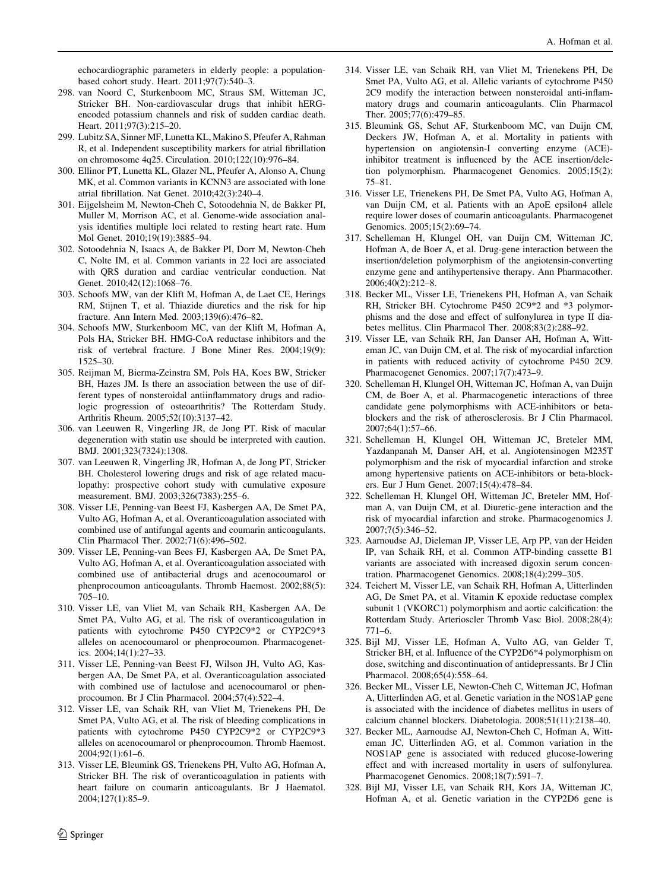<span id="page-27-0"></span>echocardiographic parameters in elderly people: a populationbased cohort study. Heart. 2011;97(7):540–3.

- 298. van Noord C, Sturkenboom MC, Straus SM, Witteman JC, Stricker BH. Non-cardiovascular drugs that inhibit hERGencoded potassium channels and risk of sudden cardiac death. Heart. 2011;97(3):215–20.
- 299. Lubitz SA, Sinner MF, Lunetta KL, Makino S, Pfeufer A, Rahman R, et al. Independent susceptibility markers for atrial fibrillation on chromosome 4q25. Circulation. 2010;122(10):976–84.
- 300. Ellinor PT, Lunetta KL, Glazer NL, Pfeufer A, Alonso A, Chung MK, et al. Common variants in KCNN3 are associated with lone atrial fibrillation. Nat Genet. 2010;42(3):240–4.
- 301. Eijgelsheim M, Newton-Cheh C, Sotoodehnia N, de Bakker PI, Muller M, Morrison AC, et al. Genome-wide association analysis identifies multiple loci related to resting heart rate. Hum Mol Genet. 2010;19(19):3885–94.
- 302. Sotoodehnia N, Isaacs A, de Bakker PI, Dorr M, Newton-Cheh C, Nolte IM, et al. Common variants in 22 loci are associated with QRS duration and cardiac ventricular conduction. Nat Genet. 2010;42(12):1068–76.
- 303. Schoofs MW, van der Klift M, Hofman A, de Laet CE, Herings RM, Stijnen T, et al. Thiazide diuretics and the risk for hip fracture. Ann Intern Med. 2003;139(6):476–82.
- 304. Schoofs MW, Sturkenboom MC, van der Klift M, Hofman A, Pols HA, Stricker BH. HMG-CoA reductase inhibitors and the risk of vertebral fracture. J Bone Miner Res. 2004;19(9): 1525–30.
- 305. Reijman M, Bierma-Zeinstra SM, Pols HA, Koes BW, Stricker BH, Hazes JM. Is there an association between the use of different types of nonsteroidal antiinflammatory drugs and radiologic progression of osteoarthritis? The Rotterdam Study. Arthritis Rheum. 2005;52(10):3137–42.
- 306. van Leeuwen R, Vingerling JR, de Jong PT. Risk of macular degeneration with statin use should be interpreted with caution. BMJ. 2001;323(7324):1308.
- 307. van Leeuwen R, Vingerling JR, Hofman A, de Jong PT, Stricker BH. Cholesterol lowering drugs and risk of age related maculopathy: prospective cohort study with cumulative exposure measurement. BMJ. 2003;326(7383):255–6.
- 308. Visser LE, Penning-van Beest FJ, Kasbergen AA, De Smet PA, Vulto AG, Hofman A, et al. Overanticoagulation associated with combined use of antifungal agents and coumarin anticoagulants. Clin Pharmacol Ther. 2002;71(6):496–502.
- 309. Visser LE, Penning-van Bees FJ, Kasbergen AA, De Smet PA, Vulto AG, Hofman A, et al. Overanticoagulation associated with combined use of antibacterial drugs and acenocoumarol or phenprocoumon anticoagulants. Thromb Haemost. 2002;88(5): 705–10.
- 310. Visser LE, van Vliet M, van Schaik RH, Kasbergen AA, De Smet PA, Vulto AG, et al. The risk of overanticoagulation in patients with cytochrome P450 CYP2C9\*2 or CYP2C9\*3 alleles on acenocoumarol or phenprocoumon. Pharmacogenetics. 2004;14(1):27–33.
- 311. Visser LE, Penning-van Beest FJ, Wilson JH, Vulto AG, Kasbergen AA, De Smet PA, et al. Overanticoagulation associated with combined use of lactulose and acenocoumarol or phenprocoumon. Br J Clin Pharmacol. 2004;57(4):522–4.
- 312. Visser LE, van Schaik RH, van Vliet M, Trienekens PH, De Smet PA, Vulto AG, et al. The risk of bleeding complications in patients with cytochrome P450 CYP2C9\*2 or CYP2C9\*3 alleles on acenocoumarol or phenprocoumon. Thromb Haemost. 2004;92(1):61–6.
- 313. Visser LE, Bleumink GS, Trienekens PH, Vulto AG, Hofman A, Stricker BH. The risk of overanticoagulation in patients with heart failure on coumarin anticoagulants. Br J Haematol. 2004;127(1):85–9.
- 314. Visser LE, van Schaik RH, van Vliet M, Trienekens PH, De Smet PA, Vulto AG, et al. Allelic variants of cytochrome P450 2C9 modify the interaction between nonsteroidal anti-inflammatory drugs and coumarin anticoagulants. Clin Pharmacol Ther. 2005;77(6):479–85.
- 315. Bleumink GS, Schut AF, Sturkenboom MC, van Duijn CM, Deckers JW, Hofman A, et al. Mortality in patients with hypertension on angiotensin-I converting enzyme (ACE) inhibitor treatment is influenced by the ACE insertion/deletion polymorphism. Pharmacogenet Genomics. 2005;15(2): 75–81.
- 316. Visser LE, Trienekens PH, De Smet PA, Vulto AG, Hofman A, van Duijn CM, et al. Patients with an ApoE epsilon4 allele require lower doses of coumarin anticoagulants. Pharmacogenet Genomics. 2005;15(2):69–74.
- 317. Schelleman H, Klungel OH, van Duijn CM, Witteman JC, Hofman A, de Boer A, et al. Drug-gene interaction between the insertion/deletion polymorphism of the angiotensin-converting enzyme gene and antihypertensive therapy. Ann Pharmacother. 2006;40(2):212–8.
- 318. Becker ML, Visser LE, Trienekens PH, Hofman A, van Schaik RH, Stricker BH. Cytochrome P450 2C9\*2 and \*3 polymorphisms and the dose and effect of sulfonylurea in type II diabetes mellitus. Clin Pharmacol Ther. 2008;83(2):288–92.
- 319. Visser LE, van Schaik RH, Jan Danser AH, Hofman A, Witteman JC, van Duijn CM, et al. The risk of myocardial infarction in patients with reduced activity of cytochrome P450 2C9. Pharmacogenet Genomics. 2007;17(7):473–9.
- 320. Schelleman H, Klungel OH, Witteman JC, Hofman A, van Duijn CM, de Boer A, et al. Pharmacogenetic interactions of three candidate gene polymorphisms with ACE-inhibitors or betablockers and the risk of atherosclerosis. Br J Clin Pharmacol. 2007;64(1):57–66.
- 321. Schelleman H, Klungel OH, Witteman JC, Breteler MM, Yazdanpanah M, Danser AH, et al. Angiotensinogen M235T polymorphism and the risk of myocardial infarction and stroke among hypertensive patients on ACE-inhibitors or beta-blockers. Eur J Hum Genet. 2007;15(4):478–84.
- 322. Schelleman H, Klungel OH, Witteman JC, Breteler MM, Hofman A, van Duijn CM, et al. Diuretic-gene interaction and the risk of myocardial infarction and stroke. Pharmacogenomics J. 2007;7(5):346–52.
- 323. Aarnoudse AJ, Dieleman JP, Visser LE, Arp PP, van der Heiden IP, van Schaik RH, et al. Common ATP-binding cassette B1 variants are associated with increased digoxin serum concentration. Pharmacogenet Genomics. 2008;18(4):299–305.
- 324. Teichert M, Visser LE, van Schaik RH, Hofman A, Uitterlinden AG, De Smet PA, et al. Vitamin K epoxide reductase complex subunit 1 (VKORC1) polymorphism and aortic calcification: the Rotterdam Study. Arterioscler Thromb Vasc Biol. 2008;28(4): 771–6.
- 325. Bijl MJ, Visser LE, Hofman A, Vulto AG, van Gelder T, Stricker BH, et al. Influence of the CYP2D6\*4 polymorphism on dose, switching and discontinuation of antidepressants. Br J Clin Pharmacol. 2008;65(4):558–64.
- 326. Becker ML, Visser LE, Newton-Cheh C, Witteman JC, Hofman A, Uitterlinden AG, et al. Genetic variation in the NOS1AP gene is associated with the incidence of diabetes mellitus in users of calcium channel blockers. Diabetologia. 2008;51(11):2138–40.
- 327. Becker ML, Aarnoudse AJ, Newton-Cheh C, Hofman A, Witteman JC, Uitterlinden AG, et al. Common variation in the NOS1AP gene is associated with reduced glucose-lowering effect and with increased mortality in users of sulfonylurea. Pharmacogenet Genomics. 2008;18(7):591–7.
- 328. Bijl MJ, Visser LE, van Schaik RH, Kors JA, Witteman JC, Hofman A, et al. Genetic variation in the CYP2D6 gene is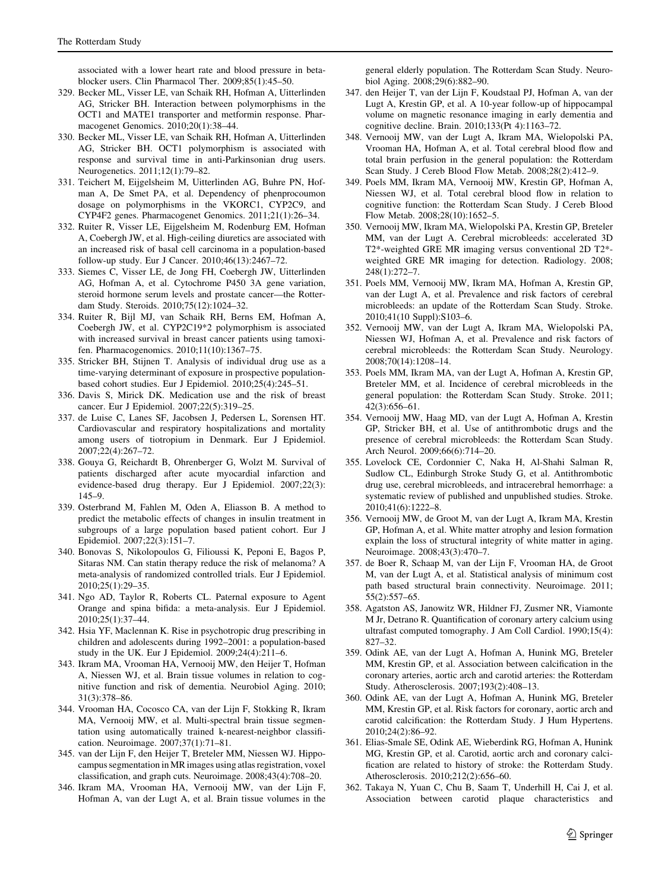<span id="page-28-0"></span>associated with a lower heart rate and blood pressure in betablocker users. Clin Pharmacol Ther. 2009;85(1):45–50.

- 329. Becker ML, Visser LE, van Schaik RH, Hofman A, Uitterlinden AG, Stricker BH. Interaction between polymorphisms in the OCT1 and MATE1 transporter and metformin response. Pharmacogenet Genomics. 2010;20(1):38–44.
- 330. Becker ML, Visser LE, van Schaik RH, Hofman A, Uitterlinden AG, Stricker BH. OCT1 polymorphism is associated with response and survival time in anti-Parkinsonian drug users. Neurogenetics. 2011;12(1):79–82.
- 331. Teichert M, Eijgelsheim M, Uitterlinden AG, Buhre PN, Hofman A, De Smet PA, et al. Dependency of phenprocoumon dosage on polymorphisms in the VKORC1, CYP2C9, and CYP4F2 genes. Pharmacogenet Genomics. 2011;21(1):26–34.
- 332. Ruiter R, Visser LE, Eijgelsheim M, Rodenburg EM, Hofman A, Coebergh JW, et al. High-ceiling diuretics are associated with an increased risk of basal cell carcinoma in a population-based follow-up study. Eur J Cancer. 2010;46(13):2467–72.
- 333. Siemes C, Visser LE, de Jong FH, Coebergh JW, Uitterlinden AG, Hofman A, et al. Cytochrome P450 3A gene variation, steroid hormone serum levels and prostate cancer—the Rotterdam Study. Steroids. 2010;75(12):1024–32.
- 334. Ruiter R, Bijl MJ, van Schaik RH, Berns EM, Hofman A, Coebergh JW, et al. CYP2C19\*2 polymorphism is associated with increased survival in breast cancer patients using tamoxifen. Pharmacogenomics. 2010;11(10):1367–75.
- 335. Stricker BH, Stijnen T. Analysis of individual drug use as a time-varying determinant of exposure in prospective populationbased cohort studies. Eur J Epidemiol. 2010;25(4):245–51.
- 336. Davis S, Mirick DK. Medication use and the risk of breast cancer. Eur J Epidemiol. 2007;22(5):319–25.
- 337. de Luise C, Lanes SF, Jacobsen J, Pedersen L, Sorensen HT. Cardiovascular and respiratory hospitalizations and mortality among users of tiotropium in Denmark. Eur J Epidemiol. 2007;22(4):267–72.
- 338. Gouya G, Reichardt B, Ohrenberger G, Wolzt M. Survival of patients discharged after acute myocardial infarction and evidence-based drug therapy. Eur J Epidemiol. 2007;22(3): 145–9.
- 339. Osterbrand M, Fahlen M, Oden A, Eliasson B. A method to predict the metabolic effects of changes in insulin treatment in subgroups of a large population based patient cohort. Eur J Epidemiol. 2007;22(3):151–7.
- 340. Bonovas S, Nikolopoulos G, Filioussi K, Peponi E, Bagos P, Sitaras NM. Can statin therapy reduce the risk of melanoma? A meta-analysis of randomized controlled trials. Eur J Epidemiol. 2010;25(1):29–35.
- 341. Ngo AD, Taylor R, Roberts CL. Paternal exposure to Agent Orange and spina bifida: a meta-analysis. Eur J Epidemiol. 2010;25(1):37–44.
- 342. Hsia YF, Maclennan K. Rise in psychotropic drug prescribing in children and adolescents during 1992–2001: a population-based study in the UK. Eur J Epidemiol. 2009;24(4):211–6.
- 343. Ikram MA, Vrooman HA, Vernooij MW, den Heijer T, Hofman A, Niessen WJ, et al. Brain tissue volumes in relation to cognitive function and risk of dementia. Neurobiol Aging. 2010; 31(3):378–86.
- 344. Vrooman HA, Cocosco CA, van der Lijn F, Stokking R, Ikram MA, Vernooij MW, et al. Multi-spectral brain tissue segmentation using automatically trained k-nearest-neighbor classification. Neuroimage. 2007;37(1):71–81.
- 345. van der Lijn F, den Heijer T, Breteler MM, Niessen WJ. Hippocampus segmentation in MR images using atlas registration, voxel classification, and graph cuts. Neuroimage. 2008;43(4):708–20.
- 346. Ikram MA, Vrooman HA, Vernooij MW, van der Lijn F, Hofman A, van der Lugt A, et al. Brain tissue volumes in the

general elderly population. The Rotterdam Scan Study. Neurobiol Aging. 2008;29(6):882–90.

- 347. den Heijer T, van der Lijn F, Koudstaal PJ, Hofman A, van der Lugt A, Krestin GP, et al. A 10-year follow-up of hippocampal volume on magnetic resonance imaging in early dementia and cognitive decline. Brain. 2010;133(Pt 4):1163–72.
- 348. Vernooij MW, van der Lugt A, Ikram MA, Wielopolski PA, Vrooman HA, Hofman A, et al. Total cerebral blood flow and total brain perfusion in the general population: the Rotterdam Scan Study. J Cereb Blood Flow Metab. 2008;28(2):412–9.
- 349. Poels MM, Ikram MA, Vernooij MW, Krestin GP, Hofman A, Niessen WJ, et al. Total cerebral blood flow in relation to cognitive function: the Rotterdam Scan Study. J Cereb Blood Flow Metab. 2008;28(10):1652–5.
- 350. Vernooij MW, Ikram MA, Wielopolski PA, Krestin GP, Breteler MM, van der Lugt A. Cerebral microbleeds: accelerated 3D T2\*-weighted GRE MR imaging versus conventional 2D T2\* weighted GRE MR imaging for detection. Radiology. 2008; 248(1):272–7.
- 351. Poels MM, Vernooij MW, Ikram MA, Hofman A, Krestin GP, van der Lugt A, et al. Prevalence and risk factors of cerebral microbleeds: an update of the Rotterdam Scan Study. Stroke. 2010;41(10 Suppl):S103–6.
- 352. Vernooij MW, van der Lugt A, Ikram MA, Wielopolski PA, Niessen WJ, Hofman A, et al. Prevalence and risk factors of cerebral microbleeds: the Rotterdam Scan Study. Neurology. 2008;70(14):1208–14.
- 353. Poels MM, Ikram MA, van der Lugt A, Hofman A, Krestin GP, Breteler MM, et al. Incidence of cerebral microbleeds in the general population: the Rotterdam Scan Study. Stroke. 2011; 42(3):656–61.
- 354. Vernooij MW, Haag MD, van der Lugt A, Hofman A, Krestin GP, Stricker BH, et al. Use of antithrombotic drugs and the presence of cerebral microbleeds: the Rotterdam Scan Study. Arch Neurol. 2009;66(6):714–20.
- 355. Lovelock CE, Cordonnier C, Naka H, Al-Shahi Salman R, Sudlow CL, Edinburgh Stroke Study G, et al. Antithrombotic drug use, cerebral microbleeds, and intracerebral hemorrhage: a systematic review of published and unpublished studies. Stroke. 2010;41(6):1222–8.
- 356. Vernooij MW, de Groot M, van der Lugt A, Ikram MA, Krestin GP, Hofman A, et al. White matter atrophy and lesion formation explain the loss of structural integrity of white matter in aging. Neuroimage. 2008;43(3):470–7.
- 357. de Boer R, Schaap M, van der Lijn F, Vrooman HA, de Groot M, van der Lugt A, et al. Statistical analysis of minimum cost path based structural brain connectivity. Neuroimage. 2011; 55(2):557–65.
- 358. Agatston AS, Janowitz WR, Hildner FJ, Zusmer NR, Viamonte M Jr, Detrano R. Quantification of coronary artery calcium using ultrafast computed tomography. J Am Coll Cardiol. 1990;15(4): 827–32.
- 359. Odink AE, van der Lugt A, Hofman A, Hunink MG, Breteler MM, Krestin GP, et al. Association between calcification in the coronary arteries, aortic arch and carotid arteries: the Rotterdam Study. Atherosclerosis. 2007;193(2):408–13.
- 360. Odink AE, van der Lugt A, Hofman A, Hunink MG, Breteler MM, Krestin GP, et al. Risk factors for coronary, aortic arch and carotid calcification: the Rotterdam Study. J Hum Hypertens. 2010;24(2):86–92.
- 361. Elias-Smale SE, Odink AE, Wieberdink RG, Hofman A, Hunink MG, Krestin GP, et al. Carotid, aortic arch and coronary calcification are related to history of stroke: the Rotterdam Study. Atherosclerosis. 2010;212(2):656–60.
- 362. Takaya N, Yuan C, Chu B, Saam T, Underhill H, Cai J, et al. Association between carotid plaque characteristics and